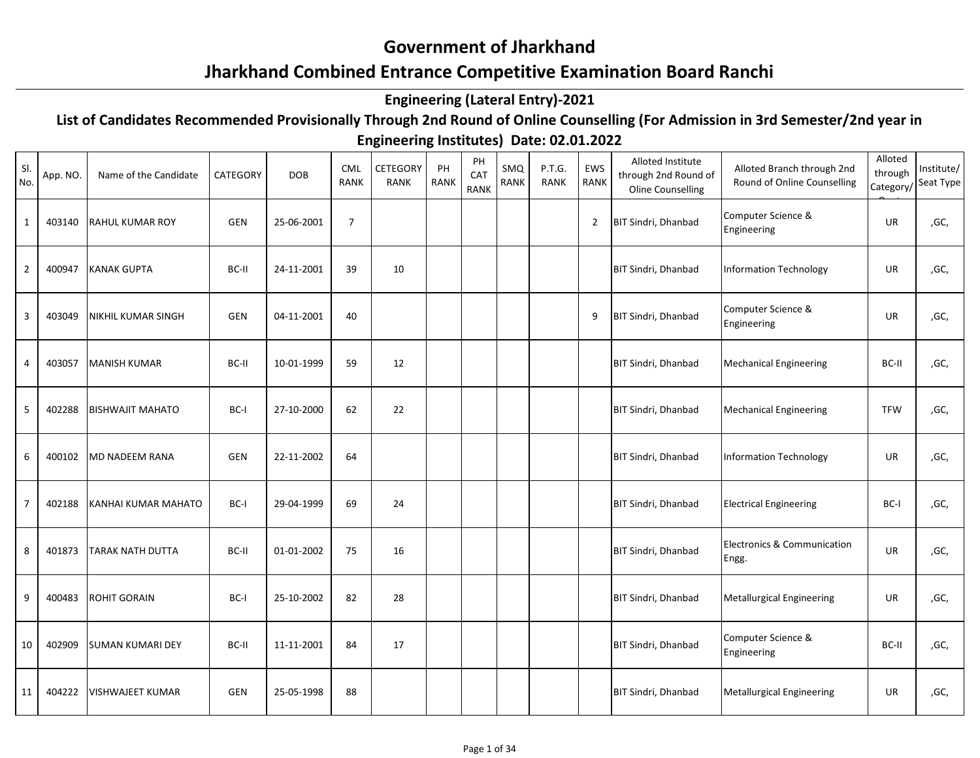## **Government of Jharkhand**

## **Jharkhand Combined Entrance Competitive Examination Board Ranchi**

## **Engineering (Lateral Entry)-2021**

## **List of Candidates Recommended Provisionally Through 2nd Round of Online Counselling (For Admission in 3rd Semester/2nd year in**

**Engineering Institutes) Date: 02.01.2022**

| SI.<br>No.     | App. NO. | Name of the Candidate   | CATEGORY   | <b>DOB</b> | <b>CML</b><br><b>RANK</b> | <b>CETEGORY</b><br>RANK | PH<br><b>RANK</b> | PH<br>CAT<br><b>RANK</b> | SMQ<br><b>RANK</b> | P.T.G.<br>RANK | EWS<br><b>RANK</b> | Alloted Institute<br>through 2nd Round of<br>Oline Counselling | Alloted Branch through 2nd<br>Round of Online Counselling | Alloted<br>through<br>Category/ | Institute/<br>Seat Type |
|----------------|----------|-------------------------|------------|------------|---------------------------|-------------------------|-------------------|--------------------------|--------------------|----------------|--------------------|----------------------------------------------------------------|-----------------------------------------------------------|---------------------------------|-------------------------|
| $\mathbf{1}$   | 403140   | <b>RAHUL KUMAR ROY</b>  | <b>GEN</b> | 25-06-2001 | $\overline{7}$            |                         |                   |                          |                    |                | $\overline{2}$     | BIT Sindri, Dhanbad                                            | Computer Science &<br>Engineering                         | UR                              | ,GC,                    |
| $\overline{2}$ | 400947   | <b>KANAK GUPTA</b>      | BC-II      | 24-11-2001 | 39                        | 10                      |                   |                          |                    |                |                    | BIT Sindri, Dhanbad                                            | <b>Information Technology</b>                             | UR                              | ,GC,                    |
| 3              | 403049   | INIKHIL KUMAR SINGH     | <b>GEN</b> | 04-11-2001 | 40                        |                         |                   |                          |                    |                | 9                  | <b>BIT Sindri, Dhanbad</b>                                     | Computer Science &<br>Engineering                         | <b>UR</b>                       | ,GC,                    |
| 4              | 403057   | <b>MANISH KUMAR</b>     | BC-II      | 10-01-1999 | 59                        | 12                      |                   |                          |                    |                |                    | BIT Sindri, Dhanbad                                            | <b>Mechanical Engineering</b>                             | BC-II                           | ,GC,                    |
| 5              | 402288   | <b>BISHWAJIT MAHATO</b> | BC-I       | 27-10-2000 | 62                        | 22                      |                   |                          |                    |                |                    | <b>BIT Sindri, Dhanbad</b>                                     | <b>Mechanical Engineering</b>                             | <b>TFW</b>                      | ,GC,                    |
| 6              | 400102   | <b>MD NADEEM RANA</b>   | <b>GEN</b> | 22-11-2002 | 64                        |                         |                   |                          |                    |                |                    | <b>BIT Sindri, Dhanbad</b>                                     | <b>Information Technology</b>                             | <b>UR</b>                       | ,GC,                    |
| 7              | 402188   | KANHAI KUMAR MAHATO     | BC-I       | 29-04-1999 | 69                        | 24                      |                   |                          |                    |                |                    | BIT Sindri, Dhanbad                                            | <b>Electrical Engineering</b>                             | BC-I                            | ,GC,                    |
| 8              | 401873   | TARAK NATH DUTTA        | BC-II      | 01-01-2002 | 75                        | 16                      |                   |                          |                    |                |                    | <b>BIT Sindri, Dhanbad</b>                                     | Electronics & Communication<br>Engg.                      | <b>UR</b>                       | ,GC,                    |
| 9              | 400483   | <b>ROHIT GORAIN</b>     | BC-I       | 25-10-2002 | 82                        | 28                      |                   |                          |                    |                |                    | BIT Sindri, Dhanbad                                            | <b>Metallurgical Engineering</b>                          | UR                              | ,GC,                    |
| 10             | 402909   | <b>SUMAN KUMARI DEY</b> | BC-II      | 11-11-2001 | 84                        | 17                      |                   |                          |                    |                |                    | BIT Sindri, Dhanbad                                            | Computer Science &<br>Engineering                         | BC-II                           | ,GC,                    |
| 11             | 404222   | <b>VISHWAJEET KUMAR</b> | <b>GEN</b> | 25-05-1998 | 88                        |                         |                   |                          |                    |                |                    | <b>BIT Sindri, Dhanbad</b>                                     | <b>Metallurgical Engineering</b>                          | UR                              | ,GC,                    |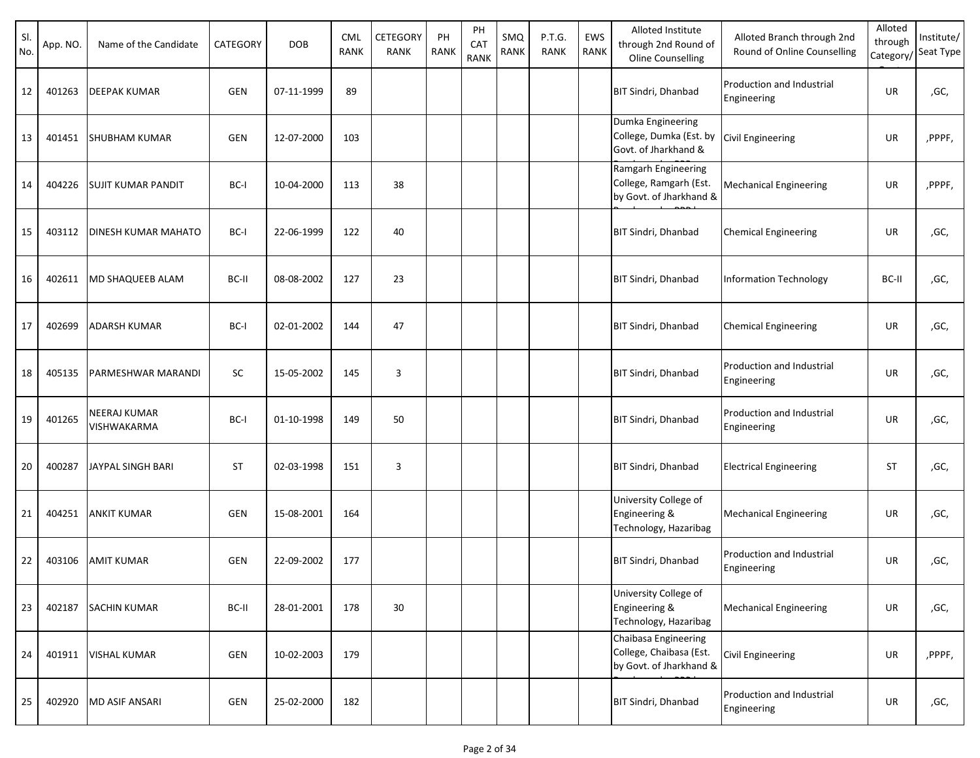| SI.<br>No. | App. NO. | Name of the Candidate              | CATEGORY   | <b>DOB</b> | CML<br><b>RANK</b> | CETEGORY<br><b>RANK</b> | PH<br><b>RANK</b> | PH<br>CAT<br><b>RANK</b> | SMQ<br><b>RANK</b> | P.T.G.<br><b>RANK</b> | EWS<br><b>RANK</b> | Alloted Institute<br>through 2nd Round of<br>Oline Counselling             | Alloted Branch through 2nd<br>Round of Online Counselling | Alloted<br>through<br>Category/ | Institute/<br>Seat Type |
|------------|----------|------------------------------------|------------|------------|--------------------|-------------------------|-------------------|--------------------------|--------------------|-----------------------|--------------------|----------------------------------------------------------------------------|-----------------------------------------------------------|---------------------------------|-------------------------|
| 12         | 401263   | <b>DEEPAK KUMAR</b>                | <b>GEN</b> | 07-11-1999 | 89                 |                         |                   |                          |                    |                       |                    | <b>BIT Sindri, Dhanbad</b>                                                 | Production and Industrial<br>Engineering                  | <b>UR</b>                       | ,GC,                    |
| 13         | 401451   | <b>SHUBHAM KUMAR</b>               | <b>GEN</b> | 12-07-2000 | 103                |                         |                   |                          |                    |                       |                    | Dumka Engineering<br>College, Dumka (Est. by<br>Govt. of Jharkhand &       | <b>Civil Engineering</b>                                  | UR                              | ,PPPF,                  |
| 14         | 404226   | <b>SUJIT KUMAR PANDIT</b>          | BC-I       | 10-04-2000 | 113                | 38                      |                   |                          |                    |                       |                    | Ramgarh Engineering<br>College, Ramgarh (Est.<br>by Govt. of Jharkhand &   | <b>Mechanical Engineering</b>                             | <b>UR</b>                       | ,PPPF,                  |
| 15         | 403112   | DINESH KUMAR MAHATO                | BC-I       | 22-06-1999 | 122                | 40                      |                   |                          |                    |                       |                    | <b>BIT Sindri, Dhanbad</b>                                                 | <b>Chemical Engineering</b>                               | UR                              | ,GC,                    |
| 16         | 402611   | MD SHAQUEEB ALAM                   | BC-II      | 08-08-2002 | 127                | 23                      |                   |                          |                    |                       |                    | <b>BIT Sindri, Dhanbad</b>                                                 | <b>Information Technology</b>                             | BC-II                           | ,GC,                    |
| 17         | 402699   | ADARSH KUMAR                       | BC-I       | 02-01-2002 | 144                | 47                      |                   |                          |                    |                       |                    | <b>BIT Sindri, Dhanbad</b>                                                 | <b>Chemical Engineering</b>                               | UR                              | ,GC,                    |
| 18         | 405135   | PARMESHWAR MARANDI                 | SC         | 15-05-2002 | 145                | 3                       |                   |                          |                    |                       |                    | BIT Sindri, Dhanbad                                                        | Production and Industrial<br>Engineering                  | <b>UR</b>                       | ,GC,                    |
| 19         | 401265   | <b>NEERAJ KUMAR</b><br>VISHWAKARMA | BC-I       | 01-10-1998 | 149                | 50                      |                   |                          |                    |                       |                    | BIT Sindri, Dhanbad                                                        | Production and Industrial<br>Engineering                  | UR                              | ,GC,                    |
| 20         | 400287   | JAYPAL SINGH BARI                  | <b>ST</b>  | 02-03-1998 | 151                | 3                       |                   |                          |                    |                       |                    | <b>BIT Sindri, Dhanbad</b>                                                 | <b>Electrical Engineering</b>                             | <b>ST</b>                       | ,GC,                    |
| 21         | 404251   | <b>ANKIT KUMAR</b>                 | GEN        | 15-08-2001 | 164                |                         |                   |                          |                    |                       |                    | University College of<br>Engineering &<br>Technology, Hazaribag            | <b>Mechanical Engineering</b>                             | UR                              | ,GC,                    |
| 22         | 403106   | <b>AMIT KUMAR</b>                  | GEN        | 22-09-2002 | 177                |                         |                   |                          |                    |                       |                    | <b>BIT Sindri, Dhanbad</b>                                                 | Production and Industrial<br>Engineering                  | UR                              | ,GC,                    |
| 23         | 402187   | <b>SACHIN KUMAR</b>                | BC-II      | 28-01-2001 | 178                | 30                      |                   |                          |                    |                       |                    | University College of<br>Engineering &<br>Technology, Hazaribag            | <b>Mechanical Engineering</b>                             | UR                              | ,GC,                    |
| 24         | 401911   | <b>VISHAL KUMAR</b>                | GEN        | 10-02-2003 | 179                |                         |                   |                          |                    |                       |                    | Chaibasa Engineering<br>College, Chaibasa (Est.<br>by Govt. of Jharkhand & | Civil Engineering                                         | UR                              | ,PPPF,                  |
| 25         | 402920   | MD ASIF ANSARI                     | GEN        | 25-02-2000 | 182                |                         |                   |                          |                    |                       |                    | <b>BIT Sindri, Dhanbad</b>                                                 | Production and Industrial<br>Engineering                  | UR                              | ,GC,                    |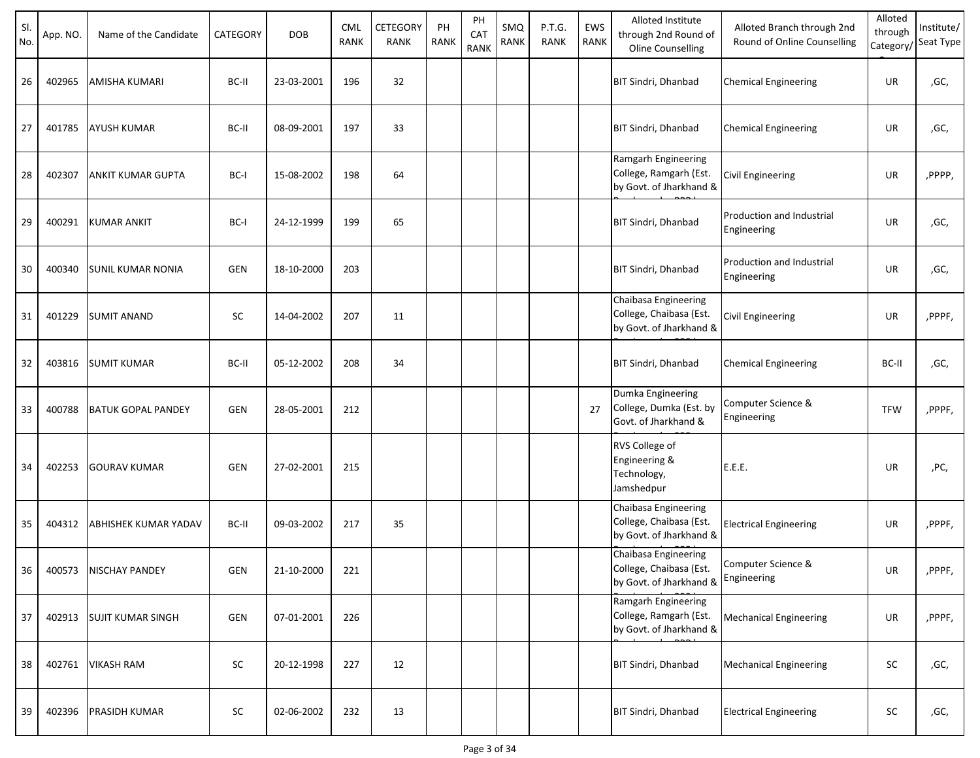| SI.<br>No. | App. NO. | Name of the Candidate       | CATEGORY   | <b>DOB</b> | <b>CML</b><br><b>RANK</b> | CETEGORY<br>RANK | PH<br><b>RANK</b> | PH<br>CAT<br><b>RANK</b> | SMQ<br>RANK | P.T.G.<br><b>RANK</b> | EWS<br>RANK | Alloted Institute<br>through 2nd Round of<br>Oline Counselling             | Alloted Branch through 2nd<br>Round of Online Counselling | Alloted<br>through | Institute/<br>Category/Seat Type |
|------------|----------|-----------------------------|------------|------------|---------------------------|------------------|-------------------|--------------------------|-------------|-----------------------|-------------|----------------------------------------------------------------------------|-----------------------------------------------------------|--------------------|----------------------------------|
| 26         | 402965   | <b>AMISHA KUMARI</b>        | BC-II      | 23-03-2001 | 196                       | 32               |                   |                          |             |                       |             | <b>BIT Sindri, Dhanbad</b>                                                 | <b>Chemical Engineering</b>                               | UR                 | ,GC,                             |
| 27         | 401785   | <b>AYUSH KUMAR</b>          | BC-II      | 08-09-2001 | 197                       | 33               |                   |                          |             |                       |             | <b>BIT Sindri, Dhanbad</b>                                                 | <b>Chemical Engineering</b>                               | UR                 | ,GC,                             |
| 28         | 402307   | ANKIT KUMAR GUPTA           | BC-I       | 15-08-2002 | 198                       | 64               |                   |                          |             |                       |             | Ramgarh Engineering<br>College, Ramgarh (Est.<br>by Govt. of Jharkhand &   | <b>Civil Engineering</b>                                  | UR                 | ,PPPP,                           |
| 29         | 400291   | <b>KUMAR ANKIT</b>          | BC-I       | 24-12-1999 | 199                       | 65               |                   |                          |             |                       |             | <b>BIT Sindri, Dhanbad</b>                                                 | <b>Production and Industrial</b><br>Engineering           | <b>UR</b>          | ,GC,                             |
| 30         | 400340   | <b>SUNIL KUMAR NONIA</b>    | <b>GEN</b> | 18-10-2000 | 203                       |                  |                   |                          |             |                       |             | BIT Sindri, Dhanbad                                                        | <b>Production and Industrial</b><br>Engineering           | UR                 | ,GC,                             |
| 31         | 401229   | <b>SUMIT ANAND</b>          | SC         | 14-04-2002 | 207                       | 11               |                   |                          |             |                       |             | Chaibasa Engineering<br>College, Chaibasa (Est.<br>by Govt. of Jharkhand & | <b>Civil Engineering</b>                                  | UR                 | ,PPPF,                           |
| 32         | 403816   | <b>SUMIT KUMAR</b>          | BC-II      | 05-12-2002 | 208                       | 34               |                   |                          |             |                       |             | BIT Sindri, Dhanbad                                                        | <b>Chemical Engineering</b>                               | BC-II              | ,GC,                             |
| 33         | 400788   | <b>BATUK GOPAL PANDEY</b>   | <b>GEN</b> | 28-05-2001 | 212                       |                  |                   |                          |             |                       | 27          | Dumka Engineering<br>College, Dumka (Est. by<br>Govt. of Jharkhand &       | Computer Science &<br>Engineering                         | <b>TFW</b>         | ,PPPF,                           |
| 34         | 402253   | <b>GOURAV KUMAR</b>         | <b>GEN</b> | 27-02-2001 | 215                       |                  |                   |                          |             |                       |             | RVS College of<br>Engineering &<br>Technology,<br>Jamshedpur               | E.E.E.                                                    | UR                 | ,PC,                             |
| 35         | 404312   | <b>ABHISHEK KUMAR YADAV</b> | BC-II      | 09-03-2002 | 217                       | 35               |                   |                          |             |                       |             | Chaibasa Engineering<br>College, Chaibasa (Est.<br>by Govt. of Jharkhand & | <b>Electrical Engineering</b>                             | UR                 | ,PPPF,                           |
| 36         | 400573   | <b>NISCHAY PANDEY</b>       | GEN        | 21-10-2000 | 221                       |                  |                   |                          |             |                       |             | Chaibasa Engineering<br>College, Chaibasa (Est.<br>by Govt. of Jharkhand & | Computer Science &<br>Engineering                         | UR                 | ,PPPF,                           |
| 37         | 402913   | <b>SUJIT KUMAR SINGH</b>    | GEN        | 07-01-2001 | 226                       |                  |                   |                          |             |                       |             | Ramgarh Engineering<br>College, Ramgarh (Est.<br>by Govt. of Jharkhand &   | <b>Mechanical Engineering</b>                             | <b>UR</b>          | ,PPPF,                           |
| 38         | 402761   | <b>VIKASH RAM</b>           | SC         | 20-12-1998 | 227                       | 12               |                   |                          |             |                       |             | <b>BIT Sindri, Dhanbad</b>                                                 | <b>Mechanical Engineering</b>                             | SC                 | ,GC,                             |
| 39         | 402396   | <b>PRASIDH KUMAR</b>        | SC         | 02-06-2002 | 232                       | 13               |                   |                          |             |                       |             | BIT Sindri, Dhanbad                                                        | <b>Electrical Engineering</b>                             | SC                 | ,GC,                             |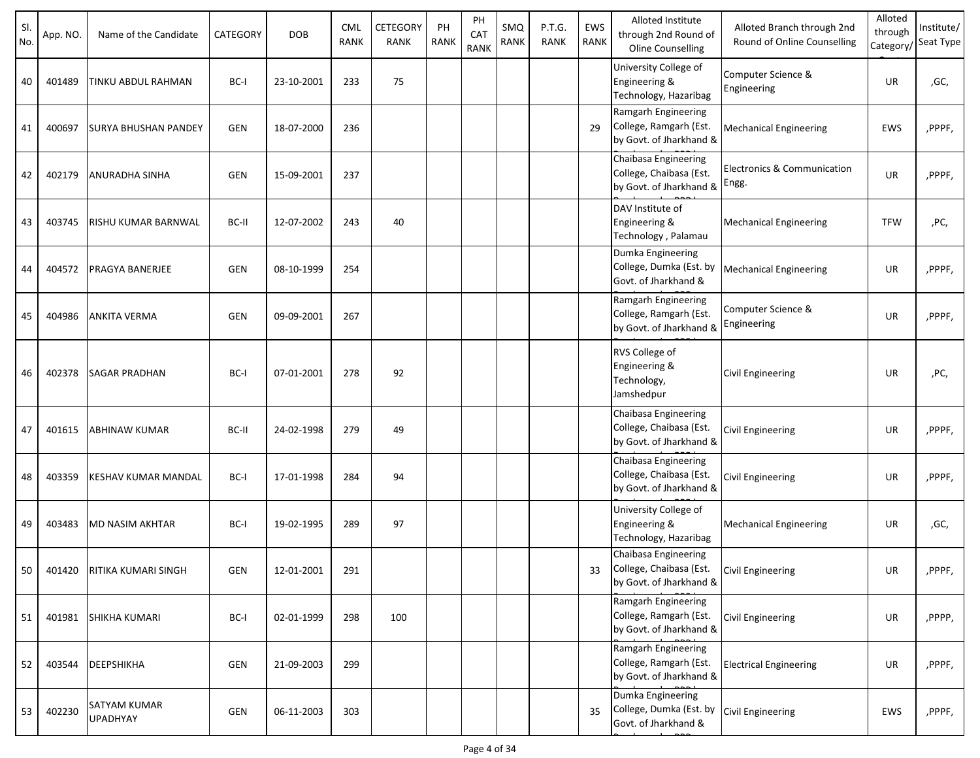| SI.<br>No. | App. NO. | Name of the Candidate                  | CATEGORY   | <b>DOB</b> | <b>CML</b><br><b>RANK</b> | CETEGORY<br><b>RANK</b> | PH<br><b>RANK</b> | PH<br>CAT<br><b>RANK</b> | SMQ<br>RANK | P.T.G.<br><b>RANK</b> | EWS<br>RANK | Alloted Institute<br>through 2nd Round of<br>Oline Counselling             | Alloted Branch through 2nd<br>Round of Online Counselling | Alloted<br>through<br>Category/ | Institute/<br>Seat Type |
|------------|----------|----------------------------------------|------------|------------|---------------------------|-------------------------|-------------------|--------------------------|-------------|-----------------------|-------------|----------------------------------------------------------------------------|-----------------------------------------------------------|---------------------------------|-------------------------|
| 40         | 401489   | TINKU ABDUL RAHMAN                     | BC-I       | 23-10-2001 | 233                       | 75                      |                   |                          |             |                       |             | University College of<br>Engineering &<br>Technology, Hazaribag            | Computer Science &<br>Engineering                         | UR                              | ,GC,                    |
| 41         | 400697   | <b>SURYA BHUSHAN PANDEY</b>            | <b>GEN</b> | 18-07-2000 | 236                       |                         |                   |                          |             |                       | 29          | Ramgarh Engineering<br>College, Ramgarh (Est.<br>by Govt. of Jharkhand &   | <b>Mechanical Engineering</b>                             | EWS                             | ,PPPF,                  |
| 42         | 402179   | <b>ANURADHA SINHA</b>                  | <b>GEN</b> | 15-09-2001 | 237                       |                         |                   |                          |             |                       |             | Chaibasa Engineering<br>College, Chaibasa (Est.<br>by Govt. of Jharkhand & | Electronics & Communication<br>Engg.                      | <b>UR</b>                       | ,PPPF,                  |
| 43         | 403745   | RISHU KUMAR BARNWAL                    | BC-II      | 12-07-2002 | 243                       | 40                      |                   |                          |             |                       |             | DAV Institute of<br>Engineering &<br>Technology, Palamau                   | <b>Mechanical Engineering</b>                             | <b>TFW</b>                      | ,PC,                    |
| 44         | 404572   | <b>PRAGYA BANERJEE</b>                 | <b>GEN</b> | 08-10-1999 | 254                       |                         |                   |                          |             |                       |             | Dumka Engineering<br>College, Dumka (Est. by<br>Govt. of Jharkhand &       | <b>Mechanical Engineering</b>                             | UR                              | ,PPPF,                  |
| 45         | 404986   | <b>ANKITA VERMA</b>                    | <b>GEN</b> | 09-09-2001 | 267                       |                         |                   |                          |             |                       |             | Ramgarh Engineering<br>College, Ramgarh (Est.<br>by Govt. of Jharkhand &   | Computer Science &<br>Engineering                         | UR                              | ,PPPF,                  |
| 46         | 402378   | <b>SAGAR PRADHAN</b>                   | BC-I       | 07-01-2001 | 278                       | 92                      |                   |                          |             |                       |             | RVS College of<br>Engineering &<br>Technology,<br>Jamshedpur               | Civil Engineering                                         | UR                              | ,PC,                    |
| 47         | 401615   | <b>ABHINAW KUMAR</b>                   | BC-II      | 24-02-1998 | 279                       | 49                      |                   |                          |             |                       |             | Chaibasa Engineering<br>College, Chaibasa (Est.<br>by Govt. of Jharkhand & | Civil Engineering                                         | UR                              | ,PPPF,                  |
| 48         | 403359   | KESHAV KUMAR MANDAL                    | BC-I       | 17-01-1998 | 284                       | 94                      |                   |                          |             |                       |             | Chaibasa Engineering<br>College, Chaibasa (Est.<br>by Govt. of Jharkhand & | Civil Engineering                                         | UR                              | ,PPPF,                  |
| 49         | 403483   | <b>MD NASIM AKHTAR</b>                 | BC-I       | 19-02-1995 | 289                       | 97                      |                   |                          |             |                       |             | University College of<br>Engineering &<br>Technology, Hazaribag            | <b>Mechanical Engineering</b>                             | UR                              | ,GC,                    |
| 50         | 401420   | RITIKA KUMARI SINGH                    | GEN        | 12-01-2001 | 291                       |                         |                   |                          |             |                       | 33          | Chaibasa Engineering<br>College, Chaibasa (Est.<br>by Govt. of Jharkhand & | <b>Civil Engineering</b>                                  | UR                              | ,PPPF,                  |
| 51         | 401981   | <b>SHIKHA KUMARI</b>                   | BC-I       | 02-01-1999 | 298                       | 100                     |                   |                          |             |                       |             | Ramgarh Engineering<br>College, Ramgarh (Est.<br>by Govt. of Jharkhand &   | <b>Civil Engineering</b>                                  | UR                              | ,PPPP,                  |
| 52         | 403544   | DEEPSHIKHA                             | GEN        | 21-09-2003 | 299                       |                         |                   |                          |             |                       |             | Ramgarh Engineering<br>College, Ramgarh (Est.<br>by Govt. of Jharkhand &   | <b>Electrical Engineering</b>                             | UR                              | ,PPPF,                  |
| 53         | 402230   | <b>SATYAM KUMAR</b><br><b>UPADHYAY</b> | GEN        | 06-11-2003 | 303                       |                         |                   |                          |             |                       | 35          | Dumka Engineering<br>College, Dumka (Est. by<br>Govt. of Jharkhand &       | <b>Civil Engineering</b>                                  | EWS                             | ,PPPF,                  |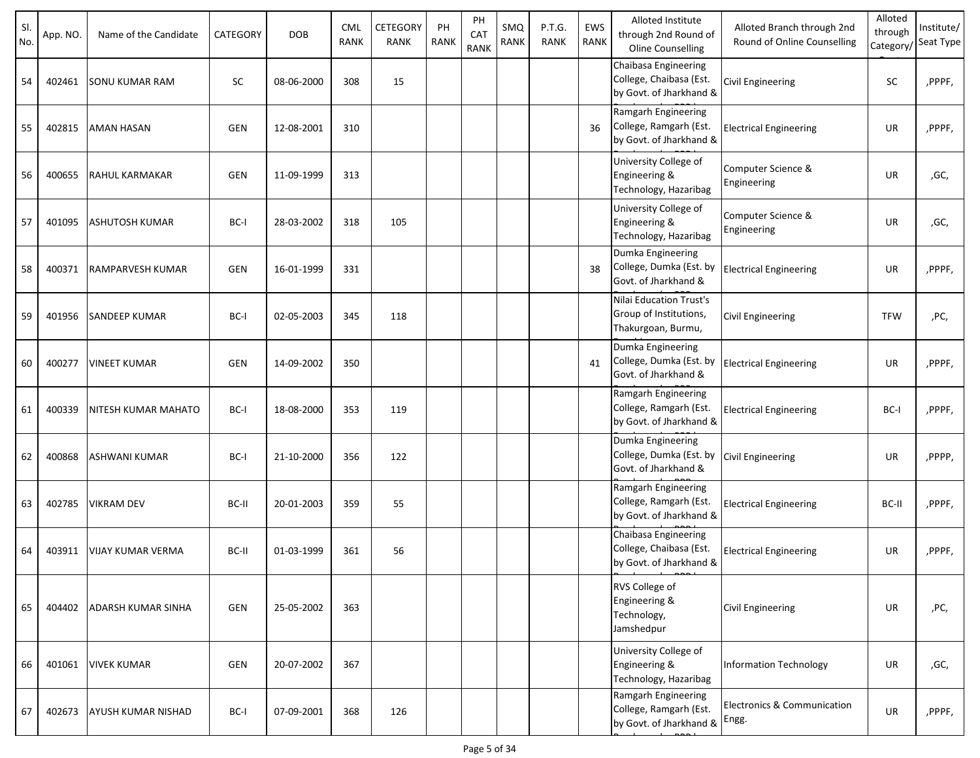| SI.<br>No. | App. NO. | Name of the Candidate      | CATEGORY   | <b>DOB</b> | <b>CML</b><br><b>RANK</b> | CETEGORY<br>RANK | PH<br><b>RANK</b> | PH<br>CAT<br>RANK | SMQ<br>RANK | P.T.G.<br><b>RANK</b> | EWS<br>RANK | Alloted Institute<br>through 2nd Round of<br><b>Oline Counselling</b>          | Alloted Branch through 2nd<br>Round of Online Counselling | Alloted<br>through<br>Category/ | Institute/<br>Seat Type |
|------------|----------|----------------------------|------------|------------|---------------------------|------------------|-------------------|-------------------|-------------|-----------------------|-------------|--------------------------------------------------------------------------------|-----------------------------------------------------------|---------------------------------|-------------------------|
| 54         | 402461   | <b>SONU KUMAR RAM</b>      | <b>SC</b>  | 08-06-2000 | 308                       | 15               |                   |                   |             |                       |             | Chaibasa Engineering<br>College, Chaibasa (Est.<br>by Govt. of Jharkhand &     | Civil Engineering                                         | SC                              | ,PPPF,                  |
| 55         | 402815   | <b>AMAN HASAN</b>          | <b>GEN</b> | 12-08-2001 | 310                       |                  |                   |                   |             |                       | 36          | Ramgarh Engineering<br>College, Ramgarh (Est.<br>by Govt. of Jharkhand &       | <b>Electrical Engineering</b>                             | UR                              | ,PPPF,                  |
| 56         | 400655   | <b>RAHUL KARMAKAR</b>      | <b>GEN</b> | 11-09-1999 | 313                       |                  |                   |                   |             |                       |             | University College of<br>Engineering &<br>Technology, Hazaribag                | Computer Science &<br>Engineering                         | UR                              | ,GC,                    |
| 57         | 401095   | <b>ASHUTOSH KUMAR</b>      | BC-I       | 28-03-2002 | 318                       | 105              |                   |                   |             |                       |             | University College of<br>Engineering &<br>Technology, Hazaribag                | Computer Science &<br>Engineering                         | UR                              | ,GC,                    |
| 58         | 400371   | <b>RAMPARVESH KUMAR</b>    | <b>GEN</b> | 16-01-1999 | 331                       |                  |                   |                   |             |                       | 38          | Dumka Engineering<br>College, Dumka (Est. by<br>Govt. of Jharkhand &           | <b>Electrical Engineering</b>                             | UR                              | ,PPPF,                  |
| 59         | 401956   | <b>SANDEEP KUMAR</b>       | BC-I       | 02-05-2003 | 345                       | 118              |                   |                   |             |                       |             | <b>Nilai Education Trust's</b><br>Group of Institutions,<br>Thakurgoan, Burmu, | Civil Engineering                                         | <b>TFW</b>                      | ,PC,                    |
| 60         | 400277   | <b>VINEET KUMAR</b>        | <b>GEN</b> | 14-09-2002 | 350                       |                  |                   |                   |             |                       | 41          | Dumka Engineering<br>College, Dumka (Est. by<br>Govt. of Jharkhand &           | <b>Electrical Engineering</b>                             | UR                              | ,PPPF,                  |
| 61         | 400339   | <b>NITESH KUMAR MAHATO</b> | BC-I       | 18-08-2000 | 353                       | 119              |                   |                   |             |                       |             | Ramgarh Engineering<br>College, Ramgarh (Est.<br>by Govt. of Jharkhand &       | <b>Electrical Engineering</b>                             | BC-I                            | ,PPPF,                  |
| 62         | 400868   | <b>ASHWANI KUMAR</b>       | BC-I       | 21-10-2000 | 356                       | 122              |                   |                   |             |                       |             | Dumka Engineering<br>College, Dumka (Est. by<br>Govt. of Jharkhand &           | Civil Engineering                                         | UR                              | ,PPPP,                  |
| 63         | 402785   | <b>VIKRAM DEV</b>          | BC-II      | 20-01-2003 | 359                       | 55               |                   |                   |             |                       |             | Ramgarh Engineering<br>College, Ramgarh (Est.<br>by Govt. of Jharkhand &       | <b>Electrical Engineering</b>                             | BC-II                           | ,PPPF,                  |
| 64         | 403911   | VIJAY KUMAR VERMA          | BC-II      | 01-03-1999 | 361                       | 56               |                   |                   |             |                       |             | Chaibasa Engineering<br>College, Chaibasa (Est.<br>by Govt. of Jharkhand &     | <b>Electrical Engineering</b>                             | UR                              | ,PPPF,                  |
| 65         | 404402   | <b>ADARSH KUMAR SINHA</b>  | <b>GEN</b> | 25-05-2002 | 363                       |                  |                   |                   |             |                       |             | RVS College of<br>Engineering &<br>Technology,<br>Jamshedpur                   | <b>Civil Engineering</b>                                  | UR                              | ,PC,                    |
| 66         | 401061   | <b>VIVEK KUMAR</b>         | GEN        | 20-07-2002 | 367                       |                  |                   |                   |             |                       |             | University College of<br>Engineering &<br>Technology, Hazaribag                | <b>Information Technology</b>                             | UR                              | ,GC,                    |
| 67         | 402673   | <b>AYUSH KUMAR NISHAD</b>  | BC-I       | 07-09-2001 | 368                       | 126              |                   |                   |             |                       |             | Ramgarh Engineering<br>College, Ramgarh (Est.<br>by Govt. of Jharkhand &       | Electronics & Communication<br>Engg.                      | UR                              | ,PPPF,                  |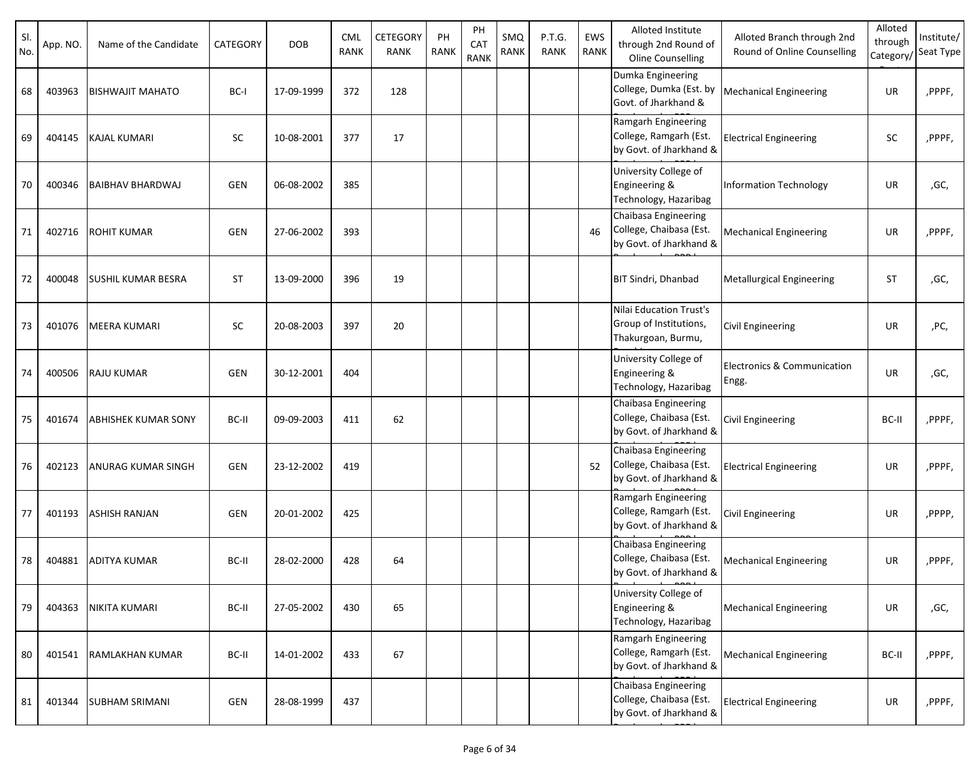| SI.<br>No. | App. NO. | Name of the Candidate      | CATEGORY   | <b>DOB</b> | CML<br><b>RANK</b> | CETEGORY<br><b>RANK</b> | PH<br><b>RANK</b> | PH<br>CAT<br><b>RANK</b> | SMQ<br>RANK | P.T.G.<br><b>RANK</b> | EWS<br><b>RANK</b> | Alloted Institute<br>through 2nd Round of<br>Oline Counselling             | Alloted Branch through 2nd<br>Round of Online Counselling | Alloted<br>through<br>Category, | Institute/<br>Seat Type |
|------------|----------|----------------------------|------------|------------|--------------------|-------------------------|-------------------|--------------------------|-------------|-----------------------|--------------------|----------------------------------------------------------------------------|-----------------------------------------------------------|---------------------------------|-------------------------|
| 68         | 403963   | <b>BISHWAJIT MAHATO</b>    | BC-I       | 17-09-1999 | 372                | 128                     |                   |                          |             |                       |                    | Dumka Engineering<br>College, Dumka (Est. by<br>Govt. of Jharkhand &       | <b>Mechanical Engineering</b>                             | UR                              | ,PPPF,                  |
| 69         | 404145   | <b>KAJAL KUMARI</b>        | <b>SC</b>  | 10-08-2001 | 377                | 17                      |                   |                          |             |                       |                    | Ramgarh Engineering<br>College, Ramgarh (Est.<br>by Govt. of Jharkhand &   | <b>Electrical Engineering</b>                             | <b>SC</b>                       | ,PPPF,                  |
| 70         | 400346   | <b>BAIBHAV BHARDWAJ</b>    | GEN        | 06-08-2002 | 385                |                         |                   |                          |             |                       |                    | University College of<br>Engineering &<br>Technology, Hazaribag            | <b>Information Technology</b>                             | UR                              | ,GC,                    |
| 71         | 402716   | <b>ROHIT KUMAR</b>         | <b>GEN</b> | 27-06-2002 | 393                |                         |                   |                          |             |                       | 46                 | Chaibasa Engineering<br>College, Chaibasa (Est.<br>by Govt. of Jharkhand & | <b>Mechanical Engineering</b>                             | UR                              | ,PPPF,                  |
| 72         | 400048   | <b>SUSHIL KUMAR BESRA</b>  | <b>ST</b>  | 13-09-2000 | 396                | 19                      |                   |                          |             |                       |                    | <b>BIT Sindri, Dhanbad</b>                                                 | <b>Metallurgical Engineering</b>                          | ST                              | ,GC,                    |
| 73         | 401076   | <b>MEERA KUMARI</b>        | <b>SC</b>  | 20-08-2003 | 397                | 20                      |                   |                          |             |                       |                    | Nilai Education Trust's<br>Group of Institutions,<br>Thakurgoan, Burmu,    | Civil Engineering                                         | UR                              | ,PC,                    |
| 74         | 400506   | <b>RAJU KUMAR</b>          | <b>GEN</b> | 30-12-2001 | 404                |                         |                   |                          |             |                       |                    | University College of<br>Engineering &<br>Technology, Hazaribag            | Electronics & Communication<br>Engg.                      | UR                              | ,GC,                    |
| 75         | 401674   | <b>ABHISHEK KUMAR SONY</b> | BC-II      | 09-09-2003 | 411                | 62                      |                   |                          |             |                       |                    | Chaibasa Engineering<br>College, Chaibasa (Est.<br>by Govt. of Jharkhand & | Civil Engineering                                         | BC-II                           | ,PPPF,                  |
| 76         | 402123   | ANURAG KUMAR SINGH         | GEN        | 23-12-2002 | 419                |                         |                   |                          |             |                       | 52                 | Chaibasa Engineering<br>College, Chaibasa (Est.<br>by Govt. of Jharkhand & | <b>Electrical Engineering</b>                             | UR                              | ,PPPF,                  |
| 77         | 401193   | <b>ASHISH RANJAN</b>       | <b>GEN</b> | 20-01-2002 | 425                |                         |                   |                          |             |                       |                    | Ramgarh Engineering<br>College, Ramgarh (Est.<br>by Govt. of Jharkhand &   | Civil Engineering                                         | UR                              | ,PPPP,                  |
| 78         | 404881   | <b>ADITYA KUMAR</b>        | BC-II      | 28-02-2000 | 428                | 64                      |                   |                          |             |                       |                    | Chaibasa Engineering<br>College, Chaibasa (Est.<br>by Govt. of Jharkhand & | <b>Mechanical Engineering</b>                             | UR                              | ,PPPF,                  |
| 79         | 404363   | NIKITA KUMARI              | BC-II      | 27-05-2002 | 430                | 65                      |                   |                          |             |                       |                    | University College of<br>Engineering &<br>Technology, Hazaribag            | <b>Mechanical Engineering</b>                             | UR                              | ,GC,                    |
| 80         | 401541   | <b>RAMLAKHAN KUMAR</b>     | BC-II      | 14-01-2002 | 433                | 67                      |                   |                          |             |                       |                    | Ramgarh Engineering<br>College, Ramgarh (Est.<br>by Govt. of Jharkhand &   | <b>Mechanical Engineering</b>                             | BC-II                           | ,PPPF,                  |
| 81         | 401344   | <b>SUBHAM SRIMANI</b>      | GEN        | 28-08-1999 | 437                |                         |                   |                          |             |                       |                    | Chaibasa Engineering<br>College, Chaibasa (Est.<br>by Govt. of Jharkhand & | <b>Electrical Engineering</b>                             | UR                              | ,PPPF,                  |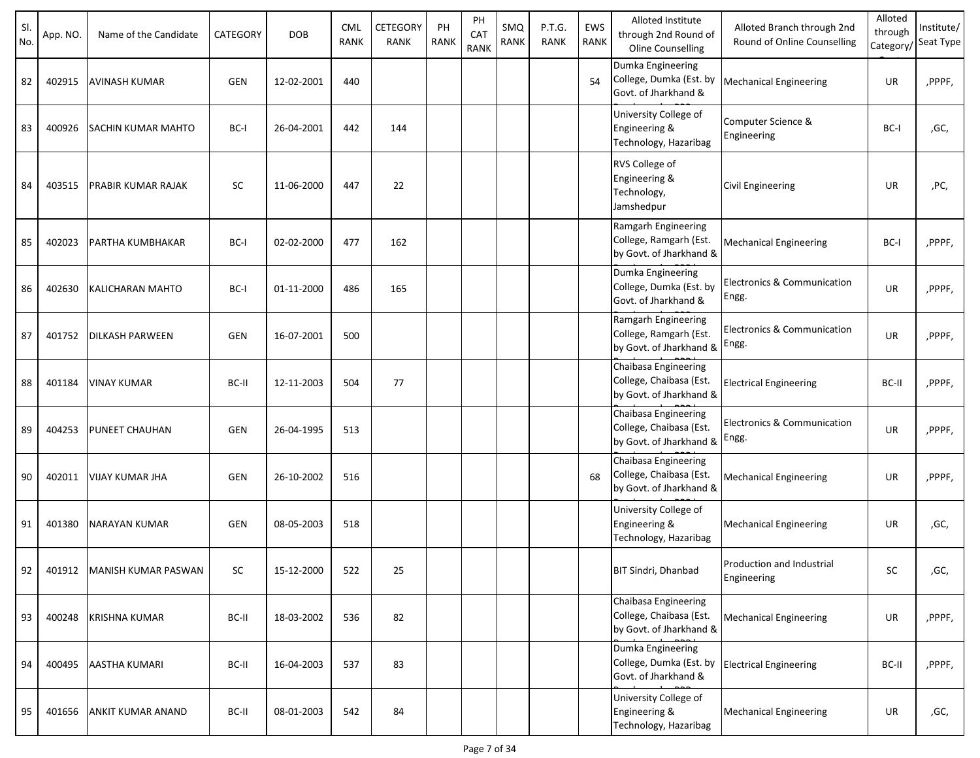| SI.<br>No. | App. NO. | Name of the Candidate     | CATEGORY   | <b>DOB</b> | <b>CML</b><br><b>RANK</b> | <b>CETEGORY</b><br><b>RANK</b> | PH<br><b>RANK</b> | PH<br>CA <sub>1</sub> | <b>SMQ</b><br>RANK | P.T.G.<br><b>RANK</b> | EWS<br>RANK | Alloted Institute<br>through 2nd Round of                                                        | Alloted Branch through 2nd<br>Round of Online Counselling | Alloted<br>through | Institute/<br>Seat Type |
|------------|----------|---------------------------|------------|------------|---------------------------|--------------------------------|-------------------|-----------------------|--------------------|-----------------------|-------------|--------------------------------------------------------------------------------------------------|-----------------------------------------------------------|--------------------|-------------------------|
| 82         | 402915   | <b>AVINASH KUMAR</b>      | <b>GEN</b> | 12-02-2001 | 440                       |                                |                   | <b>RANK</b>           |                    |                       | 54          | <b>Oline Counselling</b><br>Dumka Engineering<br>College, Dumka (Est. by<br>Govt. of Jharkhand & | <b>Mechanical Engineering</b>                             | Category/<br>UR    | ,PPPF,                  |
| 83         | 400926   | <b>SACHIN KUMAR MAHTO</b> | BC-I       | 26-04-2001 | 442                       | 144                            |                   |                       |                    |                       |             | University College of<br>Engineering &<br>Technology, Hazaribag                                  | Computer Science &<br>Engineering                         | BC-I               | ,GC,                    |
| 84         | 403515   | <b>PRABIR KUMAR RAJAK</b> | <b>SC</b>  | 11-06-2000 | 447                       | 22                             |                   |                       |                    |                       |             | RVS College of<br>Engineering &<br>Technology,<br>Jamshedpur                                     | Civil Engineering                                         | <b>UR</b>          | ,PC,                    |
| 85         | 402023   | <b>PARTHA KUMBHAKAR</b>   | BC-I       | 02-02-2000 | 477                       | 162                            |                   |                       |                    |                       |             | Ramgarh Engineering<br>College, Ramgarh (Est.<br>by Govt. of Jharkhand &                         | <b>Mechanical Engineering</b>                             | BC-I               | ,PPPF,                  |
| 86         | 402630   | <b>KALICHARAN MAHTO</b>   | BC-I       | 01-11-2000 | 486                       | 165                            |                   |                       |                    |                       |             | Dumka Engineering<br>College, Dumka (Est. by<br>Govt. of Jharkhand &                             | Electronics & Communication<br>Engg.                      | <b>UR</b>          | ,PPPF,                  |
| 87         | 401752   | <b>DILKASH PARWEEN</b>    | <b>GEN</b> | 16-07-2001 | 500                       |                                |                   |                       |                    |                       |             | Ramgarh Engineering<br>College, Ramgarh (Est.<br>by Govt. of Jharkhand &                         | Electronics & Communication<br>Engg.                      | <b>UR</b>          | ,PPPF,                  |
| 88         | 401184   | <b>VINAY KUMAR</b>        | BC-II      | 12-11-2003 | 504                       | 77                             |                   |                       |                    |                       |             | Chaibasa Engineering<br>College, Chaibasa (Est.<br>by Govt. of Jharkhand &                       | <b>Electrical Engineering</b>                             | BC-II              | ,PPPF,                  |
| 89         | 404253   | <b>PUNEET CHAUHAN</b>     | <b>GEN</b> | 26-04-1995 | 513                       |                                |                   |                       |                    |                       |             | Chaibasa Engineering<br>College, Chaibasa (Est.<br>by Govt. of Jharkhand &                       | Electronics & Communication<br>Engg.                      | <b>UR</b>          | ,PPPF,                  |
| 90         | 402011   | <b>VIJAY KUMAR JHA</b>    | <b>GEN</b> | 26-10-2002 | 516                       |                                |                   |                       |                    |                       | 68          | Chaibasa Engineering<br>College, Chaibasa (Est.<br>by Govt. of Jharkhand &                       | <b>Mechanical Engineering</b>                             | UR                 | ,PPPF,                  |
| 91         | 401380   | NARAYAN KUMAR             | <b>GEN</b> | 08-05-2003 | 518                       |                                |                   |                       |                    |                       |             | University College of<br>Engineering &<br>Technology, Hazaribag                                  | <b>Mechanical Engineering</b>                             | UR                 | ,GC,                    |
| 92         | 401912   | MANISH KUMAR PASWAN       | SC         | 15-12-2000 | 522                       | 25                             |                   |                       |                    |                       |             | BIT Sindri, Dhanbad                                                                              | Production and Industrial<br>Engineering                  | SC                 | ,GC,                    |
| 93         | 400248   | <b>KRISHNA KUMAR</b>      | BC-II      | 18-03-2002 | 536                       | 82                             |                   |                       |                    |                       |             | Chaibasa Engineering<br>College, Chaibasa (Est.<br>by Govt. of Jharkhand &                       | <b>Mechanical Engineering</b>                             | UR                 | ,PPPF,                  |
| 94         | 400495   | <b>AASTHA KUMARI</b>      | BC-II      | 16-04-2003 | 537                       | 83                             |                   |                       |                    |                       |             | Dumka Engineering<br>College, Dumka (Est. by<br>Govt. of Jharkhand &                             | <b>Electrical Engineering</b>                             | BC-II              | ,PPPF,                  |
| 95         | 401656   | <b>ANKIT KUMAR ANAND</b>  | BC-II      | 08-01-2003 | 542                       | 84                             |                   |                       |                    |                       |             | University College of<br>Engineering &<br>Technology, Hazaribag                                  | <b>Mechanical Engineering</b>                             | UR                 | ,GC,                    |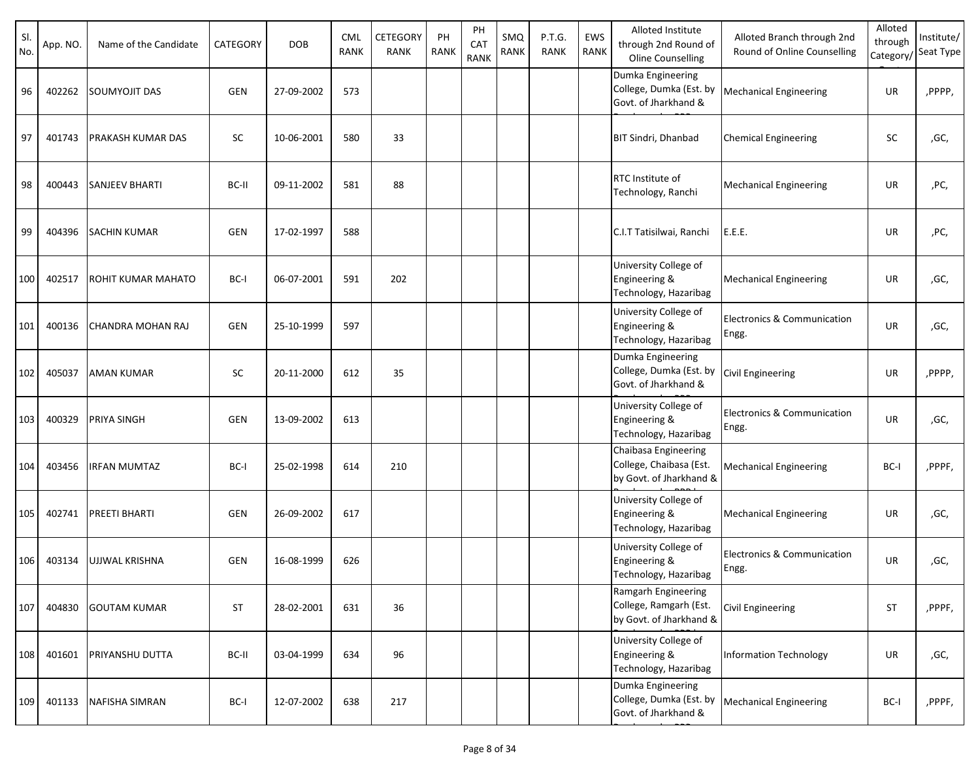| SI.<br>No. | App. NO. | Name of the Candidate     | CATEGORY   | <b>DOB</b> | <b>CML</b><br><b>RANK</b> | CETEGORY<br>RANK | PH<br><b>RANK</b> | PH<br>CAT<br><b>RANK</b> | SMQ<br>RANK | P.T.G.<br><b>RANK</b> | EWS<br><b>RANK</b> | Alloted Institute<br>through 2nd Round of<br>Oline Counselling             | Alloted Branch through 2nd<br>Round of Online Counselling | Alloted<br>through<br>Category, | Institute/<br>Seat Type |
|------------|----------|---------------------------|------------|------------|---------------------------|------------------|-------------------|--------------------------|-------------|-----------------------|--------------------|----------------------------------------------------------------------------|-----------------------------------------------------------|---------------------------------|-------------------------|
| 96         | 402262   | <b>SOUMYOJIT DAS</b>      | <b>GEN</b> | 27-09-2002 | 573                       |                  |                   |                          |             |                       |                    | Dumka Engineering<br>College, Dumka (Est. by<br>Govt. of Jharkhand &       | <b>Mechanical Engineering</b>                             | UR                              | ,PPPP,                  |
| 97         | 401743   | <b>PRAKASH KUMAR DAS</b>  | SC         | 10-06-2001 | 580                       | 33               |                   |                          |             |                       |                    | <b>BIT Sindri, Dhanbad</b>                                                 | <b>Chemical Engineering</b>                               | SC                              | ,GC,                    |
| 98         | 400443   | <b>SANJEEV BHARTI</b>     | BC-II      | 09-11-2002 | 581                       | 88               |                   |                          |             |                       |                    | <b>RTC</b> Institute of<br>Technology, Ranchi                              | <b>Mechanical Engineering</b>                             | UR                              | ,PC,                    |
| 99         | 404396   | <b>SACHIN KUMAR</b>       | GEN        | 17-02-1997 | 588                       |                  |                   |                          |             |                       |                    | C.I.T Tatisilwai, Ranchi                                                   | E.E.E.                                                    | UR                              | ,PC,                    |
| 100        | 402517   | <b>ROHIT KUMAR MAHATO</b> | BC-I       | 06-07-2001 | 591                       | 202              |                   |                          |             |                       |                    | University College of<br>Engineering &<br>Technology, Hazaribag            | <b>Mechanical Engineering</b>                             | UR                              | ,GC,                    |
| 101        | 400136   | <b>CHANDRA MOHAN RAJ</b>  | <b>GEN</b> | 25-10-1999 | 597                       |                  |                   |                          |             |                       |                    | University College of<br>Engineering &<br>Technology, Hazaribag            | Electronics & Communication<br>Engg.                      | <b>UR</b>                       | ,GC,                    |
| 102        | 405037   | <b>AMAN KUMAR</b>         | <b>SC</b>  | 20-11-2000 | 612                       | 35               |                   |                          |             |                       |                    | Dumka Engineering<br>College, Dumka (Est. by<br>Govt. of Jharkhand &       | <b>Civil Engineering</b>                                  | UR                              | ,PPPP,                  |
| 103        | 400329   | <b>PRIYA SINGH</b>        | <b>GEN</b> | 13-09-2002 | 613                       |                  |                   |                          |             |                       |                    | University College of<br>Engineering &<br>Technology, Hazaribag            | Electronics & Communication<br>Engg.                      | UR                              | ,GC,                    |
| 104        | 403456   | <b>IRFAN MUMTAZ</b>       | BC-I       | 25-02-1998 | 614                       | 210              |                   |                          |             |                       |                    | Chaibasa Engineering<br>College, Chaibasa (Est.<br>by Govt. of Jharkhand & | <b>Mechanical Engineering</b>                             | BC-I                            | ,PPPF,                  |
| 105        | 402741   | <b>PREETI BHARTI</b>      | <b>GEN</b> | 26-09-2002 | 617                       |                  |                   |                          |             |                       |                    | University College of<br>Engineering &<br>Technology, Hazaribag            | <b>Mechanical Engineering</b>                             | UR                              | ,GC,                    |
| 106        | 403134   | UJJWAL KRISHNA            | GEN        | 16-08-1999 | 626                       |                  |                   |                          |             |                       |                    | University College of<br>Engineering &<br>Technology, Hazaribag            | Electronics & Communication<br>Engg.                      | UR                              | ,GC,                    |
| 107        | 404830   | <b>GOUTAM KUMAR</b>       | <b>ST</b>  | 28-02-2001 | 631                       | 36               |                   |                          |             |                       |                    | Ramgarh Engineering<br>College, Ramgarh (Est.<br>by Govt. of Jharkhand &   | <b>Civil Engineering</b>                                  | ST                              | ,PPPF,                  |
| 108        | 401601   | PRIYANSHU DUTTA           | BC-II      | 03-04-1999 | 634                       | 96               |                   |                          |             |                       |                    | University College of<br>Engineering &<br>Technology, Hazaribag            | <b>Information Technology</b>                             | UR                              | ,GC,                    |
| 109        | 401133   | NAFISHA SIMRAN            | BC-I       | 12-07-2002 | 638                       | 217              |                   |                          |             |                       |                    | Dumka Engineering<br>College, Dumka (Est. by<br>Govt. of Jharkhand &       | Mechanical Engineering                                    | BC-I                            | ,PPPF,                  |

<u>Run by under Person</u><br>P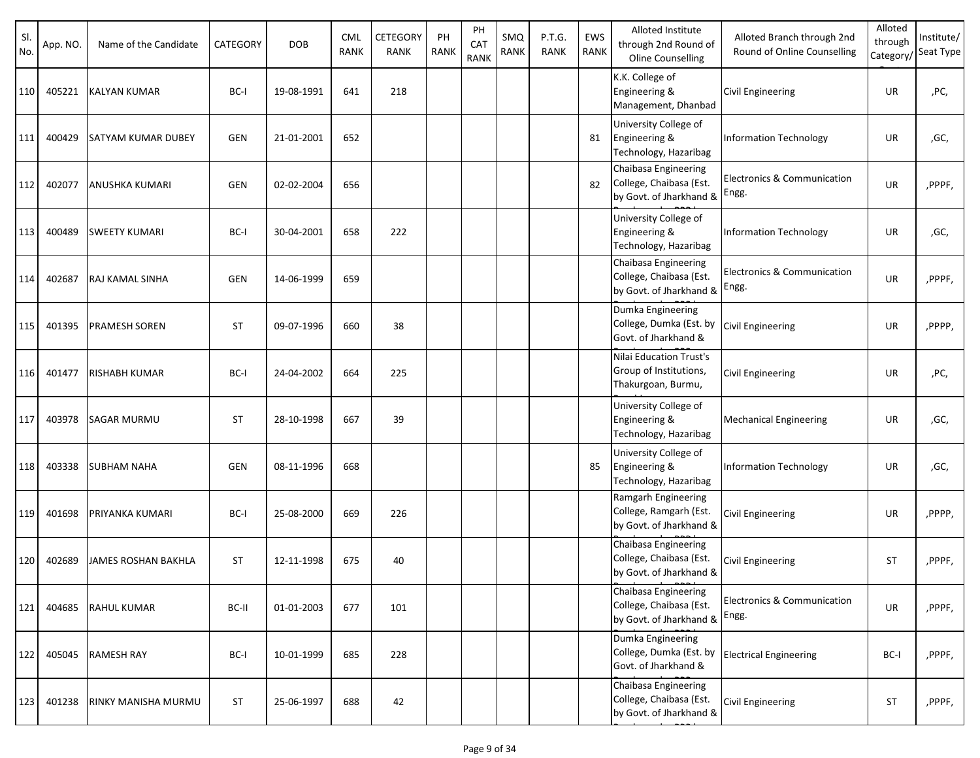| SI.<br>No. | App. NO. | Name of the Candidate     | CATEGORY   | <b>DOB</b> | <b>CML</b><br><b>RANK</b> | CETEGORY<br>RANK | PH<br><b>RANK</b> | PH<br>CAT<br><b>RANK</b> | SMQ<br><b>RANK</b> | P.T.G.<br><b>RANK</b> | EWS<br><b>RANK</b> | Alloted Institute<br>through 2nd Round of<br>Oline Counselling             | Alloted Branch through 2nd<br>Round of Online Counselling | Alloted<br>through<br>Category/ | Institute/<br>Seat Type |
|------------|----------|---------------------------|------------|------------|---------------------------|------------------|-------------------|--------------------------|--------------------|-----------------------|--------------------|----------------------------------------------------------------------------|-----------------------------------------------------------|---------------------------------|-------------------------|
| 110        | 405221   | <b>KALYAN KUMAR</b>       | BC-I       | 19-08-1991 | 641                       | 218              |                   |                          |                    |                       |                    | K.K. College of<br>Engineering &<br>Management, Dhanbad                    | <b>Civil Engineering</b>                                  | UR                              | ,PC,                    |
| 111        | 400429   | <b>SATYAM KUMAR DUBEY</b> | GEN        | 21-01-2001 | 652                       |                  |                   |                          |                    |                       | 81                 | University College of<br>Engineering &<br>Technology, Hazaribag            | <b>Information Technology</b>                             | UR                              | ,GC,                    |
| 112        | 402077   | <b>ANUSHKA KUMARI</b>     | <b>GEN</b> | 02-02-2004 | 656                       |                  |                   |                          |                    |                       | 82                 | Chaibasa Engineering<br>College, Chaibasa (Est.<br>by Govt. of Jharkhand & | <b>Electronics &amp; Communication</b><br>Engg.           | UR                              | ,PPPF,                  |
| 113        | 400489   | <b>SWEETY KUMARI</b>      | BC-I       | 30-04-2001 | 658                       | 222              |                   |                          |                    |                       |                    | University College of<br>Engineering &<br>Technology, Hazaribag            | <b>Information Technology</b>                             | UR                              | ,GC,                    |
| 114        | 402687   | <b>RAJ KAMAL SINHA</b>    | <b>GEN</b> | 14-06-1999 | 659                       |                  |                   |                          |                    |                       |                    | Chaibasa Engineering<br>College, Chaibasa (Est.<br>by Govt. of Jharkhand & | <b>Electronics &amp; Communication</b><br>Engg.           | UR                              | ,PPPF,                  |
| 115        | 401395   | <b>PRAMESH SOREN</b>      | <b>ST</b>  | 09-07-1996 | 660                       | 38               |                   |                          |                    |                       |                    | Dumka Engineering<br>College, Dumka (Est. by<br>Govt. of Jharkhand &       | <b>Civil Engineering</b>                                  | UR                              | ,PPPP,                  |
| 116        | 401477   | <b>RISHABH KUMAR</b>      | BC-I       | 24-04-2002 | 664                       | 225              |                   |                          |                    |                       |                    | Nilai Education Trust's<br>Group of Institutions,<br>Thakurgoan, Burmu,    | <b>Civil Engineering</b>                                  | UR                              | ,PC,                    |
| 117        | 403978   | <b>SAGAR MURMU</b>        | <b>ST</b>  | 28-10-1998 | 667                       | 39               |                   |                          |                    |                       |                    | University College of<br>Engineering &<br>Technology, Hazaribag            | <b>Mechanical Engineering</b>                             | UR                              | ,GC,                    |
| 118        | 403338   | <b>SUBHAM NAHA</b>        | GEN        | 08-11-1996 | 668                       |                  |                   |                          |                    |                       | 85                 | University College of<br>Engineering &<br>Technology, Hazaribag            | Information Technology                                    | UR                              | ,GC,                    |
| 119        | 401698   | PRIYANKA KUMARI           | BC-I       | 25-08-2000 | 669                       | 226              |                   |                          |                    |                       |                    | Ramgarh Engineering<br>College, Ramgarh (Est.<br>by Govt. of Jharkhand &   | Civil Engineering                                         | UR                              | ,PPPP,                  |
| 120        | 402689   | JAMES ROSHAN BAKHLA       | <b>ST</b>  | 12-11-1998 | 675                       | 40               |                   |                          |                    |                       |                    | Chaibasa Engineering<br>College, Chaibasa (Est.<br>by Govt. of Jharkhand & | Civil Engineering                                         | <b>ST</b>                       | ,PPPF,                  |
| 121        | 404685   | <b>RAHUL KUMAR</b>        | BC-II      | 01-01-2003 | 677                       | 101              |                   |                          |                    |                       |                    | Chaibasa Engineering<br>College, Chaibasa (Est.<br>by Govt. of Jharkhand & | Electronics & Communication<br>Engg.                      | UR                              | ,PPPF,                  |
| 122        | 405045   | <b>RAMESH RAY</b>         | BC-I       | 10-01-1999 | 685                       | 228              |                   |                          |                    |                       |                    | Dumka Engineering<br>College, Dumka (Est. by<br>Govt. of Jharkhand &       | <b>Electrical Engineering</b>                             | BC-I                            | ,PPPF,                  |
| 123        | 401238   | RINKY MANISHA MURMU       | <b>ST</b>  | 25-06-1997 | 688                       | 42               |                   |                          |                    |                       |                    | Chaibasa Engineering<br>College, Chaibasa (Est.<br>by Govt. of Jharkhand & | <b>Civil Engineering</b>                                  | <b>ST</b>                       | ,PPPF,                  |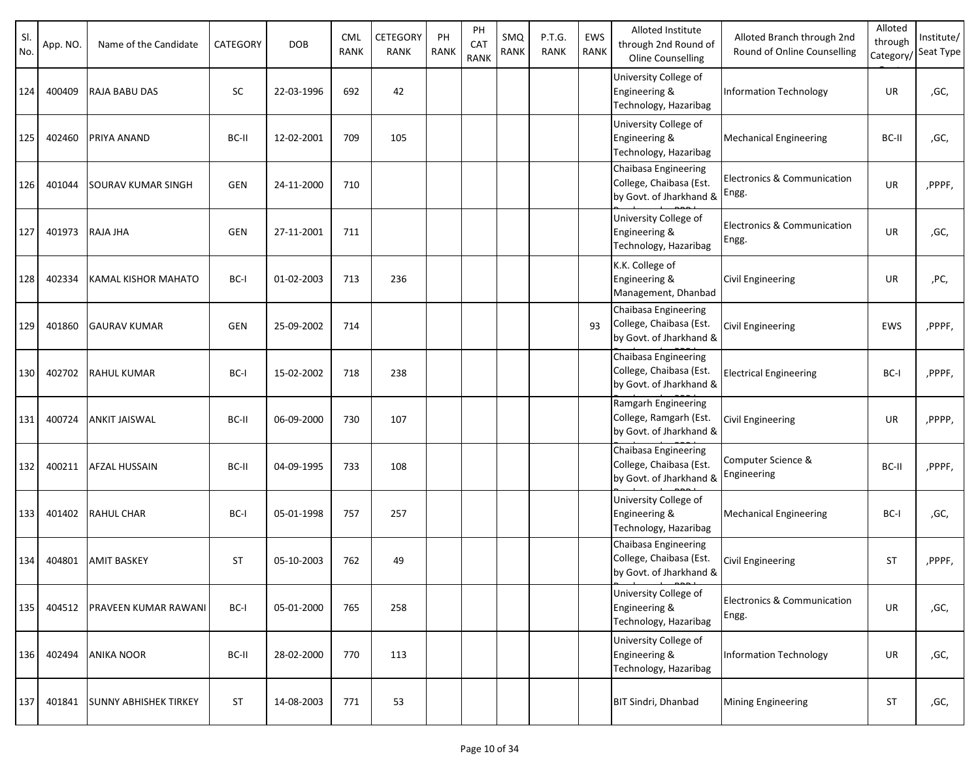| SI.<br>No. | App. NO. | Name of the Candidate        | CATEGORY   | <b>DOB</b> | <b>CML</b><br>RANK | CETEGORY<br><b>RANK</b> | PH<br><b>RANK</b> | PH<br>CAT<br><b>RANK</b> | SMQ<br>RANK | P.T.G.<br><b>RANK</b> | EWS<br><b>RANK</b> | Alloted Institute<br>through 2nd Round of<br>Oline Counselling             | Alloted Branch through 2nd<br>Round of Online Counselling | Alloted<br>through<br>Category/ | Institute/<br>Seat Type |
|------------|----------|------------------------------|------------|------------|--------------------|-------------------------|-------------------|--------------------------|-------------|-----------------------|--------------------|----------------------------------------------------------------------------|-----------------------------------------------------------|---------------------------------|-------------------------|
| 124        | 400409   | <b>RAJA BABU DAS</b>         | SC         | 22-03-1996 | 692                | 42                      |                   |                          |             |                       |                    | University College of<br>Engineering &<br>Technology, Hazaribag            | Information Technology                                    | UR                              | ,GC,                    |
| 125        | 402460   | <b>PRIYA ANAND</b>           | BC-II      | 12-02-2001 | 709                | 105                     |                   |                          |             |                       |                    | University College of<br>Engineering &<br>Technology, Hazaribag            | <b>Mechanical Engineering</b>                             | BC-II                           | ,GC,                    |
| 126        | 401044   | <b>SOURAV KUMAR SINGH</b>    | <b>GEN</b> | 24-11-2000 | 710                |                         |                   |                          |             |                       |                    | Chaibasa Engineering<br>College, Chaibasa (Est.<br>by Govt. of Jharkhand & | <b>Electronics &amp; Communication</b><br>Engg.           | UR                              | ,PPPF,                  |
| 127        | 401973   | RAJA JHA                     | <b>GEN</b> | 27-11-2001 | 711                |                         |                   |                          |             |                       |                    | University College of<br>Engineering &<br>Technology, Hazaribag            | Electronics & Communication<br>Engg.                      | UR                              | ,GC,                    |
| 128        | 402334   | <b>KAMAL KISHOR MAHATO</b>   | BC-I       | 01-02-2003 | 713                | 236                     |                   |                          |             |                       |                    | K.K. College of<br>Engineering &<br>Management, Dhanbad                    | Civil Engineering                                         | UR                              | ,PC,                    |
| 129        | 401860   | <b>GAURAV KUMAR</b>          | <b>GEN</b> | 25-09-2002 | 714                |                         |                   |                          |             |                       | 93                 | Chaibasa Engineering<br>College, Chaibasa (Est.<br>by Govt. of Jharkhand & | <b>Civil Engineering</b>                                  | EWS                             | ,PPPF,                  |
| 130        | 402702   | <b>RAHUL KUMAR</b>           | BC-I       | 15-02-2002 | 718                | 238                     |                   |                          |             |                       |                    | Chaibasa Engineering<br>College, Chaibasa (Est.<br>by Govt. of Jharkhand & | <b>Electrical Engineering</b>                             | BC-I                            | ,PPPF,                  |
| 131        | 400724   | <b>ANKIT JAISWAL</b>         | BC-II      | 06-09-2000 | 730                | 107                     |                   |                          |             |                       |                    | Ramgarh Engineering<br>College, Ramgarh (Est.<br>by Govt. of Jharkhand &   | Civil Engineering                                         | UR                              | ,PPPP,                  |
| 132        | 400211   | <b>AFZAL HUSSAIN</b>         | BC-II      | 04-09-1995 | 733                | 108                     |                   |                          |             |                       |                    | Chaibasa Engineering<br>College, Chaibasa (Est.<br>by Govt. of Jharkhand & | Computer Science &<br>Engineering                         | BC-II                           | ,PPPF,                  |
| 133        | 401402   | <b>RAHUL CHAR</b>            | BC-I       | 05-01-1998 | 757                | 257                     |                   |                          |             |                       |                    | University College of<br>Engineering &<br>Technology, Hazaribag            | <b>Mechanical Engineering</b>                             | BC-I                            | ,GC,                    |
| 134        | 404801   | <b>AMIT BASKEY</b>           | <b>ST</b>  | 05-10-2003 | 762                | 49                      |                   |                          |             |                       |                    | Chaibasa Engineering<br>College, Chaibasa (Est.<br>by Govt. of Jharkhand & | <b>Civil Engineering</b>                                  | <b>ST</b>                       | ,PPPF,                  |
| 135        | 404512   | <b>PRAVEEN KUMAR RAWANI</b>  | BC-I       | 05-01-2000 | 765                | 258                     |                   |                          |             |                       |                    | University College of<br>Engineering &<br>Technology, Hazaribag            | Electronics & Communication<br>Engg.                      | UR                              | ,GC,                    |
| 136        | 402494   | <b>ANIKA NOOR</b>            | BC-II      | 28-02-2000 | 770                | 113                     |                   |                          |             |                       |                    | University College of<br>Engineering &<br>Technology, Hazaribag            | Information Technology                                    | UR                              | ,GC,                    |
| 137        | 401841   | <b>SUNNY ABHISHEK TIRKEY</b> | <b>ST</b>  | 14-08-2003 | 771                | 53                      |                   |                          |             |                       |                    | <b>BIT Sindri, Dhanbad</b>                                                 | <b>Mining Engineering</b>                                 | <b>ST</b>                       | ,GC,                    |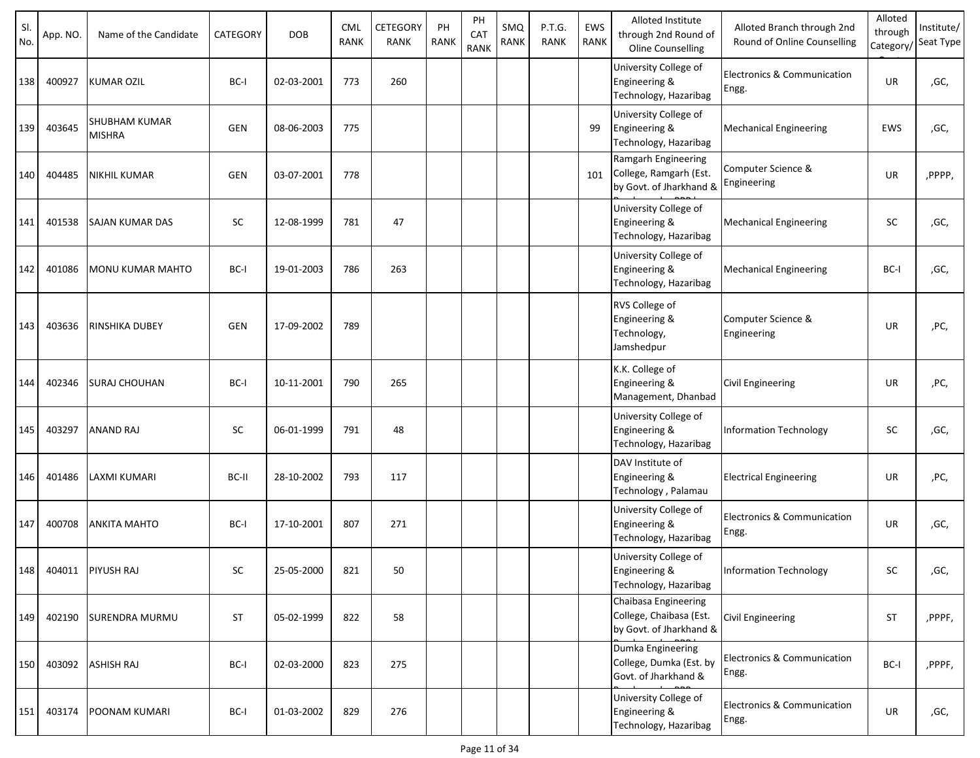| SI.<br>No. | App. NO. | Name of the Candidate                 | CATEGORY   | <b>DOB</b> | <b>CML</b><br><b>RANK</b> | <b>CETEGORY</b><br>RANK | PH<br><b>RANK</b> | PH<br>CAT<br><b>RANK</b> | SMQ<br>RANK | P.T.G.<br><b>RANK</b> | EWS<br>RANK | Alloted Institute<br>through 2nd Round of<br>Oline Counselling             | Alloted Branch through 2nd<br>Round of Online Counselling | Alloted<br>through<br>Category | Institute/<br>Seat Type |
|------------|----------|---------------------------------------|------------|------------|---------------------------|-------------------------|-------------------|--------------------------|-------------|-----------------------|-------------|----------------------------------------------------------------------------|-----------------------------------------------------------|--------------------------------|-------------------------|
| 138        | 400927   | <b>KUMAR OZIL</b>                     | BC-I       | 02-03-2001 | 773                       | 260                     |                   |                          |             |                       |             | University College of<br>Engineering &<br>Technology, Hazaribag            | Electronics & Communication<br>Engg.                      | UR                             | ,GC,                    |
| 139        | 403645   | <b>SHUBHAM KUMAR</b><br><b>MISHRA</b> | <b>GEN</b> | 08-06-2003 | 775                       |                         |                   |                          |             |                       | 99          | University College of<br>Engineering &<br>Technology, Hazaribag            | <b>Mechanical Engineering</b>                             | EWS                            | ,GC,                    |
| 140        | 404485   | <b>NIKHIL KUMAR</b>                   | <b>GEN</b> | 03-07-2001 | 778                       |                         |                   |                          |             |                       | 101         | Ramgarh Engineering<br>College, Ramgarh (Est.<br>by Govt. of Jharkhand &   | Computer Science &<br>Engineering                         | UR                             | ,PPPP,                  |
| 141        | 401538   | <b>SAJAN KUMAR DAS</b>                | <b>SC</b>  | 12-08-1999 | 781                       | 47                      |                   |                          |             |                       |             | University College of<br>Engineering &<br>Technology, Hazaribag            | <b>Mechanical Engineering</b>                             | SC                             | ,GC,                    |
| 142        | 401086   | <b>MONU KUMAR MAHTO</b>               | BC-I       | 19-01-2003 | 786                       | 263                     |                   |                          |             |                       |             | University College of<br>Engineering &<br>Technology, Hazaribag            | <b>Mechanical Engineering</b>                             | BC-I                           | ,GC,                    |
| 143        | 403636   | <b>RINSHIKA DUBEY</b>                 | GEN        | 17-09-2002 | 789                       |                         |                   |                          |             |                       |             | RVS College of<br>Engineering &<br>Technology,<br>Jamshedpur               | Computer Science &<br>Engineering                         | UR                             | ,PC,                    |
| 144        | 402346   | <b>SURAJ CHOUHAN</b>                  | BC-I       | 10-11-2001 | 790                       | 265                     |                   |                          |             |                       |             | K.K. College of<br>Engineering &<br>Management, Dhanbad                    | <b>Civil Engineering</b>                                  | UR                             | ,PC,                    |
| 145        | 403297   | <b>ANAND RAJ</b>                      | SC         | 06-01-1999 | 791                       | 48                      |                   |                          |             |                       |             | University College of<br>Engineering &<br>Technology, Hazaribag            | Information Technology                                    | <b>SC</b>                      | ,GC,                    |
| 146        | 401486   | LAXMI KUMARI                          | BC-II      | 28-10-2002 | 793                       | 117                     |                   |                          |             |                       |             | DAV Institute of<br>Engineering &<br>Technology, Palamau                   | <b>Electrical Engineering</b>                             | UR                             | ,PC,                    |
| 147        | 400708   | <b>ANKITA MAHTO</b>                   | BC-I       | 17-10-2001 | 807                       | 271                     |                   |                          |             |                       |             | University College of<br>Engineering &<br>Technology, Hazaribag            | Electronics & Communication<br>Engg.                      | UR                             | ,GC,                    |
| 148        |          | 404011 PIYUSH RAJ                     | SC         | 25-05-2000 | 821                       | 50                      |                   |                          |             |                       |             | University College of<br>Engineering &<br>Technology, Hazaribag            | Information Technology                                    | <b>SC</b>                      | ,GC,                    |
| 149        | 402190   | <b>SURENDRA MURMU</b>                 | ST         | 05-02-1999 | 822                       | 58                      |                   |                          |             |                       |             | Chaibasa Engineering<br>College, Chaibasa (Est.<br>by Govt. of Jharkhand & | <b>Civil Engineering</b>                                  | <b>ST</b>                      | ,PPPF,                  |
| 150        | 403092   | <b>ASHISH RAJ</b>                     | BC-I       | 02-03-2000 | 823                       | 275                     |                   |                          |             |                       |             | Dumka Engineering<br>College, Dumka (Est. by<br>Govt. of Jharkhand &       | Electronics & Communication<br>Engg.                      | BC-I                           | ,PPPF,                  |
| 151        | 403174   | POONAM KUMARI                         | BC-I       | 01-03-2002 | 829                       | 276                     |                   |                          |             |                       |             | University College of<br>Engineering &<br>Technology, Hazaribag            | Electronics & Communication<br>Engg.                      | UR                             | ,GC,                    |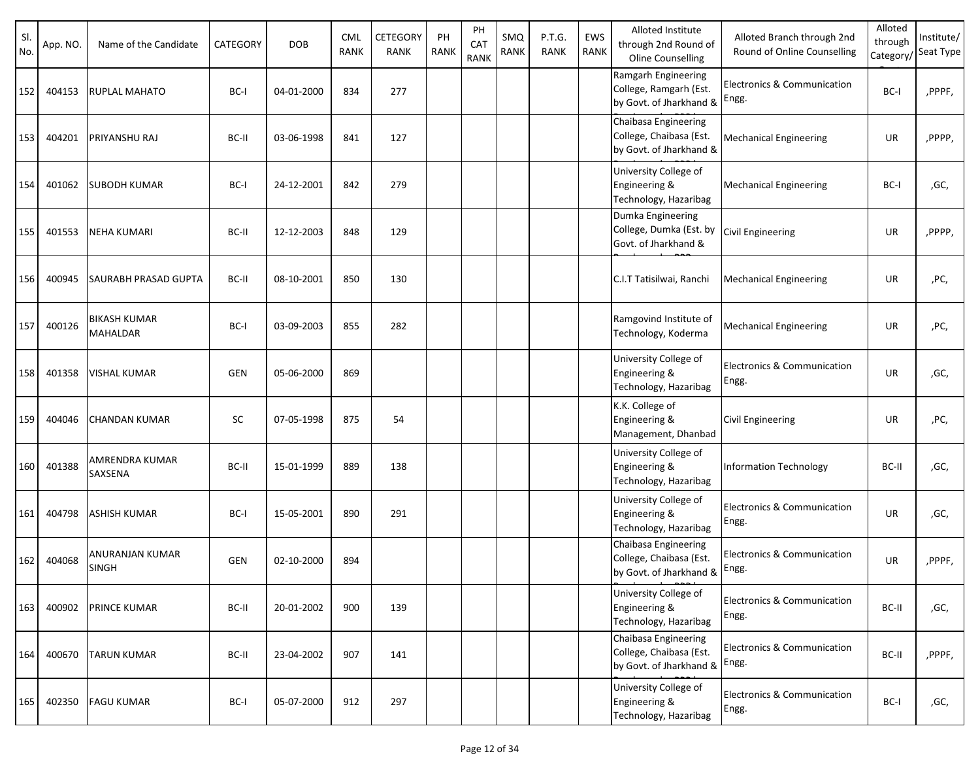| SI.<br>No. | App. NO. | Name of the Candidate           | CATEGORY   | <b>DOB</b> | CML<br><b>RANK</b> | CETEGORY<br><b>RANK</b> | PH<br><b>RANK</b> | PH<br>CAT<br><b>RANK</b> | SMQ<br>RANK | P.T.G.<br><b>RANK</b> | EWS<br><b>RANK</b> | Alloted Institute<br>through 2nd Round of<br>Oline Counselling                   | Alloted Branch through 2nd<br>Round of Online Counselling | Alloted<br>through<br>Category/ | Institute/<br>Seat Type |
|------------|----------|---------------------------------|------------|------------|--------------------|-------------------------|-------------------|--------------------------|-------------|-----------------------|--------------------|----------------------------------------------------------------------------------|-----------------------------------------------------------|---------------------------------|-------------------------|
| 152        | 404153   | <b>RUPLAL MAHATO</b>            | BC-I       | 04-01-2000 | 834                | 277                     |                   |                          |             |                       |                    | Ramgarh Engineering<br>College, Ramgarh (Est.<br>by Govt. of Jharkhand &         | Electronics & Communication<br>Engg.                      | BC-I                            | ,PPPF,                  |
| 153        | 404201   | PRIYANSHU RAJ                   | BC-II      | 03-06-1998 | 841                | 127                     |                   |                          |             |                       |                    | Chaibasa Engineering<br>College, Chaibasa (Est.<br>by Govt. of Jharkhand &       | <b>Mechanical Engineering</b>                             | UR                              | ,PPPP,                  |
| 154        | 401062   | <b>SUBODH KUMAR</b>             | BC-I       | 24-12-2001 | 842                | 279                     |                   |                          |             |                       |                    | University College of<br>Engineering &<br>Technology, Hazaribag                  | <b>Mechanical Engineering</b>                             | BC-I                            | ,GC,                    |
| 155        | 401553   | <b>NEHA KUMARI</b>              | BC-II      | 12-12-2003 | 848                | 129                     |                   |                          |             |                       |                    | Dumka Engineering<br>College, Dumka (Est. by<br>Govt. of Jharkhand &             | Civil Engineering                                         | UR                              | ,PPPP,                  |
| 156        | 400945   | SAURABH PRASAD GUPTA            | BC-II      | 08-10-2001 | 850                | 130                     |                   |                          |             |                       |                    | C.I.T Tatisilwai, Ranchi                                                         | <b>Mechanical Engineering</b>                             | UR                              | ,PC,                    |
| 157        | 400126   | <b>BIKASH KUMAR</b><br>MAHALDAR | BC-I       | 03-09-2003 | 855                | 282                     |                   |                          |             |                       |                    | Ramgovind Institute of<br>Technology, Koderma                                    | <b>Mechanical Engineering</b>                             | UR                              | ,PC,                    |
| 158        | 401358   | <b>VISHAL KUMAR</b>             | <b>GEN</b> | 05-06-2000 | 869                |                         |                   |                          |             |                       |                    | University College of<br>Engineering &<br>Technology, Hazaribag                  | Electronics & Communication<br>Engg.                      | UR                              | ,GC,                    |
| 159        | 404046   | <b>CHANDAN KUMAR</b>            | <b>SC</b>  | 07-05-1998 | 875                | 54                      |                   |                          |             |                       |                    | K.K. College of<br>Engineering &<br>Management, Dhanbad                          | Civil Engineering                                         | UR                              | ,PC,                    |
| 160        | 401388   | AMRENDRA KUMAR<br>SAXSENA       | BC-II      | 15-01-1999 | 889                | 138                     |                   |                          |             |                       |                    | University College of<br>Engineering &<br>Technology, Hazaribag                  | <b>Information Technology</b>                             | BC-II                           | ,GC,                    |
| 161        | 404798   | <b>ASHISH KUMAR</b>             | BC-I       | 15-05-2001 | 890                | 291                     |                   |                          |             |                       |                    | University College of<br>Engineering &<br>Technology, Hazaribag                  | Electronics & Communication<br>Engg.                      | UR                              | ,GC,                    |
| 162        | 404068   | ANURANJAN KUMAR<br><b>SINGH</b> | GEN        | 02-10-2000 | 894                |                         |                   |                          |             |                       |                    | Chaibasa Engineering<br>College, Chaibasa (Est.<br>by Govt. of Jharkhand & Engg. | <b>Electronics &amp; Communication</b>                    | <b>UR</b>                       | ,PPPF,                  |
| 163        | 400902   | PRINCE KUMAR                    | BC-II      | 20-01-2002 | 900                | 139                     |                   |                          |             |                       |                    | University College of<br>Engineering &<br>Technology, Hazaribag                  | Electronics & Communication<br>Engg.                      | BC-II                           | ,GC,                    |
| 164        | 400670   | <b>TARUN KUMAR</b>              | BC-II      | 23-04-2002 | 907                | 141                     |                   |                          |             |                       |                    | Chaibasa Engineering<br>College, Chaibasa (Est.<br>by Govt. of Jharkhand &       | Electronics & Communication<br>Engg.                      | BC-II                           | ,PPPF,                  |
| 165        | 402350   | <b>FAGU KUMAR</b>               | BC-I       | 05-07-2000 | 912                | 297                     |                   |                          |             |                       |                    | University College of<br>Engineering &<br>Technology, Hazaribag                  | Electronics & Communication<br>Engg.                      | BC-I                            | ,GC,                    |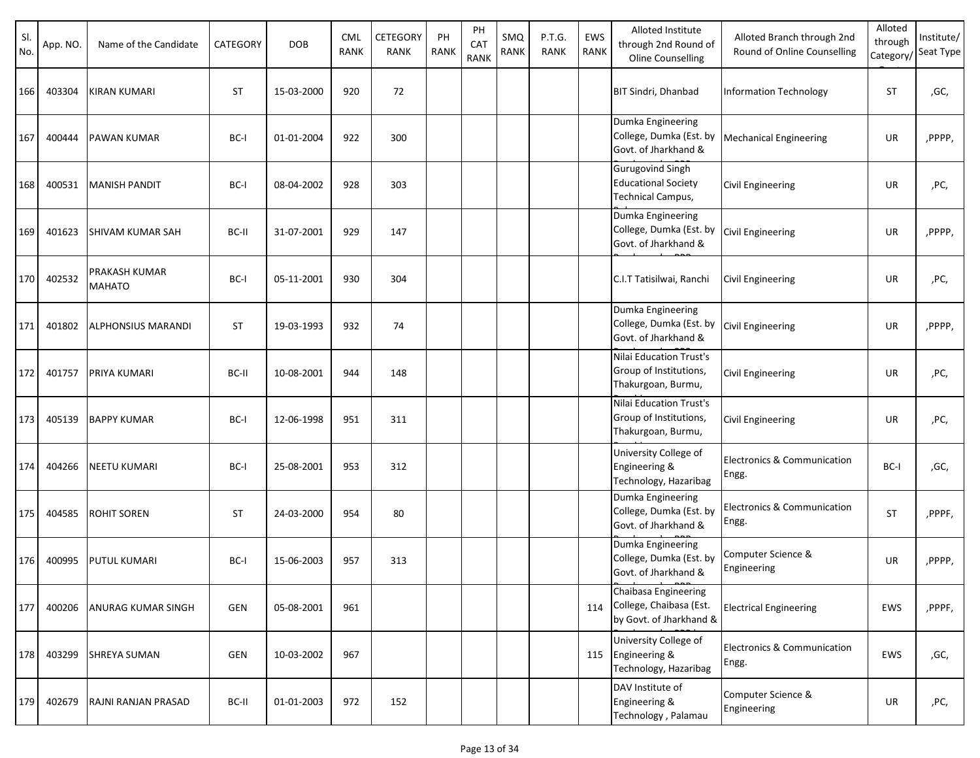| SI.<br>No. | App. NO. | Name of the Candidate                 | CATEGORY   | <b>DOB</b> | <b>CML</b><br><b>RANK</b> | CETEGORY<br>RANK | PH<br>RANK | PH<br>CAT<br>RANK | SMQ<br>RANK | P.T.G.<br><b>RANK</b> | EWS<br><b>RANK</b> | Alloted Institute<br>through 2nd Round of<br>Oline Counselling                    | Alloted Branch through 2nd<br>Round of Online Counselling | Alloted<br>through<br>Category/ | Institute/<br>Seat Type |
|------------|----------|---------------------------------------|------------|------------|---------------------------|------------------|------------|-------------------|-------------|-----------------------|--------------------|-----------------------------------------------------------------------------------|-----------------------------------------------------------|---------------------------------|-------------------------|
| 166        | 403304   | <b>KIRAN KUMARI</b>                   | <b>ST</b>  | 15-03-2000 | 920                       | 72               |            |                   |             |                       |                    | <b>BIT Sindri, Dhanbad</b>                                                        | Information Technology                                    | <b>ST</b>                       | ,GC,                    |
| 167        | 400444   | <b>PAWAN KUMAR</b>                    | BC-I       | 01-01-2004 | 922                       | 300              |            |                   |             |                       |                    | Dumka Engineering<br>College, Dumka (Est. by<br>Govt. of Jharkhand &              | <b>Mechanical Engineering</b>                             | UR                              | ,PPPP,                  |
| 168        | 400531   | <b>MANISH PANDIT</b>                  | BC-I       | 08-04-2002 | 928                       | 303              |            |                   |             |                       |                    | <b>Gurugovind Singh</b><br><b>Educational Society</b><br><b>Technical Campus,</b> | <b>Civil Engineering</b>                                  | UR                              | ,PC,                    |
| 169        | 401623   | <b>SHIVAM KUMAR SAH</b>               | BC-II      | 31-07-2001 | 929                       | 147              |            |                   |             |                       |                    | Dumka Engineering<br>College, Dumka (Est. by<br>Govt. of Jharkhand &              | <b>Civil Engineering</b>                                  | UR                              | ,PPPP,                  |
| 170        | 402532   | <b>PRAKASH KUMAR</b><br><b>MAHATO</b> | BC-I       | 05-11-2001 | 930                       | 304              |            |                   |             |                       |                    | C.I.T Tatisilwai, Ranchi                                                          | <b>Civil Engineering</b>                                  | UR                              | ,PC,                    |
| 171        | 401802   | <b>ALPHONSIUS MARANDI</b>             | <b>ST</b>  | 19-03-1993 | 932                       | 74               |            |                   |             |                       |                    | Dumka Engineering<br>College, Dumka (Est. by<br>Govt. of Jharkhand &              | <b>Civil Engineering</b>                                  | UR                              | ,PPPP,                  |
| 172        | 401757   | <b>PRIYA KUMARI</b>                   | BC-II      | 10-08-2001 | 944                       | 148              |            |                   |             |                       |                    | Nilai Education Trust's<br>Group of Institutions,<br>Thakurgoan, Burmu,           | Civil Engineering                                         | UR                              | ,PC,                    |
| 173        | 405139   | <b>BAPPY KUMAR</b>                    | BC-I       | 12-06-1998 | 951                       | 311              |            |                   |             |                       |                    | Nilai Education Trust's<br>Group of Institutions,<br>Thakurgoan, Burmu,           | Civil Engineering                                         | UR                              | ,PC,                    |
| 174        | 404266   | <b>NEETU KUMARI</b>                   | BC-I       | 25-08-2001 | 953                       | 312              |            |                   |             |                       |                    | University College of<br>Engineering &<br>Technology, Hazaribag                   | Electronics & Communication<br>Engg.                      | BC-I                            | ,GC,                    |
| 175        | 404585   | <b>ROHIT SOREN</b>                    | <b>ST</b>  | 24-03-2000 | 954                       | 80               |            |                   |             |                       |                    | Dumka Engineering<br>College, Dumka (Est. by<br>Govt. of Jharkhand &              | Electronics & Communication<br>Engg.                      | <b>ST</b>                       | ,PPPF,                  |
| 176        | 400995   | <b>PUTUL KUMARI</b>                   | BC-I       | 15-06-2003 | 957                       | 313              |            |                   |             |                       |                    | Dumka Engineering<br>College, Dumka (Est. by<br>Govt. of Jharkhand &              | Computer Science &<br>Engineering                         | UR                              | ,PPPP,                  |
| 177        | 400206   | <b>ANURAG KUMAR SINGH</b>             | <b>GEN</b> | 05-08-2001 | 961                       |                  |            |                   |             |                       | 114                | Chaibasa Engineering<br>College, Chaibasa (Est.<br>by Govt. of Jharkhand &        | <b>Electrical Engineering</b>                             | EWS                             | ,PPPF,                  |
| 178        | 403299   | <b>SHREYA SUMAN</b>                   | <b>GEN</b> | 10-03-2002 | 967                       |                  |            |                   |             |                       | 115                | University College of<br>Engineering &<br>Technology, Hazaribag                   | Electronics & Communication<br>Engg.                      | EWS                             | ,GC,                    |
| 179        | 402679   | RAJNI RANJAN PRASAD                   | BC-II      | 01-01-2003 | 972                       | 152              |            |                   |             |                       |                    | DAV Institute of<br>Engineering &<br>Technology, Palamau                          | Computer Science &<br>Engineering                         | UR                              | ,PC,                    |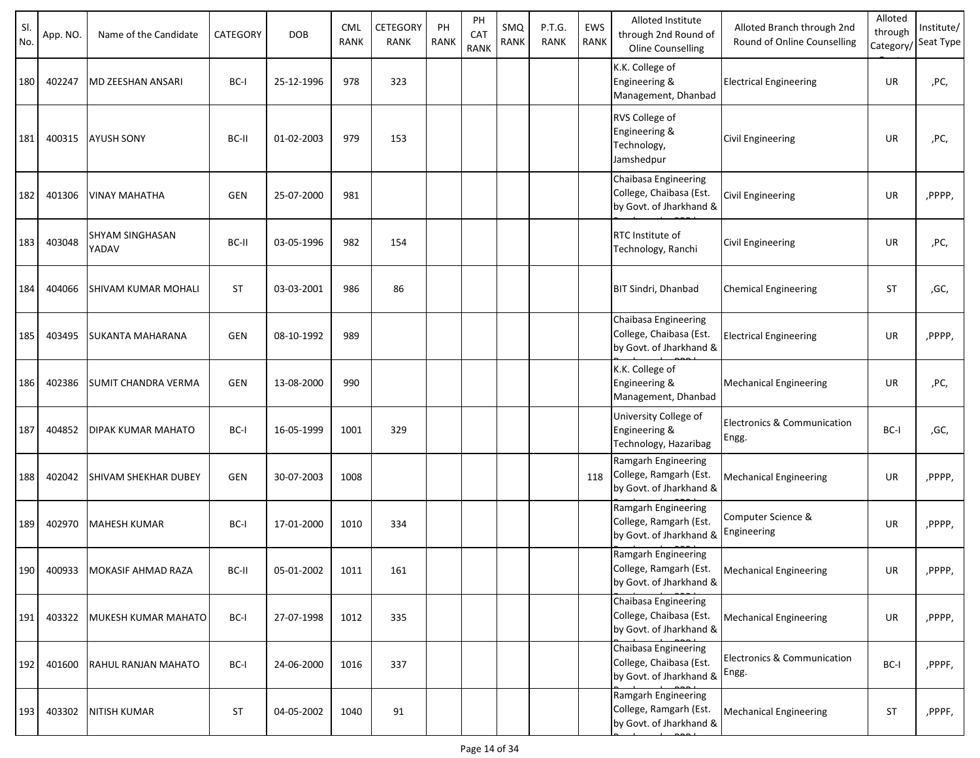| SI.<br>No. | App. NO. | Name of the Candidate           | CATEGORY   | <b>DOB</b> | <b>CML</b><br><b>RANK</b> | CETEGORY<br>RANK | PH<br><b>RANK</b> | PH<br>CA <sub>1</sub><br><b>RANK</b> | SMQ<br>RANK | P.T.G.<br><b>RANK</b> | EWS<br>RANK | Alloted Institute<br>through 2nd Round of<br><b>Oline Counselling</b>      | Alloted Branch through 2nd<br>Round of Online Counselling | Alloted<br>through<br>Category/ | Institute/<br>Seat Type |
|------------|----------|---------------------------------|------------|------------|---------------------------|------------------|-------------------|--------------------------------------|-------------|-----------------------|-------------|----------------------------------------------------------------------------|-----------------------------------------------------------|---------------------------------|-------------------------|
| 180        | 402247   | <b>MD ZEESHAN ANSARI</b>        | BC-I       | 25-12-1996 | 978                       | 323              |                   |                                      |             |                       |             | K.K. College of<br>Engineering &<br>Management, Dhanbad                    | <b>Electrical Engineering</b>                             | UR                              | ,PC,                    |
| 181        | 400315   | <b>AYUSH SONY</b>               | BC-II      | 01-02-2003 | 979                       | 153              |                   |                                      |             |                       |             | RVS College of<br>Engineering &<br>Technology,<br>Jamshedpur               | <b>Civil Engineering</b>                                  | UR                              | ,PC,                    |
| 182        | 401306   | <b>VINAY MAHATHA</b>            | <b>GEN</b> | 25-07-2000 | 981                       |                  |                   |                                      |             |                       |             | Chaibasa Engineering<br>College, Chaibasa (Est.<br>by Govt. of Jharkhand & | Civil Engineering                                         | UR                              | ,PPPP,                  |
| 183        | 403048   | <b>SHYAM SINGHASAN</b><br>YADAV | BC-II      | 03-05-1996 | 982                       | 154              |                   |                                      |             |                       |             | <b>RTC</b> Institute of<br>Technology, Ranchi                              | Civil Engineering                                         | UR                              | ,PC,                    |
| 184        | 404066   | <b>SHIVAM KUMAR MOHALI</b>      | <b>ST</b>  | 03-03-2001 | 986                       | 86               |                   |                                      |             |                       |             | <b>BIT Sindri, Dhanbad</b>                                                 | <b>Chemical Engineering</b>                               | ST                              | ,GC,                    |
| 185        | 403495   | <b>SUKANTA MAHARANA</b>         | <b>GEN</b> | 08-10-1992 | 989                       |                  |                   |                                      |             |                       |             | Chaibasa Engineering<br>College, Chaibasa (Est.<br>by Govt. of Jharkhand & | <b>Electrical Engineering</b>                             | UR                              | ,PPPP,                  |
| 186        | 402386   | <b>SUMIT CHANDRA VERMA</b>      | <b>GEN</b> | 13-08-2000 | 990                       |                  |                   |                                      |             |                       |             | K.K. College of<br>Engineering &<br>Management, Dhanbad                    | <b>Mechanical Engineering</b>                             | UR                              | ,PC,                    |
| 187        | 404852   | <b>DIPAK KUMAR MAHATO</b>       | BC-I       | 16-05-1999 | 1001                      | 329              |                   |                                      |             |                       |             | University College of<br>Engineering &<br>Technology, Hazaribag            | Electronics & Communication<br>Engg.                      | BC-I                            | ,GC,                    |
| 188        | 402042   | <b>SHIVAM SHEKHAR DUBEY</b>     | <b>GEN</b> | 30-07-2003 | 1008                      |                  |                   |                                      |             |                       | 118         | Ramgarh Engineering<br>College, Ramgarh (Est.<br>by Govt. of Jharkhand &   | <b>Mechanical Engineering</b>                             | UR                              | ,PPPP,                  |
| 189        | 402970   | <b>MAHESH KUMAR</b>             | BC-I       | 17-01-2000 | 1010                      | 334              |                   |                                      |             |                       |             | Ramgarh Engineering<br>College, Ramgarh (Est.<br>by Govt. of Jharkhand &   | Computer Science &<br>Engineering                         | UR                              | ,PPPP,                  |
| 190        | 400933   | MOKASIF AHMAD RAZA              | BC-II      | 05-01-2002 | 1011                      | 161              |                   |                                      |             |                       |             | Ramgarh Engineering<br>College, Ramgarh (Est.<br>by Govt. of Jharkhand &   | <b>Mechanical Engineering</b>                             | UR                              | ,PPPP,                  |
| 191        | 403322   | MUKESH KUMAR MAHATO             | BC-I       | 27-07-1998 | 1012                      | 335              |                   |                                      |             |                       |             | Chaibasa Engineering<br>College, Chaibasa (Est.<br>by Govt. of Jharkhand & | <b>Mechanical Engineering</b>                             | UR                              | ,PPPP,                  |
| 192        | 401600   | RAHUL RANJAN MAHATO             | BC-I       | 24-06-2000 | 1016                      | 337              |                   |                                      |             |                       |             | Chaibasa Engineering<br>College, Chaibasa (Est.<br>by Govt. of Jharkhand & | Electronics & Communication<br>Engg.                      | BC-I                            | ,PPPF,                  |
| 193        | 403302   | <b>NITISH KUMAR</b>             | <b>ST</b>  | 04-05-2002 | 1040                      | 91               |                   |                                      |             |                       |             | Ramgarh Engineering<br>College, Ramgarh (Est.<br>by Govt. of Jharkhand &   | <b>Mechanical Engineering</b>                             | <b>ST</b>                       | ,PPPF,                  |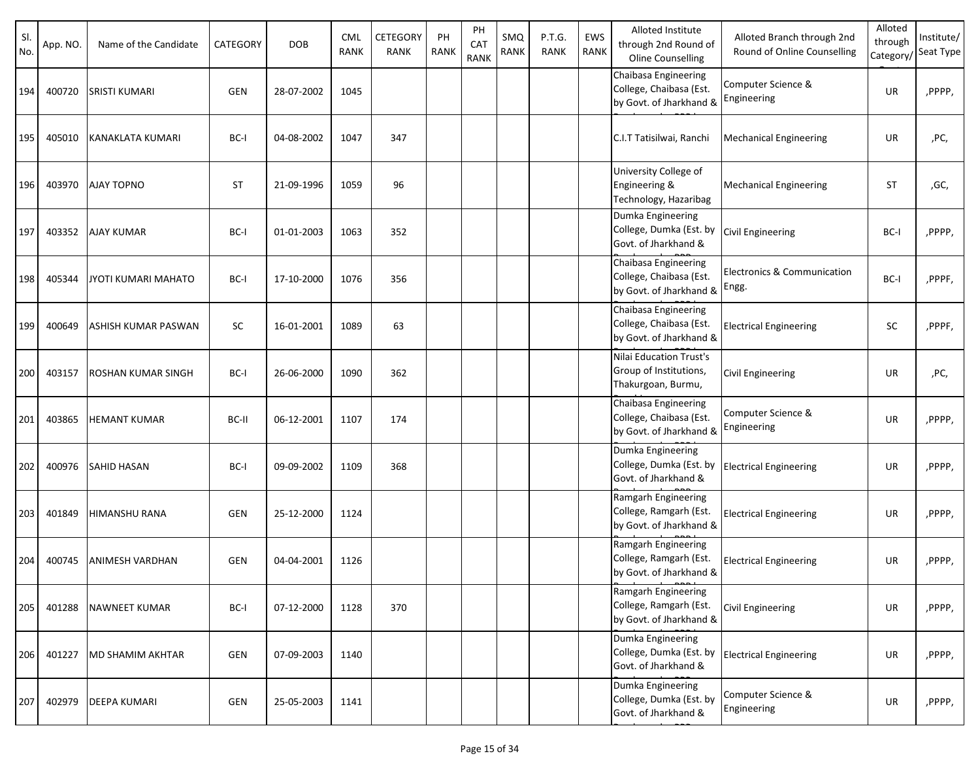| SI.<br>No. | App. NO. | Name of the Candidate     | <b>CATEGORY</b> | <b>DOB</b> | <b>CML</b><br><b>RANK</b> | CETEGORY<br>RANK | PH<br><b>RANK</b> | PH<br>CAT<br><b>RANK</b> | SMQ<br>RANK | P.T.G.<br><b>RANK</b> | EWS<br>RANK | Alloted Institute<br>through 2nd Round of<br>Oline Counselling             | Alloted Branch through 2nd<br>Round of Online Counselling | Alloted<br>through<br>Category, | Institute/<br>Seat Type |
|------------|----------|---------------------------|-----------------|------------|---------------------------|------------------|-------------------|--------------------------|-------------|-----------------------|-------------|----------------------------------------------------------------------------|-----------------------------------------------------------|---------------------------------|-------------------------|
| 194        | 400720   | <b>SRISTI KUMARI</b>      | <b>GEN</b>      | 28-07-2002 | 1045                      |                  |                   |                          |             |                       |             | Chaibasa Engineering<br>College, Chaibasa (Est.<br>by Govt. of Jharkhand & | Computer Science &<br>Engineering                         | UR                              | ,PPPP,                  |
| 195        | 405010   | KANAKLATA KUMARI          | BC-I            | 04-08-2002 | 1047                      | 347              |                   |                          |             |                       |             | C.I.T Tatisilwai, Ranchi                                                   | <b>Mechanical Engineering</b>                             | UR                              | ,PC,                    |
| 196        | 403970   | <b>AJAY TOPNO</b>         | <b>ST</b>       | 21-09-1996 | 1059                      | 96               |                   |                          |             |                       |             | University College of<br>Engineering &<br>Technology, Hazaribag            | <b>Mechanical Engineering</b>                             | <b>ST</b>                       | ,GC,                    |
| 197        | 403352   | <b>AJAY KUMAR</b>         | BC-I            | 01-01-2003 | 1063                      | 352              |                   |                          |             |                       |             | Dumka Engineering<br>College, Dumka (Est. by<br>Govt. of Jharkhand &       | <b>Civil Engineering</b>                                  | BC-I                            | ,PPPP,                  |
| 198        | 405344   | JYOTI KUMARI MAHATO       | BC-I            | 17-10-2000 | 1076                      | 356              |                   |                          |             |                       |             | Chaibasa Engineering<br>College, Chaibasa (Est.<br>by Govt. of Jharkhand & | Electronics & Communication<br>Engg.                      | BC-I                            | ,PPPF,                  |
| 199        | 400649   | ASHISH KUMAR PASWAN       | <b>SC</b>       | 16-01-2001 | 1089                      | 63               |                   |                          |             |                       |             | Chaibasa Engineering<br>College, Chaibasa (Est.<br>by Govt. of Jharkhand & | <b>Electrical Engineering</b>                             | SC                              | ,PPPF,                  |
| 200        | 403157   | <b>ROSHAN KUMAR SINGH</b> | BC-I            | 26-06-2000 | 1090                      | 362              |                   |                          |             |                       |             | Nilai Education Trust's<br>Group of Institutions,<br>Thakurgoan, Burmu,    | Civil Engineering                                         | UR                              | ,PC,                    |
| 201        | 403865   | <b>HEMANT KUMAR</b>       | BC-II           | 06-12-2001 | 1107                      | 174              |                   |                          |             |                       |             | Chaibasa Engineering<br>College, Chaibasa (Est.<br>by Govt. of Jharkhand & | Computer Science &<br>Engineering                         | UR                              | ,PPPP,                  |
| 202        | 400976   | <b>SAHID HASAN</b>        | BC-I            | 09-09-2002 | 1109                      | 368              |                   |                          |             |                       |             | Dumka Engineering<br>College, Dumka (Est. by<br>Govt. of Jharkhand &       | <b>Electrical Engineering</b>                             | UR                              | ,PPPP,                  |
| 203        | 401849   | HIMANSHU RANA             | <b>GEN</b>      | 25-12-2000 | 1124                      |                  |                   |                          |             |                       |             | Ramgarh Engineering<br>College, Ramgarh (Est.<br>by Govt. of Jharkhand &   | <b>Electrical Engineering</b>                             | UR                              | ,PPPP,                  |
| 204        | 400745   | <b>ANIMESH VARDHAN</b>    | <b>GEN</b>      | 04-04-2001 | 1126                      |                  |                   |                          |             |                       |             | Ramgarh Engineering<br>College, Ramgarh (Est.<br>by Govt. of Jharkhand &   | <b>Electrical Engineering</b>                             | UR                              | ,PPPP,                  |
| 205        | 401288   | NAWNEET KUMAR             | BC-I            | 07-12-2000 | 1128                      | 370              |                   |                          |             |                       |             | Ramgarh Engineering<br>College, Ramgarh (Est.<br>by Govt. of Jharkhand &   | <b>Civil Engineering</b>                                  | UR                              | ,PPPP,                  |
| 206        | 401227   | <b>MD SHAMIM AKHTAR</b>   | <b>GEN</b>      | 07-09-2003 | 1140                      |                  |                   |                          |             |                       |             | Dumka Engineering<br>College, Dumka (Est. by<br>Govt. of Jharkhand &       | <b>Electrical Engineering</b>                             | UR                              | ,PPPP,                  |
| 207        | 402979   | <b>DEEPA KUMARI</b>       | GEN             | 25-05-2003 | 1141                      |                  |                   |                          |             |                       |             | Dumka Engineering<br>College, Dumka (Est. by<br>Govt. of Jharkhand &       | Computer Science &<br>Engineering                         | UR                              | ,PPPP,                  |

<u>Run by under Person</u><br>P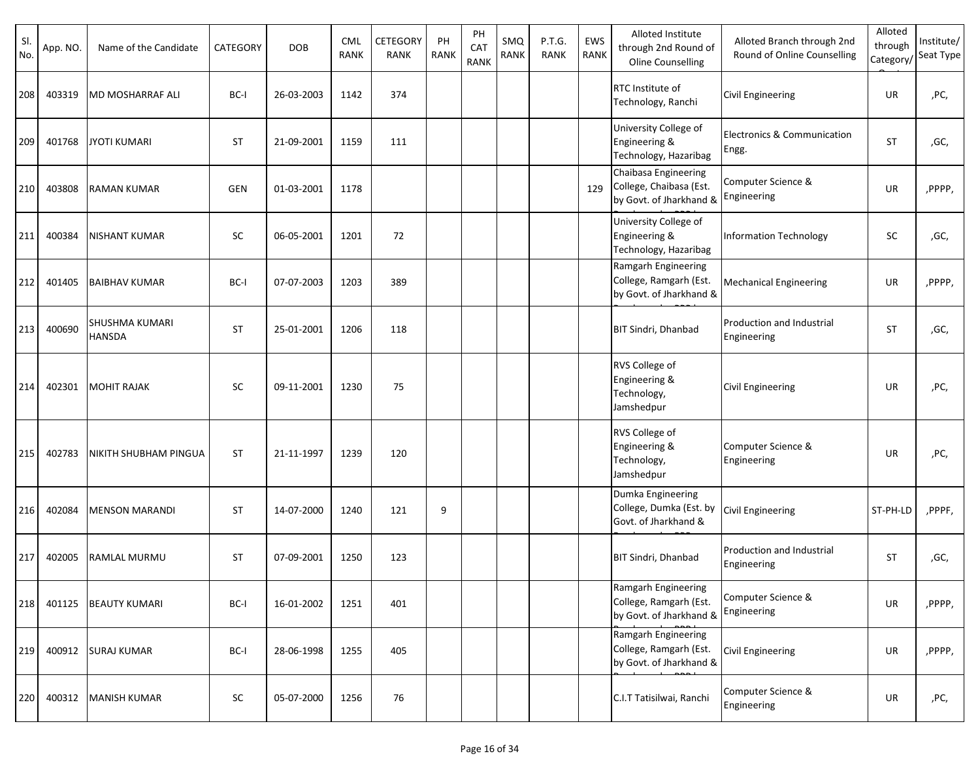| SI.<br>No. | App. NO. | Name of the Candidate                  | CATEGORY   | <b>DOB</b> | <b>CML</b><br><b>RANK</b> | <b>CETEGORY</b><br><b>RANK</b> | PH<br><b>RANK</b> | PH<br>CAT<br><b>RANK</b> | SMQ<br><b>RANK</b> | P.T.G.<br><b>RANK</b> | EWS<br>RANK | Alloted Institute<br>through 2nd Round of<br>Oline Counselling             | Alloted Branch through 2nd<br>Round of Online Counselling | Alloted<br>through<br>Category/ | Institute/<br>Seat Type |
|------------|----------|----------------------------------------|------------|------------|---------------------------|--------------------------------|-------------------|--------------------------|--------------------|-----------------------|-------------|----------------------------------------------------------------------------|-----------------------------------------------------------|---------------------------------|-------------------------|
| 208        | 403319   | <b>MD MOSHARRAF ALI</b>                | BC-I       | 26-03-2003 | 1142                      | 374                            |                   |                          |                    |                       |             | <b>RTC</b> Institute of<br>Technology, Ranchi                              | Civil Engineering                                         | UR                              | ,PC,                    |
| 209        | 401768   | <b>JYOTI KUMARI</b>                    | <b>ST</b>  | 21-09-2001 | 1159                      | 111                            |                   |                          |                    |                       |             | University College of<br>Engineering &<br>Technology, Hazaribag            | Electronics & Communication<br>Engg.                      | <b>ST</b>                       | ,GC,                    |
| 210        | 403808   | <b>RAMAN KUMAR</b>                     | <b>GEN</b> | 01-03-2001 | 1178                      |                                |                   |                          |                    |                       | 129         | Chaibasa Engineering<br>College, Chaibasa (Est.<br>by Govt. of Jharkhand & | Computer Science &<br>Engineering                         | UR                              | ,PPPP,                  |
| 211        | 400384   | <b>NISHANT KUMAR</b>                   | <b>SC</b>  | 06-05-2001 | 1201                      | 72                             |                   |                          |                    |                       |             | University College of<br>Engineering &<br>Technology, Hazaribag            | <b>Information Technology</b>                             | <b>SC</b>                       | ,GC,                    |
| 212        | 401405   | <b>BAIBHAV KUMAR</b>                   | BC-I       | 07-07-2003 | 1203                      | 389                            |                   |                          |                    |                       |             | Ramgarh Engineering<br>College, Ramgarh (Est.<br>by Govt. of Jharkhand &   | <b>Mechanical Engineering</b>                             | UR                              | ,PPPP,                  |
| 213        | 400690   | <b>SHUSHMA KUMARI</b><br><b>HANSDA</b> | <b>ST</b>  | 25-01-2001 | 1206                      | 118                            |                   |                          |                    |                       |             | <b>BIT Sindri, Dhanbad</b>                                                 | Production and Industrial<br>Engineering                  | <b>ST</b>                       | ,GC,                    |
| 214        | 402301   | <b>MOHIT RAJAK</b>                     | <b>SC</b>  | 09-11-2001 | 1230                      | 75                             |                   |                          |                    |                       |             | RVS College of<br>Engineering &<br>Technology,<br>Jamshedpur               | <b>Civil Engineering</b>                                  | UR                              | ,PC,                    |
| 215        | 402783   | <b>NIKITH SHUBHAM PINGUA</b>           | <b>ST</b>  | 21-11-1997 | 1239                      | 120                            |                   |                          |                    |                       |             | RVS College of<br>Engineering &<br>Technology,<br>Jamshedpur               | Computer Science &<br>Engineering                         | UR                              | ,PC,                    |
| 216        | 402084   | <b>MENSON MARANDI</b>                  | <b>ST</b>  | 14-07-2000 | 1240                      | 121                            | 9                 |                          |                    |                       |             | Dumka Engineering<br>College, Dumka (Est. by<br>Govt. of Jharkhand &       | <b>Civil Engineering</b>                                  | ST-PH-LD                        | ,PPPF,                  |
| 217        | 402005   | <b>RAMLAL MURMU</b>                    | <b>ST</b>  | 07-09-2001 | 1250                      | 123                            |                   |                          |                    |                       |             | <b>BIT Sindri, Dhanbad</b>                                                 | Production and Industrial<br>Engineering                  | <b>ST</b>                       | ,GC,                    |
| 218        | 401125   | <b>BEAUTY KUMARI</b>                   | BC-I       | 16-01-2002 | 1251                      | 401                            |                   |                          |                    |                       |             | Ramgarh Engineering<br>College, Ramgarh (Est.<br>by Govt. of Jharkhand &   | Computer Science &<br>Engineering                         | UR                              | ,PPPP,                  |
| 219        | 400912   | <b>SURAJ KUMAR</b>                     | BC-I       | 28-06-1998 | 1255                      | 405                            |                   |                          |                    |                       |             | Ramgarh Engineering<br>College, Ramgarh (Est.<br>by Govt. of Jharkhand &   | Civil Engineering                                         | UR                              | ,PPPP,                  |
| 220        | 400312   | <b>MANISH KUMAR</b>                    | SC         | 05-07-2000 | 1256                      | 76                             |                   |                          |                    |                       |             | C.I.T Tatisilwai, Ranchi                                                   | Computer Science &<br>Engineering                         | UR                              | ,PC,                    |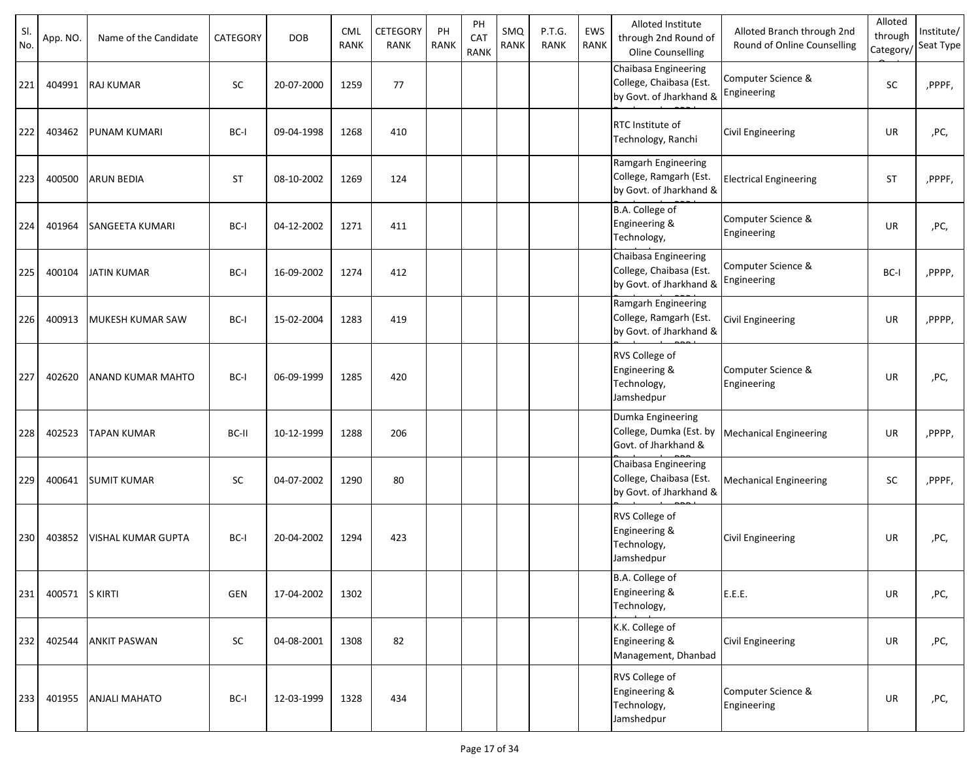| SI.<br>No. | App. NO. | Name of the Candidate     | CATEGORY   | <b>DOB</b> | <b>CML</b><br><b>RANK</b> | CETEGORY<br><b>RANK</b> | PH<br>RANK | PH<br>CAT<br><b>RANK</b> | SMQ<br>RANK | P.T.G.<br><b>RANK</b> | EWS<br><b>RANK</b> | Alloted Institute<br>through 2nd Round of<br>Oline Counselling             | Alloted Branch through 2nd<br>Round of Online Counselling | Alloted<br>through<br>Category | Institute/<br>Seat Type |
|------------|----------|---------------------------|------------|------------|---------------------------|-------------------------|------------|--------------------------|-------------|-----------------------|--------------------|----------------------------------------------------------------------------|-----------------------------------------------------------|--------------------------------|-------------------------|
| 221        | 404991   | <b>RAJ KUMAR</b>          | <b>SC</b>  | 20-07-2000 | 1259                      | 77                      |            |                          |             |                       |                    | Chaibasa Engineering<br>College, Chaibasa (Est.<br>by Govt. of Jharkhand & | Computer Science &<br>Engineering                         | SC                             | ,PPPF,                  |
| 222        | 403462   | <b>PUNAM KUMARI</b>       | BC-I       | 09-04-1998 | 1268                      | 410                     |            |                          |             |                       |                    | RTC Institute of<br>Technology, Ranchi                                     | <b>Civil Engineering</b>                                  | UR                             | ,PC,                    |
| 223        | 400500   | <b>ARUN BEDIA</b>         | <b>ST</b>  | 08-10-2002 | 1269                      | 124                     |            |                          |             |                       |                    | Ramgarh Engineering<br>College, Ramgarh (Est.<br>by Govt. of Jharkhand &   | <b>Electrical Engineering</b>                             | <b>ST</b>                      | ,PPPF,                  |
| 224        | 401964   | <b>SANGEETA KUMARI</b>    | BC-I       | 04-12-2002 | 1271                      | 411                     |            |                          |             |                       |                    | B.A. College of<br>Engineering &<br>Technology,                            | Computer Science &<br>Engineering                         | UR                             | ,PC,                    |
| 225        | 400104   | <b>JATIN KUMAR</b>        | BC-I       | 16-09-2002 | 1274                      | 412                     |            |                          |             |                       |                    | Chaibasa Engineering<br>College, Chaibasa (Est.<br>by Govt. of Jharkhand & | Computer Science &<br>Engineering                         | BC-I                           | ,PPPP,                  |
| 226        | 400913   | <b>MUKESH KUMAR SAW</b>   | BC-I       | 15-02-2004 | 1283                      | 419                     |            |                          |             |                       |                    | Ramgarh Engineering<br>College, Ramgarh (Est.<br>by Govt. of Jharkhand &   | Civil Engineering                                         | UR                             | ,PPPP,                  |
| 227        | 402620   | <b>ANAND KUMAR MAHTO</b>  | BC-I       | 06-09-1999 | 1285                      | 420                     |            |                          |             |                       |                    | RVS College of<br>Engineering &<br>Technology,<br>Jamshedpur               | Computer Science &<br>Engineering                         | <b>UR</b>                      | ,PC,                    |
| 228        | 402523   | <b>TAPAN KUMAR</b>        | BC-II      | 10-12-1999 | 1288                      | 206                     |            |                          |             |                       |                    | Dumka Engineering<br>College, Dumka (Est. by<br>Govt. of Jharkhand &       | <b>Mechanical Engineering</b>                             | UR                             | ,PPPP,                  |
| 229        | 400641   | <b>SUMIT KUMAR</b>        | <b>SC</b>  | 04-07-2002 | 1290                      | 80                      |            |                          |             |                       |                    | Chaibasa Engineering<br>College, Chaibasa (Est.<br>by Govt. of Jharkhand & | <b>Mechanical Engineering</b>                             | SC                             | ,PPPF,                  |
| 230        | 403852   | <b>VISHAL KUMAR GUPTA</b> | BC-I       | 20-04-2002 | 1294                      | 423                     |            |                          |             |                       |                    | RVS College of<br>Engineering &<br>Technology,<br>Jamshedpur               | <b>Civil Engineering</b>                                  | UR                             | ,PC,                    |
| 231        | 400571   | <b>S KIRTI</b>            | <b>GEN</b> | 17-04-2002 | 1302                      |                         |            |                          |             |                       |                    | B.A. College of<br>Engineering &<br>Technology,                            | E.E.E.                                                    | UR                             | ,PC,                    |
| 232        | 402544   | <b>ANKIT PASWAN</b>       | SC         | 04-08-2001 | 1308                      | 82                      |            |                          |             |                       |                    | K.K. College of<br>Engineering &<br>Management, Dhanbad                    | <b>Civil Engineering</b>                                  | UR                             | ,PC,                    |
| 233        | 401955   | <b>ANJALI MAHATO</b>      | BC-I       | 12-03-1999 | 1328                      | 434                     |            |                          |             |                       |                    | RVS College of<br>Engineering &<br>Technology,<br>Jamshedpur               | Computer Science &<br>Engineering                         | UR                             | ,PC,                    |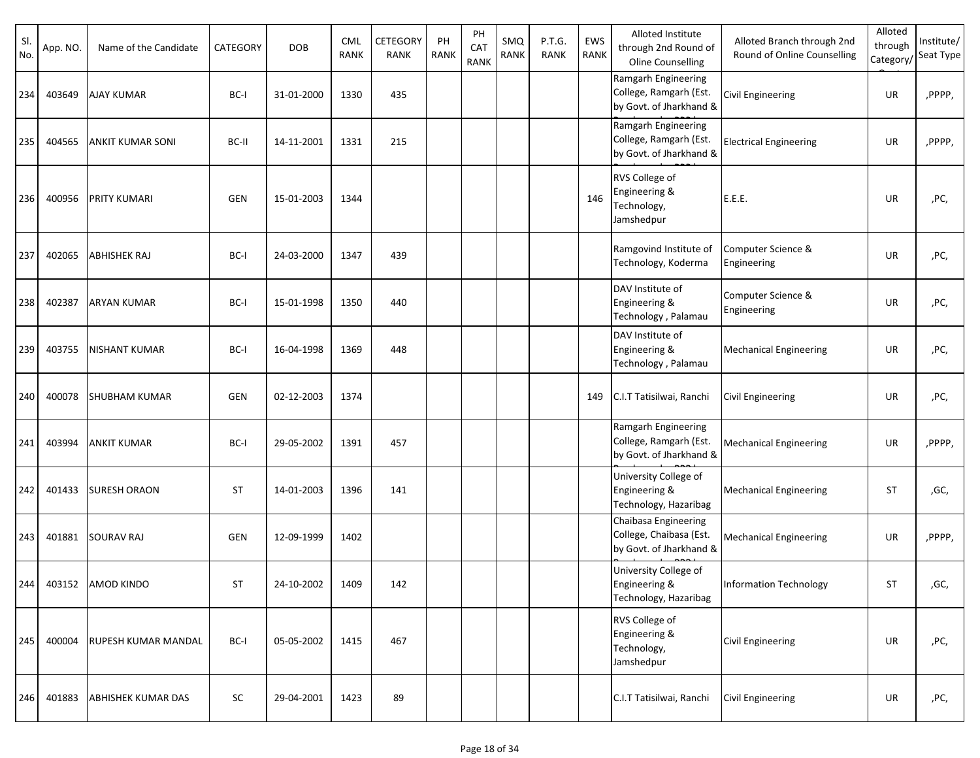| SI.<br>No. | App. NO. | Name of the Candidate      | CATEGORY   | <b>DOB</b> | <b>CML</b><br><b>RANK</b> | CETEGORY<br>RANK | PH<br><b>RANK</b> | PH<br>CAT<br><b>RANK</b> | SMQ<br><b>RANK</b> | P.T.G.<br><b>RANK</b> | EWS<br>RANK | Alloted Institute<br>through 2nd Round of<br>Oline Counselling             | Alloted Branch through 2nd<br>Round of Online Counselling | Alloted<br>through<br>Category/ | Institute/<br>Seat Type |
|------------|----------|----------------------------|------------|------------|---------------------------|------------------|-------------------|--------------------------|--------------------|-----------------------|-------------|----------------------------------------------------------------------------|-----------------------------------------------------------|---------------------------------|-------------------------|
| 234        | 403649   | <b>AJAY KUMAR</b>          | BC-I       | 31-01-2000 | 1330                      | 435              |                   |                          |                    |                       |             | Ramgarh Engineering<br>College, Ramgarh (Est.<br>by Govt. of Jharkhand &   | Civil Engineering                                         | UR                              | ,PPPP,                  |
| 235        | 404565   | <b>ANKIT KUMAR SONI</b>    | BC-II      | 14-11-2001 | 1331                      | 215              |                   |                          |                    |                       |             | Ramgarh Engineering<br>College, Ramgarh (Est.<br>by Govt. of Jharkhand &   | <b>Electrical Engineering</b>                             | UR                              | ,PPPP,                  |
| 236        | 400956   | <b>PRITY KUMARI</b>        | GEN        | 15-01-2003 | 1344                      |                  |                   |                          |                    |                       | 146         | RVS College of<br>Engineering &<br>Technology,<br>Jamshedpur               | E.E.E.                                                    | UR                              | ,PC,                    |
| 237        | 402065   | <b>ABHISHEK RAJ</b>        | BC-I       | 24-03-2000 | 1347                      | 439              |                   |                          |                    |                       |             | Ramgovind Institute of<br>Technology, Koderma                              | Computer Science &<br>Engineering                         | UR                              | ,PC,                    |
| 238        | 402387   | <b>ARYAN KUMAR</b>         | BC-I       | 15-01-1998 | 1350                      | 440              |                   |                          |                    |                       |             | DAV Institute of<br>Engineering &<br>Technology, Palamau                   | Computer Science &<br>Engineering                         | UR                              | ,PC,                    |
| 239        | 403755   | <b>NISHANT KUMAR</b>       | BC-I       | 16-04-1998 | 1369                      | 448              |                   |                          |                    |                       |             | DAV Institute of<br>Engineering &<br>Technology, Palamau                   | <b>Mechanical Engineering</b>                             | UR                              | ,PC,                    |
| 240        | 400078   | <b>SHUBHAM KUMAR</b>       | <b>GEN</b> | 02-12-2003 | 1374                      |                  |                   |                          |                    |                       | 149         | C.I.T Tatisilwai, Ranchi                                                   | Civil Engineering                                         | UR                              | ,PC,                    |
| 241        | 403994   | <b>ANKIT KUMAR</b>         | BC-I       | 29-05-2002 | 1391                      | 457              |                   |                          |                    |                       |             | Ramgarh Engineering<br>College, Ramgarh (Est.<br>by Govt. of Jharkhand &   | <b>Mechanical Engineering</b>                             | UR                              | ,PPPP,                  |
| 242        | 401433   | <b>SURESH ORAON</b>        | <b>ST</b>  | 14-01-2003 | 1396                      | 141              |                   |                          |                    |                       |             | University College of<br>Engineering &<br>Technology, Hazaribag            | <b>Mechanical Engineering</b>                             | <b>ST</b>                       | ,GC,                    |
| 243        | 401881   | <b>SOURAV RAJ</b>          | <b>GEN</b> | 12-09-1999 | 1402                      |                  |                   |                          |                    |                       |             | Chaibasa Engineering<br>College, Chaibasa (Est.<br>by Govt. of Jharkhand & | <b>Mechanical Engineering</b>                             | UR                              | ,PPPP,                  |
| 244        |          | 403152 AMOD KINDO          | <b>ST</b>  | 24-10-2002 | 1409                      | 142              |                   |                          |                    |                       |             | University College of<br>Engineering &<br>Technology, Hazaribag            | Information Technology                                    | <b>ST</b>                       | ,GC,                    |
| 245        | 400004   | <b>RUPESH KUMAR MANDAL</b> | BC-I       | 05-05-2002 | 1415                      | 467              |                   |                          |                    |                       |             | RVS College of<br>Engineering &<br>Technology,<br>Jamshedpur               | <b>Civil Engineering</b>                                  | UR                              | ,PC,                    |
| 246        | 401883   | <b>ABHISHEK KUMAR DAS</b>  | SC         | 29-04-2001 | 1423                      | 89               |                   |                          |                    |                       |             | C.I.T Tatisilwai, Ranchi                                                   | <b>Civil Engineering</b>                                  | UR                              | ,PC,                    |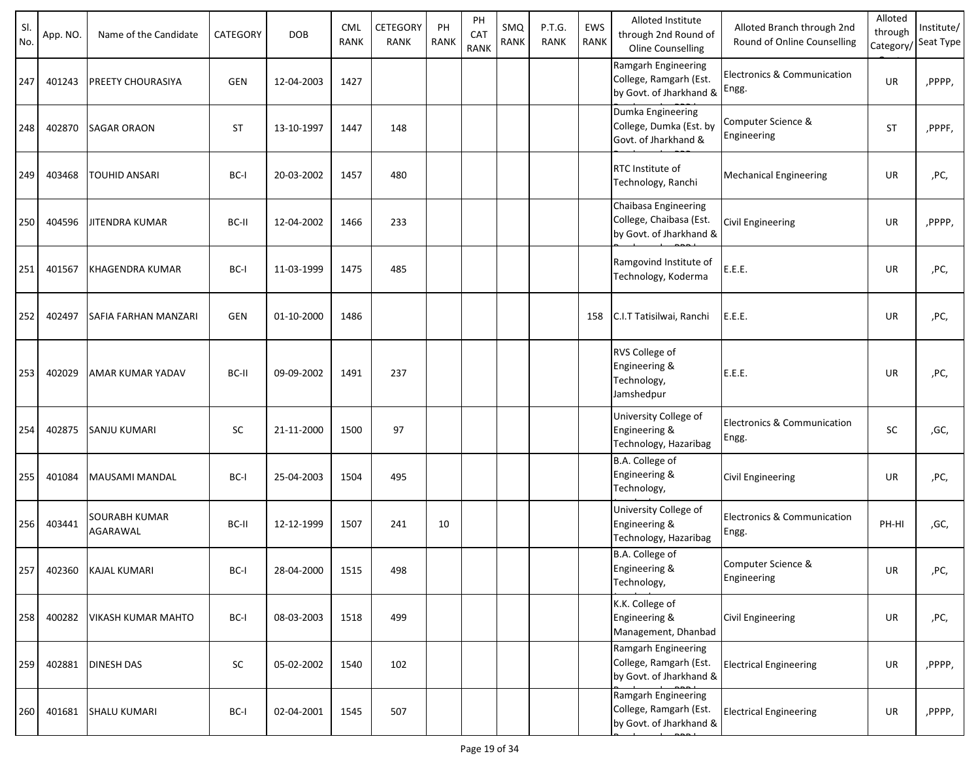| SI.<br>No. | App. NO. | Name of the Candidate            | CATEGORY   | <b>DOB</b> | <b>CML</b><br><b>RANK</b> | CETEGORY<br><b>RANK</b> | PH<br><b>RANK</b> | PH<br>CAT<br><b>RANK</b> | SMQ<br>RANK | P.T.G.<br><b>RANK</b> | EWS<br>RANK | Alloted Institute<br>through 2nd Round of<br><b>Oline Counselling</b>      | Alloted Branch through 2nd<br>Round of Online Counselling | Alloted<br>through<br>Category/ | Institute/<br>Seat Type |
|------------|----------|----------------------------------|------------|------------|---------------------------|-------------------------|-------------------|--------------------------|-------------|-----------------------|-------------|----------------------------------------------------------------------------|-----------------------------------------------------------|---------------------------------|-------------------------|
| 247        | 401243   | PREETY CHOURASIYA                | <b>GEN</b> | 12-04-2003 | 1427                      |                         |                   |                          |             |                       |             | Ramgarh Engineering<br>College, Ramgarh (Est.<br>by Govt. of Jharkhand &   | <b>Electronics &amp; Communication</b><br>Engg.           | UR                              | ,PPPP,                  |
| 248        | 402870   | <b>SAGAR ORAON</b>               | <b>ST</b>  | 13-10-1997 | 1447                      | 148                     |                   |                          |             |                       |             | Dumka Engineering<br>College, Dumka (Est. by<br>Govt. of Jharkhand &       | Computer Science &<br>Engineering                         | <b>ST</b>                       | ,PPPF,                  |
| 249        | 403468   | <b>TOUHID ANSARI</b>             | BC-I       | 20-03-2002 | 1457                      | 480                     |                   |                          |             |                       |             | RTC Institute of<br>Technology, Ranchi                                     | <b>Mechanical Engineering</b>                             | UR                              | ,PC,                    |
| 250        | 404596   | <b>JITENDRA KUMAR</b>            | BC-II      | 12-04-2002 | 1466                      | 233                     |                   |                          |             |                       |             | Chaibasa Engineering<br>College, Chaibasa (Est.<br>by Govt. of Jharkhand & | Civil Engineering                                         | UR                              | ,PPPP,                  |
| 251        | 401567   | <b>KHAGENDRA KUMAR</b>           | BC-I       | 11-03-1999 | 1475                      | 485                     |                   |                          |             |                       |             | Ramgovind Institute of<br>Technology, Koderma                              | E.E.E.                                                    | UR                              | ,PC,                    |
| 252        | 402497   | SAFIA FARHAN MANZARI             | <b>GEN</b> | 01-10-2000 | 1486                      |                         |                   |                          |             |                       | 158         | C.I.T Tatisilwai, Ranchi                                                   | E.E.E.                                                    | UR                              | ,PC,                    |
| 253        | 402029   | <b>AMAR KUMAR YADAV</b>          | BC-II      | 09-09-2002 | 1491                      | 237                     |                   |                          |             |                       |             | RVS College of<br>Engineering &<br>Technology,<br>Jamshedpur               | E.E.E.                                                    | UR                              | ,PC,                    |
| 254        | 402875   | <b>SANJU KUMARI</b>              | SC         | 21-11-2000 | 1500                      | 97                      |                   |                          |             |                       |             | University College of<br>Engineering &<br>Technology, Hazaribag            | Electronics & Communication<br>Engg.                      | <b>SC</b>                       | ,GC,                    |
| 255        | 401084   | MAUSAMI MANDAL                   | BC-I       | 25-04-2003 | 1504                      | 495                     |                   |                          |             |                       |             | B.A. College of<br>Engineering &<br>Technology,                            | Civil Engineering                                         | UR                              | ,PC,                    |
| 256        | 403441   | <b>SOURABH KUMAR</b><br>AGARAWAL | BC-II      | 12-12-1999 | 1507                      | 241                     | 10                |                          |             |                       |             | University College of<br>Engineering &<br>Technology, Hazaribag            | Electronics & Communication<br>Engg.                      | PH-HI                           | ,GC,                    |
| 257        | 402360   | <b>KAJAL KUMARI</b>              | BC-I       | 28-04-2000 | 1515                      | 498                     |                   |                          |             |                       |             | B.A. College of<br>Engineering &<br>Technology,                            | Computer Science &<br>Engineering                         | UR                              | ,PC,                    |
| 258        | 400282   | <b>VIKASH KUMAR MAHTO</b>        | BC-I       | 08-03-2003 | 1518                      | 499                     |                   |                          |             |                       |             | K.K. College of<br>Engineering &<br>Management, Dhanbad                    | Civil Engineering                                         | UR                              | ,PC,                    |
| 259        | 402881   | <b>DINESH DAS</b>                | SC         | 05-02-2002 | 1540                      | 102                     |                   |                          |             |                       |             | Ramgarh Engineering<br>College, Ramgarh (Est.<br>by Govt. of Jharkhand &   | <b>Electrical Engineering</b>                             | UR                              | ,PPPP,                  |
| 260        | 401681   | <b>SHALU KUMARI</b>              | BC-I       | 02-04-2001 | 1545                      | 507                     |                   |                          |             |                       |             | Ramgarh Engineering<br>College, Ramgarh (Est.<br>by Govt. of Jharkhand &   | <b>Electrical Engineering</b>                             | UR                              | ,PPPP,                  |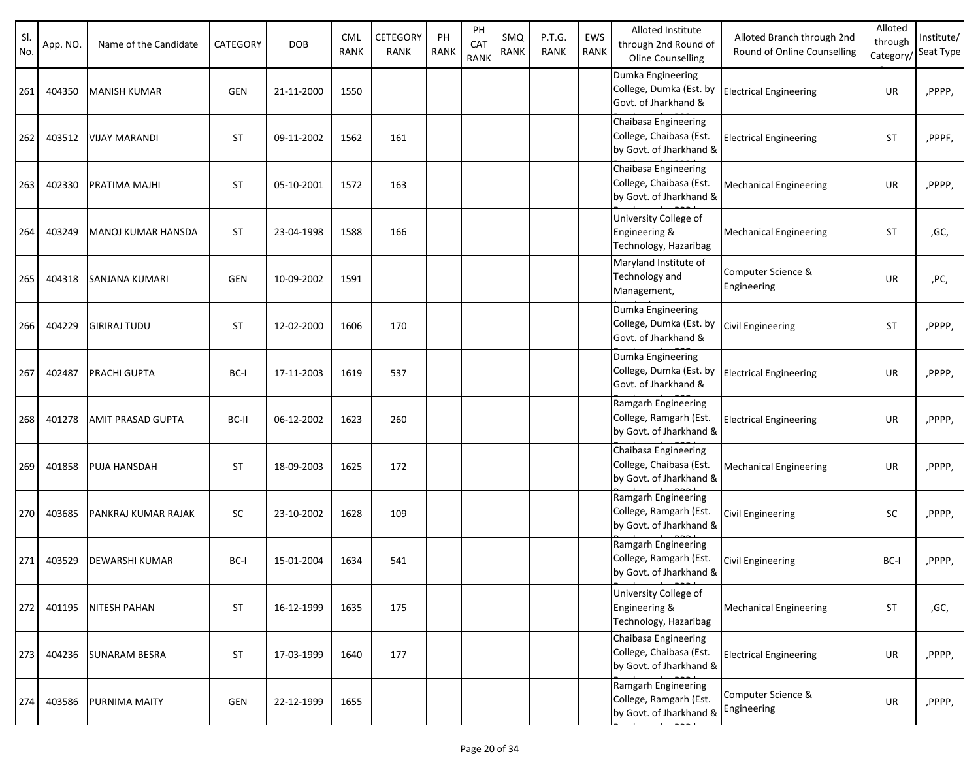| SI.<br>No. | App. NO. | Name of the Candidate    | CATEGORY   | <b>DOB</b> | <b>CML</b><br><b>RANK</b> | CETEGORY<br>RANK | PH<br><b>RANK</b> | PH<br>CAT<br><b>RANK</b> | SMQ<br>RANK | P.T.G.<br><b>RANK</b> | EWS<br>RANK | Alloted Institute<br>through 2nd Round of<br>Oline Counselling             | Alloted Branch through 2nd<br>Round of Online Counselling | Alloted<br>through<br>Category | Institute/<br>Seat Type |
|------------|----------|--------------------------|------------|------------|---------------------------|------------------|-------------------|--------------------------|-------------|-----------------------|-------------|----------------------------------------------------------------------------|-----------------------------------------------------------|--------------------------------|-------------------------|
| 261        | 404350   | <b>MANISH KUMAR</b>      | <b>GEN</b> | 21-11-2000 | 1550                      |                  |                   |                          |             |                       |             | Dumka Engineering<br>College, Dumka (Est. by<br>Govt. of Jharkhand &       | <b>Electrical Engineering</b>                             | UR                             | ,PPPP,                  |
| 262        | 403512   | <b>VIJAY MARANDI</b>     | <b>ST</b>  | 09-11-2002 | 1562                      | 161              |                   |                          |             |                       |             | Chaibasa Engineering<br>College, Chaibasa (Est.<br>by Govt. of Jharkhand & | <b>Electrical Engineering</b>                             | <b>ST</b>                      | ,PPPF,                  |
| 263        | 402330   | PRATIMA MAJHI            | <b>ST</b>  | 05-10-2001 | 1572                      | 163              |                   |                          |             |                       |             | Chaibasa Engineering<br>College, Chaibasa (Est.<br>by Govt. of Jharkhand & | <b>Mechanical Engineering</b>                             | UR                             | ,PPPP,                  |
| 264        | 403249   | MANOJ KUMAR HANSDA       | <b>ST</b>  | 23-04-1998 | 1588                      | 166              |                   |                          |             |                       |             | University College of<br>Engineering &<br>Technology, Hazaribag            | <b>Mechanical Engineering</b>                             | <b>ST</b>                      | ,GC,                    |
| 265        | 404318   | <b>SANJANA KUMARI</b>    | <b>GEN</b> | 10-09-2002 | 1591                      |                  |                   |                          |             |                       |             | Maryland Institute of<br>Technology and<br>Management,                     | Computer Science &<br>Engineering                         | UR                             | ,PC,                    |
| 266        | 404229   | <b>GIRIRAJ TUDU</b>      | <b>ST</b>  | 12-02-2000 | 1606                      | 170              |                   |                          |             |                       |             | Dumka Engineering<br>College, Dumka (Est. by<br>Govt. of Jharkhand &       | <b>Civil Engineering</b>                                  | <b>ST</b>                      | ,PPPP,                  |
| 267        | 402487   | <b>PRACHI GUPTA</b>      | BC-I       | 17-11-2003 | 1619                      | 537              |                   |                          |             |                       |             | Dumka Engineering<br>College, Dumka (Est. by<br>Govt. of Jharkhand &       | <b>Electrical Engineering</b>                             | UR                             | ,PPPP,                  |
| 268        | 401278   | <b>AMIT PRASAD GUPTA</b> | BC-II      | 06-12-2002 | 1623                      | 260              |                   |                          |             |                       |             | Ramgarh Engineering<br>College, Ramgarh (Est.<br>by Govt. of Jharkhand &   | <b>Electrical Engineering</b>                             | UR                             | ,PPPP,                  |
| 269        | 401858   | PUJA HANSDAH             | <b>ST</b>  | 18-09-2003 | 1625                      | 172              |                   |                          |             |                       |             | Chaibasa Engineering<br>College, Chaibasa (Est.<br>by Govt. of Jharkhand & | <b>Mechanical Engineering</b>                             | UR                             | ,PPPP,                  |
| 270        | 403685   | PANKRAJ KUMAR RAJAK      | <b>SC</b>  | 23-10-2002 | 1628                      | 109              |                   |                          |             |                       |             | Ramgarh Engineering<br>College, Ramgarh (Est.<br>by Govt. of Jharkhand &   | <b>Civil Engineering</b>                                  | SC                             | ,PPPP,                  |
| 271        | 403529   | <b>DEWARSHI KUMAR</b>    | BC-I       | 15-01-2004 | 1634                      | 541              |                   |                          |             |                       |             | Ramgarh Engineering<br>College, Ramgarh (Est.<br>by Govt. of Jharkhand &   | Civil Engineering                                         | BC-I                           | ,PPPP,                  |
| 272        | 401195   | <b>NITESH PAHAN</b>      | <b>ST</b>  | 16-12-1999 | 1635                      | 175              |                   |                          |             |                       |             | University College of<br>Engineering &<br>Technology, Hazaribag            | <b>Mechanical Engineering</b>                             | ST                             | ,GC,                    |
| 273        | 404236   | <b>SUNARAM BESRA</b>     | <b>ST</b>  | 17-03-1999 | 1640                      | 177              |                   |                          |             |                       |             | Chaibasa Engineering<br>College, Chaibasa (Est.<br>by Govt. of Jharkhand & | <b>Electrical Engineering</b>                             | UR                             | ,PPPP,                  |
| 274        | 403586   | <b>PURNIMA MAITY</b>     | <b>GEN</b> | 22-12-1999 | 1655                      |                  |                   |                          |             |                       |             | Ramgarh Engineering<br>College, Ramgarh (Est.<br>by Govt. of Jharkhand &   | Computer Science &<br>Engineering                         | UR                             | ,PPPP,                  |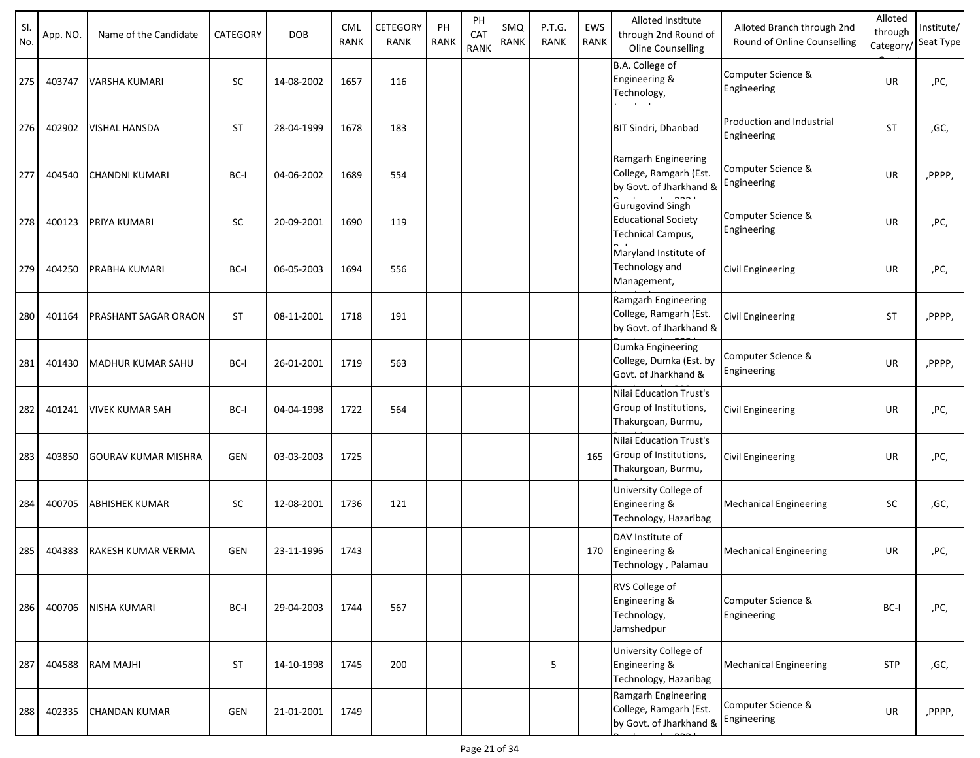| SI.<br>No. | App. NO. | Name of the Candidate      | CATEGORY   | <b>DOB</b> | <b>CML</b><br><b>RANK</b> | CETEGORY<br><b>RANK</b> | PH<br><b>RANK</b> | PH<br>CAT<br><b>RANK</b> | SMQ<br><b>RANK</b> | P.T.G.<br><b>RANK</b> | EWS<br><b>RANK</b> | Alloted Institute<br>through 2nd Round of<br>Oline Counselling             | Alloted Branch through 2nd<br>Round of Online Counselling | Alloted<br>through<br>Category/ | Institute/<br>Seat Type |
|------------|----------|----------------------------|------------|------------|---------------------------|-------------------------|-------------------|--------------------------|--------------------|-----------------------|--------------------|----------------------------------------------------------------------------|-----------------------------------------------------------|---------------------------------|-------------------------|
| 275        | 403747   | VARSHA KUMARI              | <b>SC</b>  | 14-08-2002 | 1657                      | 116                     |                   |                          |                    |                       |                    | B.A. College of<br>Engineering &<br>Technology,                            | Computer Science &<br>Engineering                         | UR                              | ,PC,                    |
| 276        | 402902   | VISHAL HANSDA              | <b>ST</b>  | 28-04-1999 | 1678                      | 183                     |                   |                          |                    |                       |                    | <b>BIT Sindri, Dhanbad</b>                                                 | Production and Industrial<br>Engineering                  | <b>ST</b>                       | ,GC,                    |
| 277        | 404540   | CHANDNI KUMARI             | BC-I       | 04-06-2002 | 1689                      | 554                     |                   |                          |                    |                       |                    | Ramgarh Engineering<br>College, Ramgarh (Est.<br>by Govt. of Jharkhand &   | Computer Science &<br>Engineering                         | <b>UR</b>                       | ,PPPP,                  |
| 278        | 400123   | PRIYA KUMARI               | <b>SC</b>  | 20-09-2001 | 1690                      | 119                     |                   |                          |                    |                       |                    | <b>Gurugovind Singh</b><br><b>Educational Society</b><br>Technical Campus, | Computer Science &<br>Engineering                         | <b>UR</b>                       | ,PC,                    |
| 279        | 404250   | PRABHA KUMARI              | BC-I       | 06-05-2003 | 1694                      | 556                     |                   |                          |                    |                       |                    | Maryland Institute of<br>Technology and<br>Management,                     | <b>Civil Engineering</b>                                  | UR                              | ,PC,                    |
| 280        | 401164   | PRASHANT SAGAR ORAON       | <b>ST</b>  | 08-11-2001 | 1718                      | 191                     |                   |                          |                    |                       |                    | Ramgarh Engineering<br>College, Ramgarh (Est.<br>by Govt. of Jharkhand &   | Civil Engineering                                         | <b>ST</b>                       | ,PPPP,                  |
| 281        | 401430   | MADHUR KUMAR SAHU          | BC-I       | 26-01-2001 | 1719                      | 563                     |                   |                          |                    |                       |                    | Dumka Engineering<br>College, Dumka (Est. by<br>Govt. of Jharkhand &       | Computer Science &<br>Engineering                         | <b>UR</b>                       | ,PPPP,                  |
| 282        | 401241   | VIVEK KUMAR SAH            | BC-I       | 04-04-1998 | 1722                      | 564                     |                   |                          |                    |                       |                    | Nilai Education Trust's<br>Group of Institutions,<br>Thakurgoan, Burmu,    | Civil Engineering                                         | UR                              | ,PC,                    |
| 283        | 403850   | <b>GOURAV KUMAR MISHRA</b> | GEN        | 03-03-2003 | 1725                      |                         |                   |                          |                    |                       | 165                | Nilai Education Trust's<br>Group of Institutions,<br>Thakurgoan, Burmu,    | Civil Engineering                                         | UR                              | ,PC,                    |
| 284        | 400705   | ABHISHEK KUMAR             | <b>SC</b>  | 12-08-2001 | 1736                      | 121                     |                   |                          |                    |                       |                    | University College of<br>Engineering &<br>Technology, Hazaribag            | <b>Mechanical Engineering</b>                             | SC                              | ,GC,                    |
| 285        | 404383   | RAKESH KUMAR VERMA         | <b>GEN</b> | 23-11-1996 | 1743                      |                         |                   |                          |                    |                       | 170                | DAV Institute of<br>Engineering &<br>Technology, Palamau                   | <b>Mechanical Engineering</b>                             | UR                              | ,PC,                    |
| 286        | 400706   | <b>NISHA KUMARI</b>        | BC-I       | 29-04-2003 | 1744                      | 567                     |                   |                          |                    |                       |                    | RVS College of<br>Engineering &<br>Technology,<br>Jamshedpur               | Computer Science &<br>Engineering                         | BC-I                            | ,PC,                    |
| 287        | 404588   | <b>RAM MAJHI</b>           | <b>ST</b>  | 14-10-1998 | 1745                      | 200                     |                   |                          |                    | 5                     |                    | University College of<br>Engineering &<br>Technology, Hazaribag            | <b>Mechanical Engineering</b>                             | <b>STP</b>                      | ,GC,                    |
| 288        | 402335   | <b>CHANDAN KUMAR</b>       | GEN        | 21-01-2001 | 1749                      |                         |                   |                          |                    |                       |                    | Ramgarh Engineering<br>College, Ramgarh (Est.<br>by Govt. of Jharkhand &   | Computer Science &<br>Engineering                         | UR                              | ,PPPP,                  |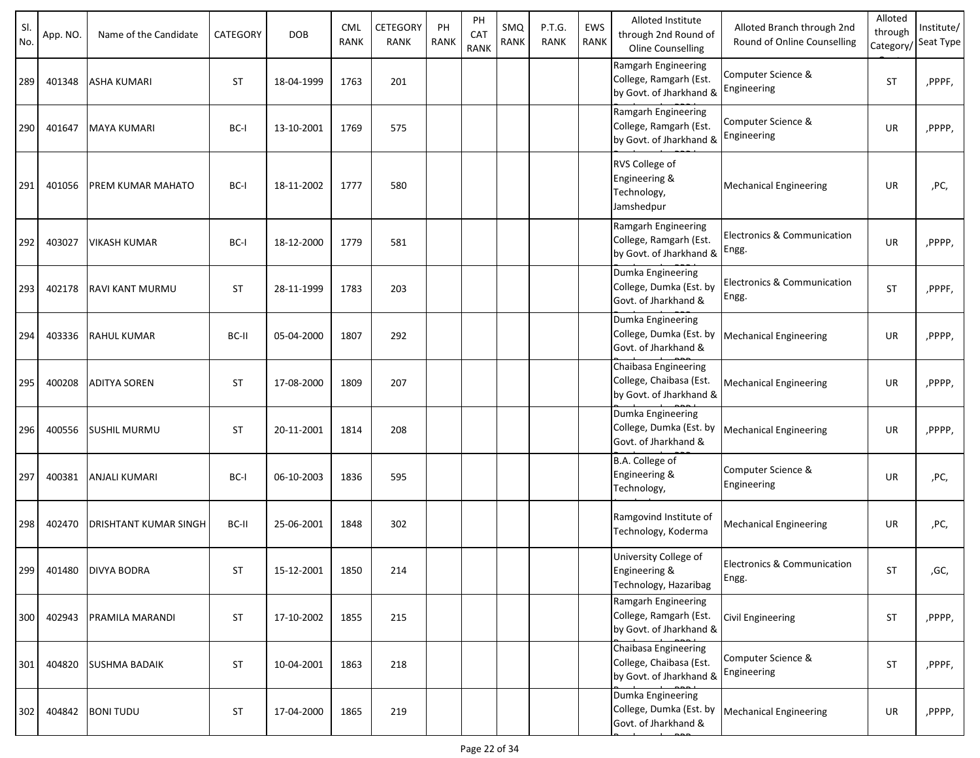| SI.<br>No. | App. NO. | Name of the Candidate | CATEGORY  | <b>DOB</b> | <b>CML</b><br>RANK | CETEGORY<br><b>RANK</b> | PH<br><b>RANK</b> | PH<br>CAT<br><b>RANK</b> | SMQ<br><b>RANK</b> | P.T.G.<br><b>RANK</b> | EWS<br><b>RANK</b> | Alloted Institute<br>through 2nd Round of<br>Oline Counselling             | Alloted Branch through 2nd<br>Round of Online Counselling | Alloted<br>through<br>Category/ | Institute/<br>Seat Type |
|------------|----------|-----------------------|-----------|------------|--------------------|-------------------------|-------------------|--------------------------|--------------------|-----------------------|--------------------|----------------------------------------------------------------------------|-----------------------------------------------------------|---------------------------------|-------------------------|
| 289        | 401348   | ASHA KUMARI           | <b>ST</b> | 18-04-1999 | 1763               | 201                     |                   |                          |                    |                       |                    | Ramgarh Engineering<br>College, Ramgarh (Est.<br>by Govt. of Jharkhand &   | Computer Science &<br>Engineering                         | <b>ST</b>                       | ,PPPF,                  |
| 290        | 401647   | <b>MAYA KUMARI</b>    | BC-I      | 13-10-2001 | 1769               | 575                     |                   |                          |                    |                       |                    | Ramgarh Engineering<br>College, Ramgarh (Est.<br>by Govt. of Jharkhand &   | Computer Science &<br>Engineering                         | UR                              | ,PPPP,                  |
| 291        | 401056   | PREM KUMAR MAHATO     | BC-I      | 18-11-2002 | 1777               | 580                     |                   |                          |                    |                       |                    | RVS College of<br>Engineering &<br>Technology,<br>Jamshedpur               | <b>Mechanical Engineering</b>                             | UR                              | ,PC,                    |
| 292        | 403027   | VIKASH KUMAR          | BC-I      | 18-12-2000 | 1779               | 581                     |                   |                          |                    |                       |                    | Ramgarh Engineering<br>College, Ramgarh (Est.<br>by Govt. of Jharkhand &   | Electronics & Communication<br>Engg.                      | UR                              | ,PPPP,                  |
| 293        | 402178   | RAVI KANT MURMU       | <b>ST</b> | 28-11-1999 | 1783               | 203                     |                   |                          |                    |                       |                    | Dumka Engineering<br>College, Dumka (Est. by<br>Govt. of Jharkhand &       | <b>Electronics &amp; Communication</b><br>Engg.           | <b>ST</b>                       | ,PPPF,                  |
| 294        | 403336   | <b>RAHUL KUMAR</b>    | BC-II     | 05-04-2000 | 1807               | 292                     |                   |                          |                    |                       |                    | Dumka Engineering<br>College, Dumka (Est. by<br>Govt. of Jharkhand &       | <b>Mechanical Engineering</b>                             | UR                              | ,PPPP,                  |
| 295        | 400208   | <b>ADITYA SOREN</b>   | <b>ST</b> | 17-08-2000 | 1809               | 207                     |                   |                          |                    |                       |                    | Chaibasa Engineering<br>College, Chaibasa (Est.<br>by Govt. of Jharkhand & | Mechanical Engineering                                    | UR                              | ,PPPP,                  |
| 296        | 400556   | <b>SUSHIL MURMU</b>   | <b>ST</b> | 20-11-2001 | 1814               | 208                     |                   |                          |                    |                       |                    | Dumka Engineering<br>College, Dumka (Est. by<br>Govt. of Jharkhand &       | <b>Mechanical Engineering</b>                             | UR                              | ,PPPP,                  |
| 297        | 400381   | ANJALI KUMARI         | BC-I      | 06-10-2003 | 1836               | 595                     |                   |                          |                    |                       |                    | B.A. College of<br>Engineering &<br>Technology,                            | Computer Science &<br>Engineering                         | UR                              | ,PC,                    |
| 298        | 402470   | DRISHTANT KUMAR SINGH | BC-II     | 25-06-2001 | 1848               | 302                     |                   |                          |                    |                       |                    | Ramgovind Institute of<br>Technology, Koderma                              | <b>Mechanical Engineering</b>                             | UR                              | ,PC,                    |
| 299        | 401480   | <b>DIVYA BODRA</b>    | <b>ST</b> | 15-12-2001 | 1850               | 214                     |                   |                          |                    |                       |                    | University College of<br>Engineering &<br>Technology, Hazaribag            | Electronics & Communication<br>Engg.                      | <b>ST</b>                       | ,GC,                    |
| 300        | 402943   | PRAMILA MARANDI       | <b>ST</b> | 17-10-2002 | 1855               | 215                     |                   |                          |                    |                       |                    | Ramgarh Engineering<br>College, Ramgarh (Est.<br>by Govt. of Jharkhand &   | Civil Engineering                                         | ST                              | ,PPPP,                  |
| 301        | 404820   | <b>SUSHMA BADAIK</b>  | <b>ST</b> | 10-04-2001 | 1863               | 218                     |                   |                          |                    |                       |                    | Chaibasa Engineering<br>College, Chaibasa (Est.<br>by Govt. of Jharkhand & | Computer Science &<br>Engineering                         | <b>ST</b>                       | ,PPPF,                  |
| 302        | 404842   | <b>BONITUDU</b>       | <b>ST</b> | 17-04-2000 | 1865               | 219                     |                   |                          |                    |                       |                    | Dumka Engineering<br>College, Dumka (Est. by<br>Govt. of Jharkhand &       | <b>Mechanical Engineering</b>                             | UR                              | ,PPPP,                  |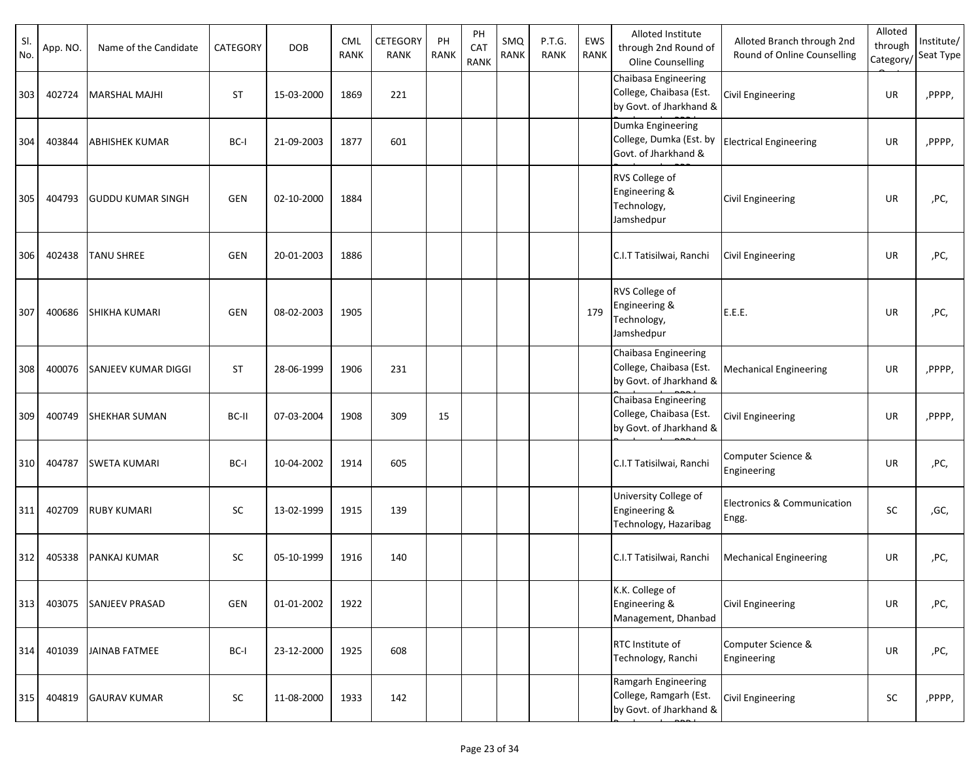| SI.<br>No. | App. NO. | Name of the Candidate      | CATEGORY   | <b>DOB</b> | <b>CML</b><br><b>RANK</b> | CETEGORY<br>RANK | PH<br>RANK | PH<br>CAT<br><b>RANK</b> | SMQ<br>RANK | P.T.G.<br><b>RANK</b> | EWS<br>RANK | Alloted Institute<br>through 2nd Round of<br><b>Oline Counselling</b>      | Alloted Branch through 2nd<br>Round of Online Counselling | Alloted<br>through | Institute/<br>Category/Seat Type |
|------------|----------|----------------------------|------------|------------|---------------------------|------------------|------------|--------------------------|-------------|-----------------------|-------------|----------------------------------------------------------------------------|-----------------------------------------------------------|--------------------|----------------------------------|
| 303        | 402724   | <b>MARSHAL MAJHI</b>       | <b>ST</b>  | 15-03-2000 | 1869                      | 221              |            |                          |             |                       |             | Chaibasa Engineering<br>College, Chaibasa (Est.<br>by Govt. of Jharkhand & | <b>Civil Engineering</b>                                  | UR                 | ,PPPP,                           |
| 304        | 403844   | <b>ABHISHEK KUMAR</b>      | BC-I       | 21-09-2003 | 1877                      | 601              |            |                          |             |                       |             | Dumka Engineering<br>College, Dumka (Est. by<br>Govt. of Jharkhand &       | <b>Electrical Engineering</b>                             | UR                 | ,PPPP,                           |
| 305        | 404793   | <b>GUDDU KUMAR SINGH</b>   | <b>GEN</b> | 02-10-2000 | 1884                      |                  |            |                          |             |                       |             | RVS College of<br>Engineering &<br>Technology,<br>Jamshedpur               | <b>Civil Engineering</b>                                  | UR                 | ,PC,                             |
| 306        | 402438   | <b>TANU SHREE</b>          | <b>GEN</b> | 20-01-2003 | 1886                      |                  |            |                          |             |                       |             | C.I.T Tatisilwai, Ranchi                                                   | <b>Civil Engineering</b>                                  | UR                 | ,PC,                             |
| 307        | 400686   | <b>SHIKHA KUMARI</b>       | <b>GEN</b> | 08-02-2003 | 1905                      |                  |            |                          |             |                       | 179         | RVS College of<br>Engineering &<br>Technology,<br>Jamshedpur               | E.E.E.                                                    | UR                 | ,PC,                             |
| 308        | 400076   | <b>SANJEEV KUMAR DIGGI</b> | <b>ST</b>  | 28-06-1999 | 1906                      | 231              |            |                          |             |                       |             | Chaibasa Engineering<br>College, Chaibasa (Est.<br>by Govt. of Jharkhand & | <b>Mechanical Engineering</b>                             | UR                 | ,PPPP,                           |
| 309        | 400749   | <b>SHEKHAR SUMAN</b>       | BC-II      | 07-03-2004 | 1908                      | 309              | 15         |                          |             |                       |             | Chaibasa Engineering<br>College, Chaibasa (Est.<br>by Govt. of Jharkhand & | <b>Civil Engineering</b>                                  | UR                 | ,PPPP,                           |
| 310        | 404787   | <b>SWETA KUMARI</b>        | BC-I       | 10-04-2002 | 1914                      | 605              |            |                          |             |                       |             | C.I.T Tatisilwai, Ranchi                                                   | Computer Science &<br>Engineering                         | UR                 | ,PC,                             |
| 311        | 402709   | <b>RUBY KUMARI</b>         | SC         | 13-02-1999 | 1915                      | 139              |            |                          |             |                       |             | University College of<br>Engineering &<br>Technology, Hazaribag            | Electronics & Communication<br>Engg.                      | <b>SC</b>          | ,GC,                             |
| 312        | 405338   | <b>PANKAJ KUMAR</b>        | SC         | 05-10-1999 | 1916                      | 140              |            |                          |             |                       |             | C.I.T Tatisilwai, Ranchi                                                   | <b>Mechanical Engineering</b>                             | UR                 | ,PC,                             |
| 313        | 403075   | <b>SANJEEV PRASAD</b>      | GEN        | 01-01-2002 | 1922                      |                  |            |                          |             |                       |             | K.K. College of<br>Engineering &<br>Management, Dhanbad                    | <b>Civil Engineering</b>                                  | <b>UR</b>          | ,PC,                             |
| 314        | 401039   | <b>JAINAB FATMEE</b>       | BC-I       | 23-12-2000 | 1925                      | 608              |            |                          |             |                       |             | RTC Institute of<br>Technology, Ranchi                                     | Computer Science &<br>Engineering                         | UR                 | ,PC,                             |
| 315        | 404819   | <b>GAURAV KUMAR</b>        | SC         | 11-08-2000 | 1933                      | 142              |            |                          |             |                       |             | Ramgarh Engineering<br>College, Ramgarh (Est.<br>by Govt. of Jharkhand &   | <b>Civil Engineering</b>                                  | SC                 | ,PPPP,                           |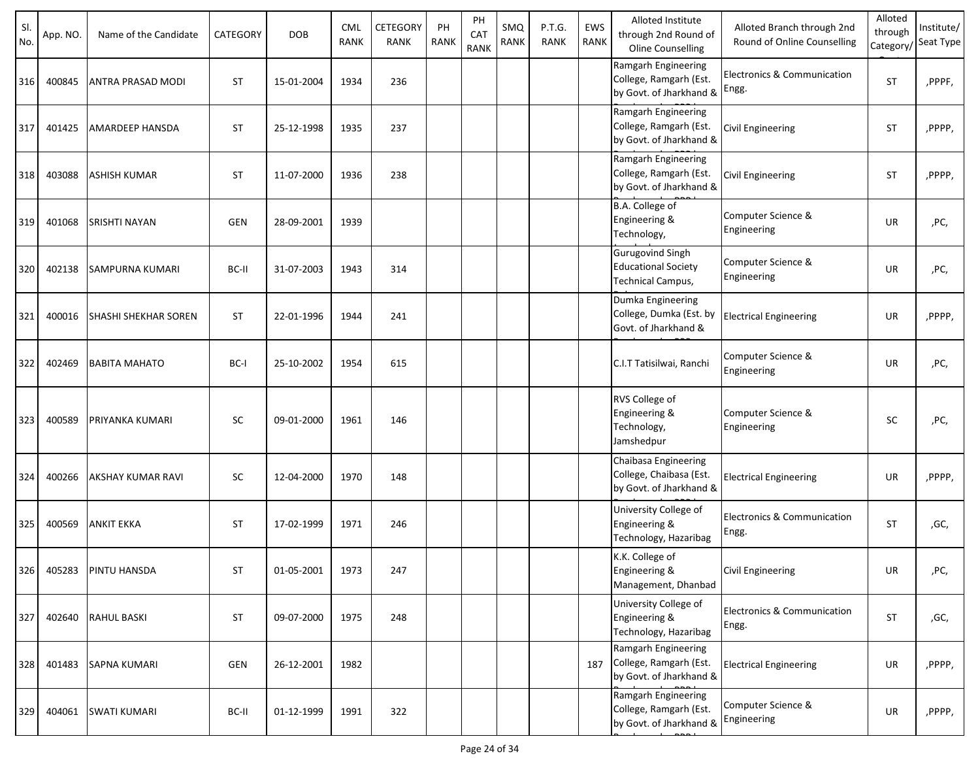| SI.<br>No. | App. NO. | Name of the Candidate | CATEGORY   | <b>DOB</b> | <b>CML</b><br><b>RANK</b> | CETEGORY<br><b>RANK</b> | PH<br><b>RANK</b> | PH<br>CAT<br><b>RANK</b> | SMQ<br><b>RANK</b> | P.T.G.<br><b>RANK</b> | EWS<br>RANK | Alloted Institute<br>through 2nd Round of<br>Oline Counselling             | Alloted Branch through 2nd<br>Round of Online Counselling | Alloted<br>through<br>Category/ | Institute/<br>Seat Type |
|------------|----------|-----------------------|------------|------------|---------------------------|-------------------------|-------------------|--------------------------|--------------------|-----------------------|-------------|----------------------------------------------------------------------------|-----------------------------------------------------------|---------------------------------|-------------------------|
| 316        | 400845   | ANTRA PRASAD MODI     | <b>ST</b>  | 15-01-2004 | 1934                      | 236                     |                   |                          |                    |                       |             | Ramgarh Engineering<br>College, Ramgarh (Est.<br>by Govt. of Jharkhand &   | <b>Electronics &amp; Communication</b><br>Engg.           | <b>ST</b>                       | ,PPPF,                  |
| 317        | 401425   | AMARDEEP HANSDA       | <b>ST</b>  | 25-12-1998 | 1935                      | 237                     |                   |                          |                    |                       |             | Ramgarh Engineering<br>College, Ramgarh (Est.<br>by Govt. of Jharkhand &   | <b>Civil Engineering</b>                                  | <b>ST</b>                       | ,PPPP,                  |
| 318        | 403088   | <b>ASHISH KUMAR</b>   | <b>ST</b>  | 11-07-2000 | 1936                      | 238                     |                   |                          |                    |                       |             | Ramgarh Engineering<br>College, Ramgarh (Est.<br>by Govt. of Jharkhand &   | Civil Engineering                                         | <b>ST</b>                       | ,PPPP,                  |
| 319        | 401068   | SRISHTI NAYAN         | <b>GEN</b> | 28-09-2001 | 1939                      |                         |                   |                          |                    |                       |             | B.A. College of<br>Engineering &<br>Technology,                            | Computer Science &<br>Engineering                         | <b>UR</b>                       | ,PC,                    |
| 320        | 402138   | SAMPURNA KUMARI       | BC-II      | 31-07-2003 | 1943                      | 314                     |                   |                          |                    |                       |             | Gurugovind Singh<br><b>Educational Society</b><br>Technical Campus,        | Computer Science &<br>Engineering                         | UR                              | ,PC,                    |
| 321        | 400016   | SHASHI SHEKHAR SOREN  | <b>ST</b>  | 22-01-1996 | 1944                      | 241                     |                   |                          |                    |                       |             | Dumka Engineering<br>College, Dumka (Est. by<br>Govt. of Jharkhand &       | <b>Electrical Engineering</b>                             | UR                              | ,PPPP,                  |
| 322        | 402469   | <b>BABITA MAHATO</b>  | BC-I       | 25-10-2002 | 1954                      | 615                     |                   |                          |                    |                       |             | C.I.T Tatisilwai, Ranchi                                                   | Computer Science &<br>Engineering                         | <b>UR</b>                       | ,PC,                    |
| 323        | 400589   | PRIYANKA KUMARI       | SC         | 09-01-2000 | 1961                      | 146                     |                   |                          |                    |                       |             | RVS College of<br>Engineering &<br>Technology,<br>Jamshedpur               | Computer Science &<br>Engineering                         | <b>SC</b>                       | ,PC,                    |
| 324        | 400266   | AKSHAY KUMAR RAVI     | SC         | 12-04-2000 | 1970                      | 148                     |                   |                          |                    |                       |             | Chaibasa Engineering<br>College, Chaibasa (Est.<br>by Govt. of Jharkhand & | <b>Electrical Engineering</b>                             | UR                              | ,PPPP,                  |
| 325        | 400569   | <b>ANKIT EKKA</b>     | <b>ST</b>  | 17-02-1999 | 1971                      | 246                     |                   |                          |                    |                       |             | University College of<br>Engineering &<br>Technology, Hazaribag            | Electronics & Communication<br>Engg.                      | <b>ST</b>                       | ,GC,                    |
| 326        | 405283   | PINTU HANSDA          | ST         | 01-05-2001 | 1973                      | 247                     |                   |                          |                    |                       |             | K.K. College of<br>Engineering &<br>Management, Dhanbad                    | Civil Engineering                                         | UR                              | ,PC,                    |
| 327        | 402640   | <b>RAHUL BASKI</b>    | <b>ST</b>  | 09-07-2000 | 1975                      | 248                     |                   |                          |                    |                       |             | University College of<br>Engineering &<br>Technology, Hazaribag            | Electronics & Communication<br>Engg.                      | <b>ST</b>                       | ,GC,                    |
| 328        | 401483   | <b>SAPNA KUMARI</b>   | GEN        | 26-12-2001 | 1982                      |                         |                   |                          |                    |                       | 187         | Ramgarh Engineering<br>College, Ramgarh (Est.<br>by Govt. of Jharkhand &   | <b>Electrical Engineering</b>                             | UR                              | ,PPPP,                  |
| 329        | 404061   | <b>SWATI KUMARI</b>   | BC-II      | 01-12-1999 | 1991                      | 322                     |                   |                          |                    |                       |             | Ramgarh Engineering<br>College, Ramgarh (Est.<br>by Govt. of Jharkhand &   | Computer Science &<br>Engineering                         | UR                              | ,PPPP,                  |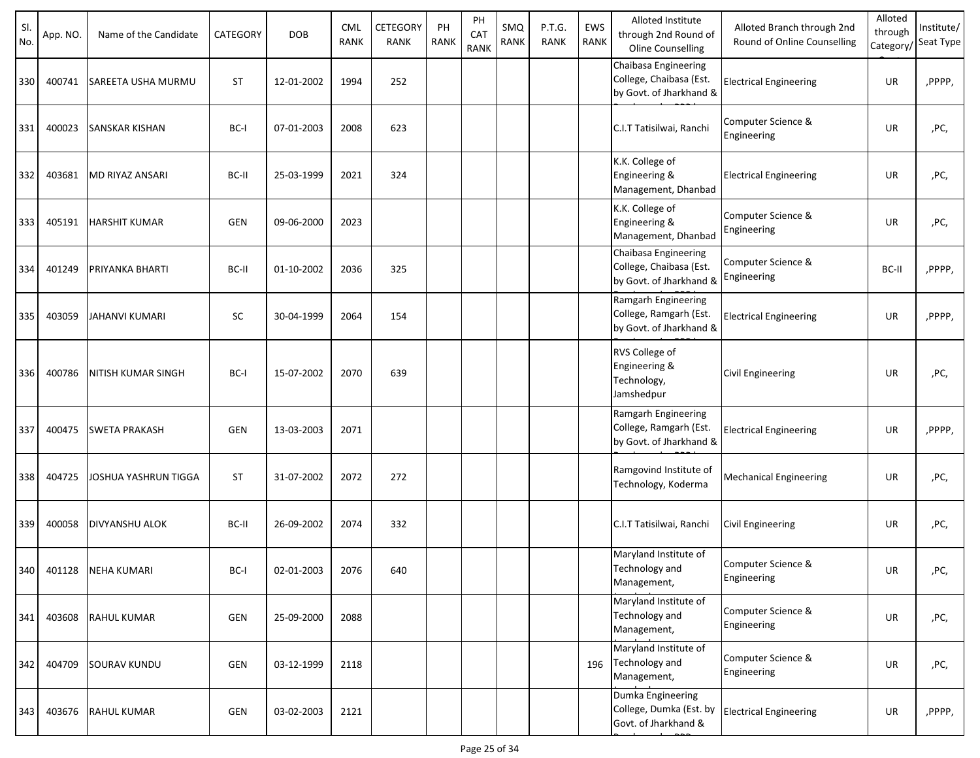| SI.<br>No. | App. NO. | Name of the Candidate | CATEGORY  | <b>DOB</b> | <b>CML</b><br>RANK | CETEGORY<br><b>RANK</b> | PH<br><b>RANK</b> | PH<br>CAT<br><b>RANK</b> | SMQ<br><b>RANK</b> | P.T.G.<br><b>RANK</b> | EWS<br><b>RANK</b> | Alloted Institute<br>through 2nd Round of<br>Oline Counselling             | Alloted Branch through 2nd<br>Round of Online Counselling | Alloted<br>through<br>Category/ | Institute/<br>Seat Type |
|------------|----------|-----------------------|-----------|------------|--------------------|-------------------------|-------------------|--------------------------|--------------------|-----------------------|--------------------|----------------------------------------------------------------------------|-----------------------------------------------------------|---------------------------------|-------------------------|
| 330        | 400741   | SAREETA USHA MURMU    | <b>ST</b> | 12-01-2002 | 1994               | 252                     |                   |                          |                    |                       |                    | Chaibasa Engineering<br>College, Chaibasa (Est.<br>by Govt. of Jharkhand & | <b>Electrical Engineering</b>                             | UR                              | ,PPPP,                  |
| 331        | 400023   | <b>SANSKAR KISHAN</b> | BC-I      | 07-01-2003 | 2008               | 623                     |                   |                          |                    |                       |                    | C.I.T Tatisilwai, Ranchi                                                   | Computer Science &<br>Engineering                         | <b>UR</b>                       | ,PC,                    |
| 332        | 403681   | MD RIYAZ ANSARI       | BC-II     | 25-03-1999 | 2021               | 324                     |                   |                          |                    |                       |                    | K.K. College of<br>Engineering &<br>Management, Dhanbad                    | <b>Electrical Engineering</b>                             | UR                              | ,PC,                    |
| 333        | 405191   | HARSHIT KUMAR         | GEN       | 09-06-2000 | 2023               |                         |                   |                          |                    |                       |                    | K.K. College of<br>Engineering &<br>Management, Dhanbad                    | Computer Science &<br>Engineering                         | <b>UR</b>                       | ,PC,                    |
| 334        | 401249   | PRIYANKA BHARTI       | BC-II     | 01-10-2002 | 2036               | 325                     |                   |                          |                    |                       |                    | Chaibasa Engineering<br>College, Chaibasa (Est.<br>by Govt. of Jharkhand & | Computer Science &<br>Engineering                         | BC-II                           | ,PPPP,                  |
| 335        | 403059   | JAHANVI KUMARI        | <b>SC</b> | 30-04-1999 | 2064               | 154                     |                   |                          |                    |                       |                    | Ramgarh Engineering<br>College, Ramgarh (Est.<br>by Govt. of Jharkhand &   | <b>Electrical Engineering</b>                             | UR                              | ,PPPP,                  |
| 336        | 400786   | NITISH KUMAR SINGH    | BC-I      | 15-07-2002 | 2070               | 639                     |                   |                          |                    |                       |                    | RVS College of<br>Engineering &<br>Technology,<br>Jamshedpur               | Civil Engineering                                         | UR                              | ,PC,                    |
| 337        | 400475   | SWETA PRAKASH         | GEN       | 13-03-2003 | 2071               |                         |                   |                          |                    |                       |                    | Ramgarh Engineering<br>College, Ramgarh (Est.<br>by Govt. of Jharkhand &   | <b>Electrical Engineering</b>                             | UR                              | ,PPPP,                  |
| 338        | 404725   | JOSHUA YASHRUN TIGGA  | <b>ST</b> | 31-07-2002 | 2072               | 272                     |                   |                          |                    |                       |                    | Ramgovind Institute of<br>Technology, Koderma                              | <b>Mechanical Engineering</b>                             | UR                              | ,PC,                    |
| 339        | 400058   | <b>DIVYANSHU ALOK</b> | BC-II     | 26-09-2002 | 2074               | 332                     |                   |                          |                    |                       |                    | C.I.T Tatisilwai, Ranchi                                                   | Civil Engineering                                         | UR                              | ,PC,                    |
| 340        | 401128   | <b>NEHA KUMARI</b>    | BC-I      | 02-01-2003 | 2076               | 640                     |                   |                          |                    |                       |                    | Maryland Institute of<br><b>Technology and</b><br>Management,              | Computer Science &<br>Engineering                         | UR                              | ,PC,                    |
| 341        | 403608   | <b>RAHUL KUMAR</b>    | GEN       | 25-09-2000 | 2088               |                         |                   |                          |                    |                       |                    | Maryland Institute of<br>Technology and<br>Management,                     | Computer Science &<br>Engineering                         | UR                              | ,PC,                    |
| 342        | 404709   | <b>SOURAV KUNDU</b>   | GEN       | 03-12-1999 | 2118               |                         |                   |                          |                    |                       | 196                | Maryland Institute of<br><b>Technology and</b><br>Management,              | Computer Science &<br>Engineering                         | UR                              | ,PC,                    |
| 343        | 403676   | <b>RAHUL KUMAR</b>    | GEN       | 03-02-2003 | 2121               |                         |                   |                          |                    |                       |                    | Dumka Engineering<br>College, Dumka (Est. by<br>Govt. of Jharkhand &       | <b>Electrical Engineering</b>                             | UR                              | ,PPPP,                  |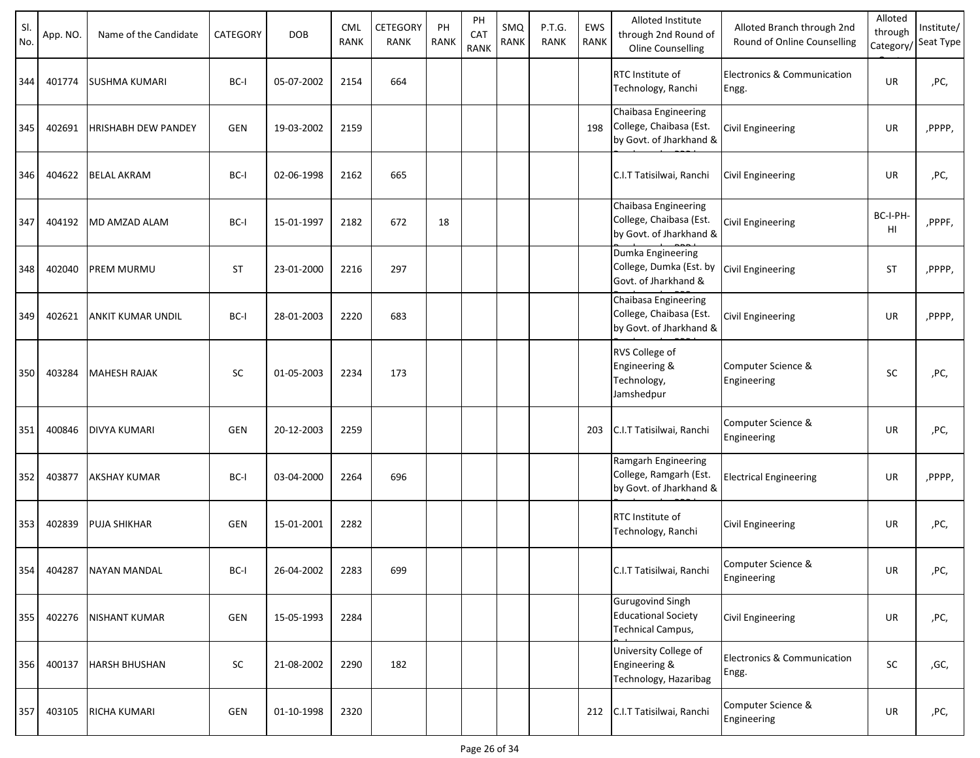| SI.<br>No. | App. NO. | Name of the Candidate | CATEGORY   | <b>DOB</b> | <b>CML</b><br><b>RANK</b> | <b>CETEGORY</b><br><b>RANK</b> | PH<br><b>RANK</b> | PH<br>CAT<br><b>RANK</b> | SMQ<br><b>RANK</b> | P.T.G.<br><b>RANK</b> | EWS<br><b>RANK</b> | Alloted Institute<br>through 2nd Round of<br>Oline Counselling             | Alloted Branch through 2nd<br>Round of Online Counselling | Alloted<br>through<br>Category/ | Institute/<br>Seat Type |
|------------|----------|-----------------------|------------|------------|---------------------------|--------------------------------|-------------------|--------------------------|--------------------|-----------------------|--------------------|----------------------------------------------------------------------------|-----------------------------------------------------------|---------------------------------|-------------------------|
| 344        | 401774   | <b>SUSHMA KUMARI</b>  | BC-I       | 05-07-2002 | 2154                      | 664                            |                   |                          |                    |                       |                    | RTC Institute of<br>Technology, Ranchi                                     | Electronics & Communication<br>Engg.                      | UR                              | ,PC,                    |
| 345        | 402691   | HRISHABH DEW PANDEY   | <b>GEN</b> | 19-03-2002 | 2159                      |                                |                   |                          |                    |                       | 198                | Chaibasa Engineering<br>College, Chaibasa (Est.<br>by Govt. of Jharkhand & | Civil Engineering                                         | UR                              | ,PPPP,                  |
| 346        | 404622   | <b>BELAL AKRAM</b>    | BC-I       | 02-06-1998 | 2162                      | 665                            |                   |                          |                    |                       |                    | C.I.T Tatisilwai, Ranchi                                                   | <b>Civil Engineering</b>                                  | UR                              | ,PC,                    |
| 347        | 404192   | MD AMZAD ALAM         | BC-I       | 15-01-1997 | 2182                      | 672                            | 18                |                          |                    |                       |                    | Chaibasa Engineering<br>College, Chaibasa (Est.<br>by Govt. of Jharkhand & | Civil Engineering                                         | BC-I-PH-<br>HI                  | ,PPPF,                  |
| 348        | 402040   | PREM MURMU            | <b>ST</b>  | 23-01-2000 | 2216                      | 297                            |                   |                          |                    |                       |                    | Dumka Engineering<br>College, Dumka (Est. by<br>Govt. of Jharkhand &       | <b>Civil Engineering</b>                                  | <b>ST</b>                       | ,PPPP,                  |
| 349        | 402621   | ANKIT KUMAR UNDIL     | BC-I       | 28-01-2003 | 2220                      | 683                            |                   |                          |                    |                       |                    | Chaibasa Engineering<br>College, Chaibasa (Est.<br>by Govt. of Jharkhand & | Civil Engineering                                         | UR                              | ,PPPP,                  |
| 350        | 403284   | <b>MAHESH RAJAK</b>   | <b>SC</b>  | 01-05-2003 | 2234                      | 173                            |                   |                          |                    |                       |                    | RVS College of<br>Engineering &<br>Technology,<br>Jamshedpur               | Computer Science &<br>Engineering                         | <b>SC</b>                       | ,PC,                    |
| 351        | 400846   | <b>DIVYA KUMARI</b>   | GEN        | 20-12-2003 | 2259                      |                                |                   |                          |                    |                       | 203                | C.I.T Tatisilwai, Ranchi                                                   | Computer Science &<br>Engineering                         | <b>UR</b>                       | ,PC,                    |
| 352        | 403877   | <b>AKSHAY KUMAR</b>   | BC-I       | 03-04-2000 | 2264                      | 696                            |                   |                          |                    |                       |                    | Ramgarh Engineering<br>College, Ramgarh (Est.<br>by Govt. of Jharkhand &   | <b>Electrical Engineering</b>                             | UR                              | ,PPPP,                  |
| 353        | 402839   | <b>PUJA SHIKHAR</b>   | <b>GEN</b> | 15-01-2001 | 2282                      |                                |                   |                          |                    |                       |                    | <b>RTC</b> Institute of<br>Technology, Ranchi                              | Civil Engineering                                         | UR                              | ,PC,                    |
| 354        | 404287   | <b>NAYAN MANDAL</b>   | BC-I       | 26-04-2002 | 2283                      | 699                            |                   |                          |                    |                       |                    | C.I.T Tatisilwai, Ranchi                                                   | Computer Science &<br>Engineering                         | UR                              | ,PC,                    |
| 355        | 402276   | <b>NISHANT KUMAR</b>  | GEN        | 15-05-1993 | 2284                      |                                |                   |                          |                    |                       |                    | <b>Gurugovind Singh</b><br><b>Educational Society</b><br>Technical Campus, | Civil Engineering                                         | UR                              | ,PC,                    |
| 356        | 400137   | <b>HARSH BHUSHAN</b>  | SC         | 21-08-2002 | 2290                      | 182                            |                   |                          |                    |                       |                    | University College of<br>Engineering &<br>Technology, Hazaribag            | Electronics & Communication<br>Engg.                      | SC                              | ,GC,                    |
| 357        | 403105   | RICHA KUMARI          | GEN        | 01-10-1998 | 2320                      |                                |                   |                          |                    |                       |                    | 212 C.I.T Tatisilwai, Ranchi                                               | Computer Science &<br>Engineering                         | UR                              | ,PC,                    |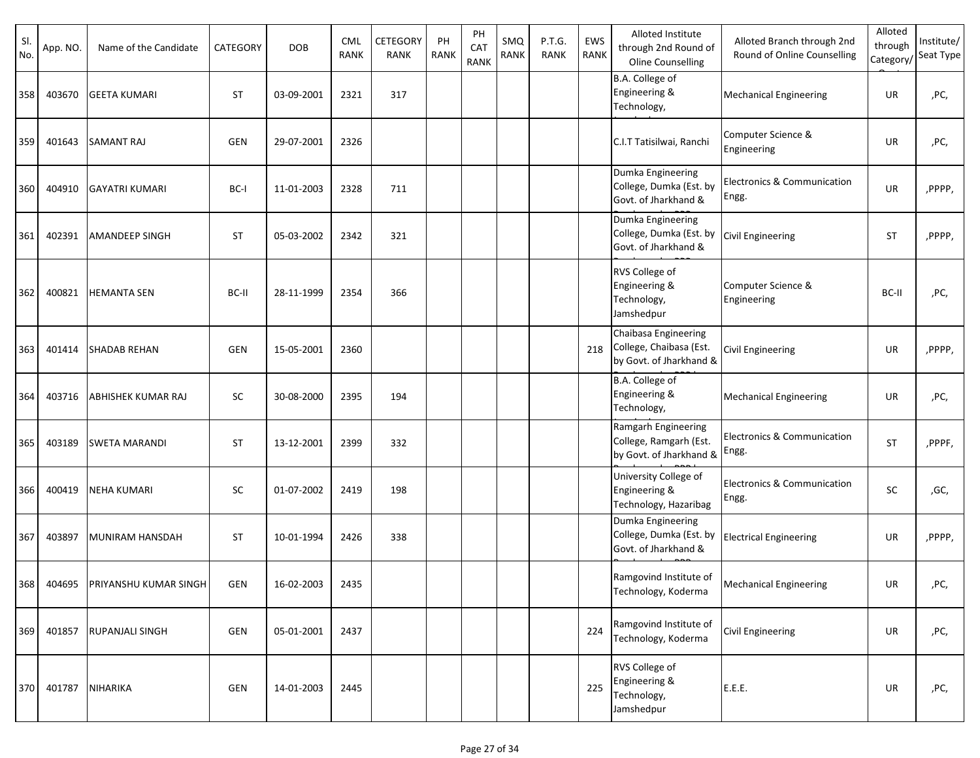| SI.<br>No. | App. NO. | Name of the Candidate     | CATEGORY   | <b>DOB</b> | <b>CML</b><br><b>RANK</b> | <b>CETEGORY</b><br><b>RANK</b> | PH<br><b>RANK</b> | PH<br>CAT<br><b>RANK</b> | SMQ<br>RANK | P.T.G.<br><b>RANK</b> | EWS<br>RANK | Alloted Institute<br>through 2nd Round of<br>Oline Counselling             | Alloted Branch through 2nd<br>Round of Online Counselling | Alloted<br>through<br>Category/ | Institute/<br>Seat Type |
|------------|----------|---------------------------|------------|------------|---------------------------|--------------------------------|-------------------|--------------------------|-------------|-----------------------|-------------|----------------------------------------------------------------------------|-----------------------------------------------------------|---------------------------------|-------------------------|
| 358        | 403670   | <b>GEETA KUMARI</b>       | <b>ST</b>  | 03-09-2001 | 2321                      | 317                            |                   |                          |             |                       |             | B.A. College of<br>Engineering &<br>Technology,                            | <b>Mechanical Engineering</b>                             | UR                              | ,PC,                    |
| 359        | 401643   | <b>SAMANT RAJ</b>         | <b>GEN</b> | 29-07-2001 | 2326                      |                                |                   |                          |             |                       |             | C.I.T Tatisilwai, Ranchi                                                   | Computer Science &<br>Engineering                         | UR                              | ,PC,                    |
| 360        | 404910   | <b>GAYATRI KUMARI</b>     | BC-I       | 11-01-2003 | 2328                      | 711                            |                   |                          |             |                       |             | Dumka Engineering<br>College, Dumka (Est. by<br>Govt. of Jharkhand &       | <b>Electronics &amp; Communication</b><br>Engg.           | UR                              | ,PPPP,                  |
| 361        | 402391   | <b>AMANDEEP SINGH</b>     | <b>ST</b>  | 05-03-2002 | 2342                      | 321                            |                   |                          |             |                       |             | Dumka Engineering<br>College, Dumka (Est. by<br>Govt. of Jharkhand &       | <b>Civil Engineering</b>                                  | <b>ST</b>                       | ,PPPP,                  |
| 362        | 400821   | <b>HEMANTA SEN</b>        | BC-II      | 28-11-1999 | 2354                      | 366                            |                   |                          |             |                       |             | RVS College of<br>Engineering &<br>Technology,<br>Jamshedpur               | Computer Science &<br>Engineering                         | BC-II                           | ,PC,                    |
| 363        | 401414   | <b>SHADAB REHAN</b>       | <b>GEN</b> | 15-05-2001 | 2360                      |                                |                   |                          |             |                       | 218         | Chaibasa Engineering<br>College, Chaibasa (Est.<br>by Govt. of Jharkhand & | Civil Engineering                                         | UR                              | ,PPPP,                  |
| 364        | 403716   | <b>ABHISHEK KUMAR RAJ</b> | SC         | 30-08-2000 | 2395                      | 194                            |                   |                          |             |                       |             | B.A. College of<br>Engineering &<br>Technology,                            | Mechanical Engineering                                    | UR                              | ,PC,                    |
| 365        | 403189   | <b>SWETA MARANDI</b>      | <b>ST</b>  | 13-12-2001 | 2399                      | 332                            |                   |                          |             |                       |             | Ramgarh Engineering<br>College, Ramgarh (Est.<br>by Govt. of Jharkhand &   | <b>Electronics &amp; Communication</b><br>Engg.           | <b>ST</b>                       | ,PPPF,                  |
| 366        | 400419   | <b>NEHA KUMARI</b>        | <b>SC</b>  | 01-07-2002 | 2419                      | 198                            |                   |                          |             |                       |             | University College of<br>Engineering &<br>Technology, Hazaribag            | Electronics & Communication<br>Engg.                      | <b>SC</b>                       | ,GC,                    |
| 367        | 403897   | MUNIRAM HANSDAH           | <b>ST</b>  | 10-01-1994 | 2426                      | 338                            |                   |                          |             |                       |             | Dumka Engineering<br>College, Dumka (Est. by<br>Govt. of Jharkhand &       | <b>Electrical Engineering</b>                             | UR                              | ,PPPP,                  |
| 368        | 404695   | PRIYANSHU KUMAR SINGH     | GEN        | 16-02-2003 | 2435                      |                                |                   |                          |             |                       |             | Ramgovind Institute of<br>Technology, Koderma                              | <b>Mechanical Engineering</b>                             | UR                              | ,PC,                    |
| 369        | 401857   | <b>RUPANJALI SINGH</b>    | GEN        | 05-01-2001 | 2437                      |                                |                   |                          |             |                       | 224         | Ramgovind Institute of<br>Technology, Koderma                              | <b>Civil Engineering</b>                                  | UR                              | ,PC,                    |
| 370        | 401787   | <b>NIHARIKA</b>           | <b>GEN</b> | 14-01-2003 | 2445                      |                                |                   |                          |             |                       | 225         | RVS College of<br>Engineering &<br>Technology,<br>Jamshedpur               | E.E.E.                                                    | UR                              | ,PC,                    |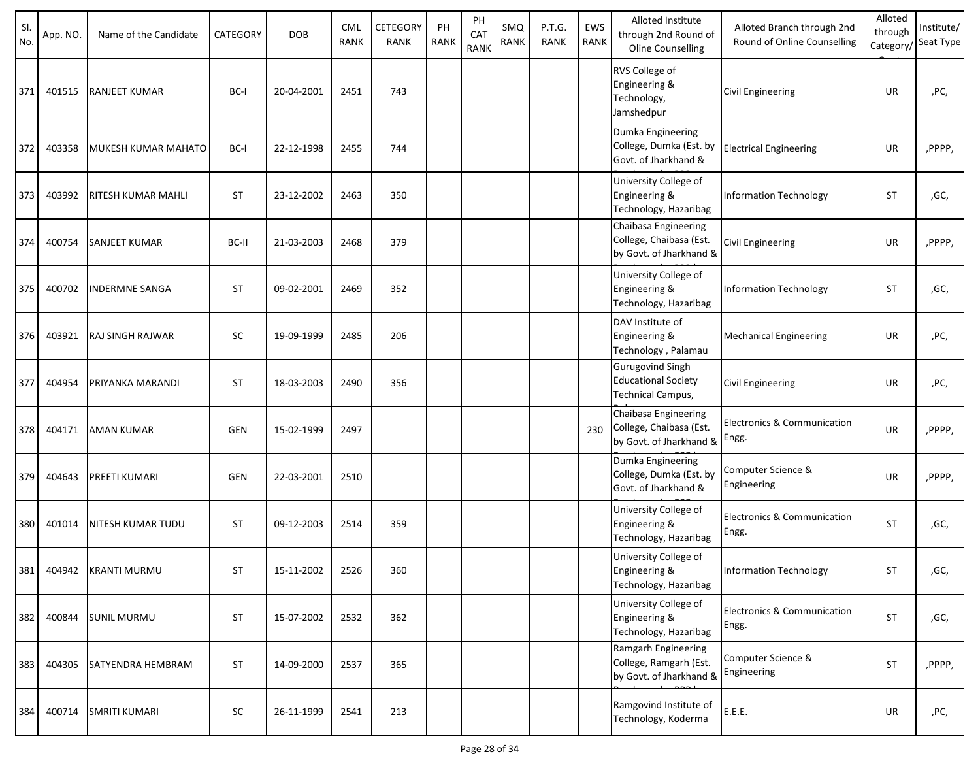| SI.<br>No. | App. NO. | Name of the Candidate     | CATEGORY   | <b>DOB</b> | <b>CML</b><br><b>RANK</b> | <b>CETEGORY</b><br>RANK | PH<br><b>RANK</b> | PH<br>CAT<br><b>RANK</b> | SMQ<br>RANK | P.T.G.<br><b>RANK</b> | EWS<br>RANK | Alloted Institute<br>through 2nd Round of<br>Oline Counselling             | Alloted Branch through 2nd<br>Round of Online Counselling | Alloted<br>through<br>Category/ | Institute/<br>Seat Type |
|------------|----------|---------------------------|------------|------------|---------------------------|-------------------------|-------------------|--------------------------|-------------|-----------------------|-------------|----------------------------------------------------------------------------|-----------------------------------------------------------|---------------------------------|-------------------------|
| 371        | 401515   | <b>RANJEET KUMAR</b>      | BC-I       | 20-04-2001 | 2451                      | 743                     |                   |                          |             |                       |             | RVS College of<br>Engineering &<br>Technology,<br>Jamshedpur               | Civil Engineering                                         | UR                              | ,PC,                    |
| 372        | 403358   | MUKESH KUMAR MAHATO       | BC-I       | 22-12-1998 | 2455                      | 744                     |                   |                          |             |                       |             | Dumka Engineering<br>College, Dumka (Est. by<br>Govt. of Jharkhand &       | <b>Electrical Engineering</b>                             | UR                              | ,PPPP,                  |
| 373        | 403992   | <b>RITESH KUMAR MAHLI</b> | <b>ST</b>  | 23-12-2002 | 2463                      | 350                     |                   |                          |             |                       |             | University College of<br>Engineering &<br>Technology, Hazaribag            | <b>Information Technology</b>                             | <b>ST</b>                       | ,GC,                    |
| 374        | 400754   | <b>SANJEET KUMAR</b>      | BC-II      | 21-03-2003 | 2468                      | 379                     |                   |                          |             |                       |             | Chaibasa Engineering<br>College, Chaibasa (Est.<br>by Govt. of Jharkhand & | Civil Engineering                                         | UR                              | ,PPPP,                  |
| 375        | 400702   | <b>INDERMNE SANGA</b>     | <b>ST</b>  | 09-02-2001 | 2469                      | 352                     |                   |                          |             |                       |             | University College of<br>Engineering &<br>Technology, Hazaribag            | <b>Information Technology</b>                             | <b>ST</b>                       | ,GC,                    |
| 376        | 403921   | <b>RAJ SINGH RAJWAR</b>   | <b>SC</b>  | 19-09-1999 | 2485                      | 206                     |                   |                          |             |                       |             | DAV Institute of<br>Engineering &<br>Technology, Palamau                   | <b>Mechanical Engineering</b>                             | UR                              | ,PC,                    |
| 377        | 404954   | PRIYANKA MARANDI          | <b>ST</b>  | 18-03-2003 | 2490                      | 356                     |                   |                          |             |                       |             | <b>Gurugovind Singh</b><br><b>Educational Society</b><br>Technical Campus, | Civil Engineering                                         | UR                              | ,PC,                    |
| 378        | 404171   | <b>AMAN KUMAR</b>         | <b>GEN</b> | 15-02-1999 | 2497                      |                         |                   |                          |             |                       | 230         | Chaibasa Engineering<br>College, Chaibasa (Est.<br>by Govt. of Jharkhand & | Electronics & Communication<br>Engg.                      | <b>UR</b>                       | ,PPPP,                  |
| 379        | 404643   | <b>PREETI KUMARI</b>      | <b>GEN</b> | 22-03-2001 | 2510                      |                         |                   |                          |             |                       |             | Dumka Engineering<br>College, Dumka (Est. by<br>Govt. of Jharkhand &       | Computer Science &<br>Engineering                         | UR                              | ,PPPP,                  |
| 380        | 401014   | <b>NITESH KUMAR TUDU</b>  | <b>ST</b>  | 09-12-2003 | 2514                      | 359                     |                   |                          |             |                       |             | University College of<br>Engineering &<br>Technology, Hazaribag            | Electronics & Communication<br>Engg.                      | <b>ST</b>                       | ,GC,                    |
| 381        | 404942   | <b>KRANTI MURMU</b>       | <b>ST</b>  | 15-11-2002 | 2526                      | 360                     |                   |                          |             |                       |             | University College of<br>Engineering &<br>Technology, Hazaribag            | <b>Information Technology</b>                             | <b>ST</b>                       | ,GC,                    |
| 382        | 400844   | <b>SUNIL MURMU</b>        | <b>ST</b>  | 15-07-2002 | 2532                      | 362                     |                   |                          |             |                       |             | University College of<br>Engineering &<br>Technology, Hazaribag            | Electronics & Communication<br>Engg.                      | ST                              | ,GC,                    |
| 383        | 404305   | <b>SATYENDRA HEMBRAM</b>  | <b>ST</b>  | 14-09-2000 | 2537                      | 365                     |                   |                          |             |                       |             | Ramgarh Engineering<br>College, Ramgarh (Est.<br>by Govt. of Jharkhand &   | Computer Science &<br>Engineering                         | <b>ST</b>                       | ,PPPP,                  |
| 384        | 400714   | <b>SMRITI KUMARI</b>      | SC         | 26-11-1999 | 2541                      | 213                     |                   |                          |             |                       |             | Ramgovind Institute of<br>Technology, Koderma                              | E.E.E.                                                    | UR                              | ,PC,                    |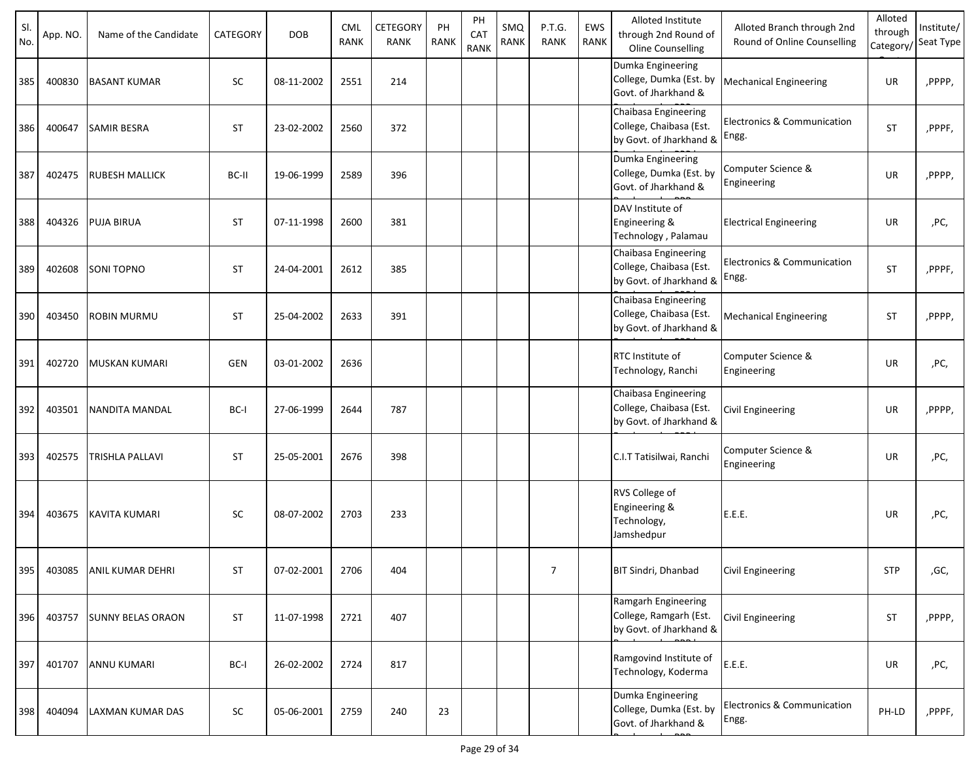| SI.<br>No. | App. NO. | Name of the Candidate    | CATEGORY   | <b>DOB</b> | <b>CML</b><br><b>RANK</b> | CETEGORY<br>RANK | PH<br><b>RANK</b> | PH<br>CAT<br><b>RANK</b> | SMQ<br>RANK | P.T.G.<br><b>RANK</b> | EWS<br>RANK | Alloted Institute<br>through 2nd Round of<br><b>Oline Counselling</b>      | Alloted Branch through 2nd<br>Round of Online Counselling | Alloted<br>through<br>Category/ | Institute/<br>Seat Type |
|------------|----------|--------------------------|------------|------------|---------------------------|------------------|-------------------|--------------------------|-------------|-----------------------|-------------|----------------------------------------------------------------------------|-----------------------------------------------------------|---------------------------------|-------------------------|
| 385        | 400830   | <b>BASANT KUMAR</b>      | <b>SC</b>  | 08-11-2002 | 2551                      | 214              |                   |                          |             |                       |             | Dumka Engineering<br>College, Dumka (Est. by<br>Govt. of Jharkhand &       | <b>Mechanical Engineering</b>                             | UR                              | ,PPPP,                  |
| 386        | 400647   | <b>SAMIR BESRA</b>       | <b>ST</b>  | 23-02-2002 | 2560                      | 372              |                   |                          |             |                       |             | Chaibasa Engineering<br>College, Chaibasa (Est.<br>by Govt. of Jharkhand & | Electronics & Communication<br>Engg.                      | <b>ST</b>                       | ,PPPF,                  |
| 387        | 402475   | <b>RUBESH MALLICK</b>    | BC-II      | 19-06-1999 | 2589                      | 396              |                   |                          |             |                       |             | Dumka Engineering<br>College, Dumka (Est. by<br>Govt. of Jharkhand &       | Computer Science &<br>Engineering                         | UR                              | ,PPPP,                  |
| 388        | 404326   | <b>PUJA BIRUA</b>        | <b>ST</b>  | 07-11-1998 | 2600                      | 381              |                   |                          |             |                       |             | DAV Institute of<br>Engineering &<br>Technology, Palamau                   | <b>Electrical Engineering</b>                             | UR                              | ,PC,                    |
| 389        | 402608   | <b>SONI TOPNO</b>        | <b>ST</b>  | 24-04-2001 | 2612                      | 385              |                   |                          |             |                       |             | Chaibasa Engineering<br>College, Chaibasa (Est.<br>by Govt. of Jharkhand & | Electronics & Communication<br>Engg.                      | <b>ST</b>                       | ,PPPF,                  |
| 390        | 403450   | <b>ROBIN MURMU</b>       | <b>ST</b>  | 25-04-2002 | 2633                      | 391              |                   |                          |             |                       |             | Chaibasa Engineering<br>College, Chaibasa (Est.<br>by Govt. of Jharkhand & | <b>Mechanical Engineering</b>                             | <b>ST</b>                       | ,PPPP,                  |
| 391        | 402720   | <b>MUSKAN KUMARI</b>     | <b>GEN</b> | 03-01-2002 | 2636                      |                  |                   |                          |             |                       |             | RTC Institute of<br>Technology, Ranchi                                     | Computer Science &<br>Engineering                         | <b>UR</b>                       | ,PC,                    |
| 392        | 403501   | NANDITA MANDAL           | BC-I       | 27-06-1999 | 2644                      | 787              |                   |                          |             |                       |             | Chaibasa Engineering<br>College, Chaibasa (Est.<br>by Govt. of Jharkhand & | Civil Engineering                                         | UR                              | ,PPPP,                  |
| 393        | 402575   | <b>TRISHLA PALLAVI</b>   | <b>ST</b>  | 25-05-2001 | 2676                      | 398              |                   |                          |             |                       |             | C.I.T Tatisilwai, Ranchi                                                   | Computer Science &<br>Engineering                         | <b>UR</b>                       | ,PC,                    |
| 394        | 403675   | <b>KAVITA KUMARI</b>     | <b>SC</b>  | 08-07-2002 | 2703                      | 233              |                   |                          |             |                       |             | RVS College of<br>Engineering &<br>Technology,<br>Jamshedpur               | E.E.E.                                                    | UR                              | ,PC,                    |
| 395        | 403085   | <b>ANIL KUMAR DEHRI</b>  | <b>ST</b>  | 07-02-2001 | 2706                      | 404              |                   |                          |             | $\overline{7}$        |             | <b>BIT Sindri, Dhanbad</b>                                                 | <b>Civil Engineering</b>                                  | <b>STP</b>                      | ,GC,                    |
| 396        | 403757   | <b>SUNNY BELAS ORAON</b> | <b>ST</b>  | 11-07-1998 | 2721                      | 407              |                   |                          |             |                       |             | Ramgarh Engineering<br>College, Ramgarh (Est.<br>by Govt. of Jharkhand &   | Civil Engineering                                         | ST                              | ,PPPP,                  |
| 397        | 401707   | <b>ANNU KUMARI</b>       | BC-I       | 26-02-2002 | 2724                      | 817              |                   |                          |             |                       |             | Ramgovind Institute of<br>Technology, Koderma                              | E.E.E.                                                    | UR                              | ,PC,                    |
| 398        | 404094   | <b>LAXMAN KUMAR DAS</b>  | SC         | 05-06-2001 | 2759                      | 240              | 23                |                          |             |                       |             | Dumka Engineering<br>College, Dumka (Est. by<br>Govt. of Jharkhand &       | Electronics & Communication<br>Engg.                      | PH-LD                           | ,PPPF,                  |

<del>run by under PPP</del>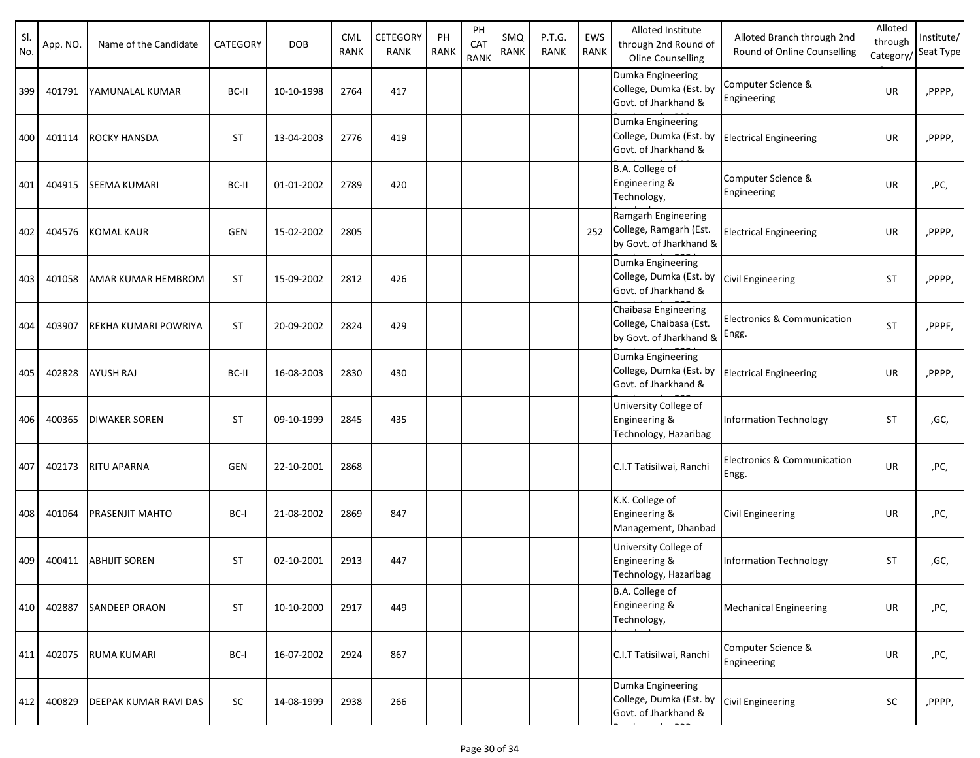| SI.<br>No. | App. NO. | Name of the Candidate        | CATEGORY   | <b>DOB</b> | <b>CML</b><br>RANK | CETEGORY<br><b>RANK</b> | PH<br><b>RANK</b> | PH<br>CAT<br><b>RANK</b> | SMQ<br><b>RANK</b> | P.T.G.<br><b>RANK</b> | EWS<br>RANK | Alloted Institute<br>through 2nd Round of<br>Oline Counselling                         | Alloted Branch through 2nd<br>Round of Online Counselling | Alloted<br>through<br>Category/ | Institute/<br>Seat Type |
|------------|----------|------------------------------|------------|------------|--------------------|-------------------------|-------------------|--------------------------|--------------------|-----------------------|-------------|----------------------------------------------------------------------------------------|-----------------------------------------------------------|---------------------------------|-------------------------|
| 399        | 401791   | YAMUNALAL KUMAR              | BC-II      | 10-10-1998 | 2764               | 417                     |                   |                          |                    |                       |             | Dumka Engineering<br>College, Dumka (Est. by<br>Govt. of Jharkhand &                   | Computer Science &<br>Engineering                         | UR                              | ,PPPP,                  |
| 400        | 401114   | <b>ROCKY HANSDA</b>          | <b>ST</b>  | 13-04-2003 | 2776               | 419                     |                   |                          |                    |                       |             | Dumka Engineering<br>College, Dumka (Est. by<br>Govt. of Jharkhand &                   | <b>Electrical Engineering</b>                             | UR                              | ,PPPP,                  |
| 401        | 404915   | <b>SEEMA KUMARI</b>          | BC-II      | 01-01-2002 | 2789               | 420                     |                   |                          |                    |                       |             | B.A. College of<br>Engineering &<br>Technology,                                        | Computer Science &<br>Engineering                         | UR                              | ,PC,                    |
| 402        | 404576   | <b>KOMAL KAUR</b>            | <b>GEN</b> | 15-02-2002 | 2805               |                         |                   |                          |                    |                       | 252         | Ramgarh Engineering<br>College, Ramgarh (Est.<br>by Govt. of Jharkhand &               | <b>Electrical Engineering</b>                             | UR                              | ,PPPP,                  |
| 403        | 401058   | AMAR KUMAR HEMBROM           | <b>ST</b>  | 15-09-2002 | 2812               | 426                     |                   |                          |                    |                       |             | Dumka Engineering<br>College, Dumka (Est. by<br>Govt. of Jharkhand &                   | <b>Civil Engineering</b>                                  | <b>ST</b>                       | ,PPPP,                  |
| 404        | 403907   | REKHA KUMARI POWRIYA         | <b>ST</b>  | 20-09-2002 | 2824               | 429                     |                   |                          |                    |                       |             | Chaibasa Engineering<br>College, Chaibasa (Est.<br>by Govt. of Jharkhand &             | Electronics & Communication<br>Engg.                      | <b>ST</b>                       | ,PPPF,                  |
| 405        | 402828   | <b>AYUSH RAJ</b>             | BC-II      | 16-08-2003 | 2830               | 430                     |                   |                          |                    |                       |             | Dumka Engineering<br>College, Dumka (Est. by<br>Govt. of Jharkhand &                   | <b>Electrical Engineering</b>                             | UR                              | ,PPPP,                  |
| 406        | 400365   | <b>DIWAKER SOREN</b>         | <b>ST</b>  | 09-10-1999 | 2845               | 435                     |                   |                          |                    |                       |             | University College of<br>Engineering &<br>Technology, Hazaribag                        | Information Technology                                    | <b>ST</b>                       | ,GC,                    |
| 407        | 402173   | <b>RITU APARNA</b>           | GEN        | 22-10-2001 | 2868               |                         |                   |                          |                    |                       |             | C.I.T Tatisilwai, Ranchi                                                               | Electronics & Communication<br>Engg.                      | UR                              | ,PC,                    |
| 408        | 401064   | <b>PRASENJIT MAHTO</b>       | BC-I       | 21-08-2002 | 2869               | 847                     |                   |                          |                    |                       |             | K.K. College of<br>Engineering &<br>Management, Dhanbad                                | <b>Civil Engineering</b>                                  | UR                              | ,PC,                    |
| 409        | 400411   | <b>ABHIJIT SOREN</b>         | <b>ST</b>  | 02-10-2001 | 2913               | 447                     |                   |                          |                    |                       |             | University College of<br>Engineering &<br>Technology, Hazaribag                        | Information Technology                                    | <b>ST</b>                       | ,GC,                    |
| 410        | 402887   | <b>SANDEEP ORAON</b>         | <b>ST</b>  | 10-10-2000 | 2917               | 449                     |                   |                          |                    |                       |             | B.A. College of<br>Engineering &<br>Technology,                                        | <b>Mechanical Engineering</b>                             | UR                              | ,PC,                    |
| 411        | 402075   | <b>RUMA KUMARI</b>           | BC-I       | 16-07-2002 | 2924               | 867                     |                   |                          |                    |                       |             | C.I.T Tatisilwai, Ranchi                                                               | Computer Science &<br>Engineering                         | UR                              | ,PC,                    |
| 412        | 400829   | <b>DEEPAK KUMAR RAVI DAS</b> | SC         | 14-08-1999 | 2938               | 266                     |                   |                          |                    |                       |             | Dumka Engineering<br>College, Dumka (Est. by Civil Engineering<br>Govt. of Jharkhand & |                                                           | SC                              | ,PPPP,                  |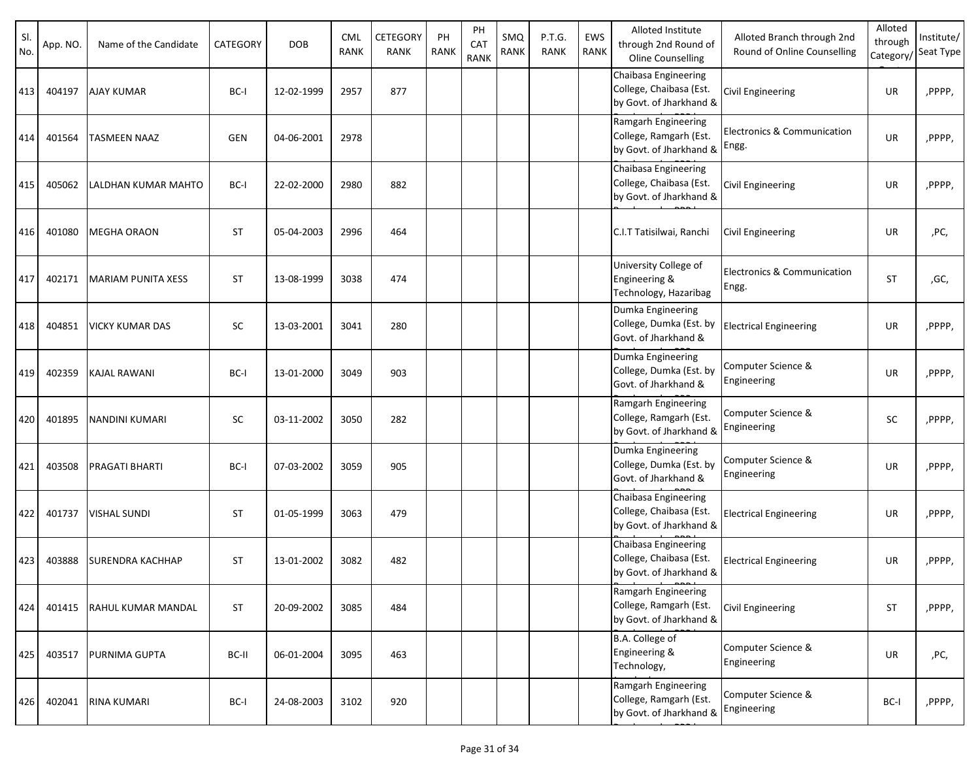| SI.<br>No. | App. NO. | Name of the Candidate  | CATEGORY   | <b>DOB</b> | <b>CML</b><br><b>RANK</b> | CETEGORY<br><b>RANK</b> | PH<br><b>RANK</b> | PH<br>CAT<br><b>RANK</b> | SMQ<br>RANK | P.T.G.<br><b>RANK</b> | EWS<br><b>RANK</b> | Alloted Institute<br>through 2nd Round of<br>Oline Counselling             | Alloted Branch through 2nd<br>Round of Online Counselling | Alloted<br>through<br>Category/ | Institute/<br>Seat Type |
|------------|----------|------------------------|------------|------------|---------------------------|-------------------------|-------------------|--------------------------|-------------|-----------------------|--------------------|----------------------------------------------------------------------------|-----------------------------------------------------------|---------------------------------|-------------------------|
| 413        | 404197   | <b>AJAY KUMAR</b>      | BC-I       | 12-02-1999 | 2957                      | 877                     |                   |                          |             |                       |                    | Chaibasa Engineering<br>College, Chaibasa (Est.<br>by Govt. of Jharkhand & | Civil Engineering                                         | UR                              | ,PPPP,                  |
| 414        | 401564   | <b>TASMEEN NAAZ</b>    | <b>GEN</b> | 04-06-2001 | 2978                      |                         |                   |                          |             |                       |                    | Ramgarh Engineering<br>College, Ramgarh (Est.<br>by Govt. of Jharkhand &   | <b>Electronics &amp; Communication</b><br>Engg.           | UR                              | ,PPPP,                  |
| 415        | 405062   | LALDHAN KUMAR MAHTO    | BC-I       | 22-02-2000 | 2980                      | 882                     |                   |                          |             |                       |                    | Chaibasa Engineering<br>College, Chaibasa (Est.<br>by Govt. of Jharkhand & | Civil Engineering                                         | UR                              | ,PPPP,                  |
| 416        | 401080   | <b>MEGHA ORAON</b>     | <b>ST</b>  | 05-04-2003 | 2996                      | 464                     |                   |                          |             |                       |                    | C.I.T Tatisilwai, Ranchi                                                   | <b>Civil Engineering</b>                                  | UR                              | ,PC,                    |
| 417        | 402171   | MARIAM PUNITA XESS     | <b>ST</b>  | 13-08-1999 | 3038                      | 474                     |                   |                          |             |                       |                    | University College of<br>Engineering &<br>Technology, Hazaribag            | Electronics & Communication<br>Engg.                      | <b>ST</b>                       | ,GC,                    |
| 418        | 404851   | <b>VICKY KUMAR DAS</b> | <b>SC</b>  | 13-03-2001 | 3041                      | 280                     |                   |                          |             |                       |                    | Dumka Engineering<br>College, Dumka (Est. by<br>Govt. of Jharkhand &       | <b>Electrical Engineering</b>                             | UR                              | ,PPPP,                  |
| 419        | 402359   | <b>KAJAL RAWANI</b>    | BC-I       | 13-01-2000 | 3049                      | 903                     |                   |                          |             |                       |                    | Dumka Engineering<br>College, Dumka (Est. by<br>Govt. of Jharkhand &       | Computer Science &<br>Engineering                         | UR                              | ,PPPP,                  |
| 420        | 401895   | NANDINI KUMARI         | <b>SC</b>  | 03-11-2002 | 3050                      | 282                     |                   |                          |             |                       |                    | Ramgarh Engineering<br>College, Ramgarh (Est.<br>by Govt. of Jharkhand &   | Computer Science &<br>Engineering                         | <b>SC</b>                       | ,PPPP,                  |
| 421        | 403508   | <b>PRAGATI BHARTI</b>  | BC-I       | 07-03-2002 | 3059                      | 905                     |                   |                          |             |                       |                    | Dumka Engineering<br>College, Dumka (Est. by<br>Govt. of Jharkhand &       | Computer Science &<br>Engineering                         | UR                              | ,PPPP,                  |
| 422        | 401737   | <b>VISHAL SUNDI</b>    | <b>ST</b>  | 01-05-1999 | 3063                      | 479                     |                   |                          |             |                       |                    | Chaibasa Engineering<br>College, Chaibasa (Est.<br>by Govt. of Jharkhand & | <b>Electrical Engineering</b>                             | UR                              | ,PPPP,                  |
| 423        | 403888   | SURENDRA KACHHAP       | <b>ST</b>  | 13-01-2002 | 3082                      | 482                     |                   |                          |             |                       |                    | Chaibasa Engineering<br>College, Chaibasa (Est.<br>by Govt. of Jharkhand & | <b>Electrical Engineering</b>                             | UR                              | ,PPPP,                  |
| 424        | 401415   | RAHUL KUMAR MANDAL     | <b>ST</b>  | 20-09-2002 | 3085                      | 484                     |                   |                          |             |                       |                    | Ramgarh Engineering<br>College, Ramgarh (Est.<br>by Govt. of Jharkhand &   | <b>Civil Engineering</b>                                  | <b>ST</b>                       | ,PPPP,                  |
| 425        | 403517   | PURNIMA GUPTA          | BC-II      | 06-01-2004 | 3095                      | 463                     |                   |                          |             |                       |                    | B.A. College of<br>Engineering &<br>Technology,                            | Computer Science &<br>Engineering                         | UR                              | ,PC,                    |
| 426        | 402041   | <b>RINA KUMARI</b>     | BC-I       | 24-08-2003 | 3102                      | 920                     |                   |                          |             |                       |                    | Ramgarh Engineering<br>College, Ramgarh (Est.<br>by Govt. of Jharkhand &   | Computer Science &<br>Engineering                         | BC-I                            | ,PPPP,                  |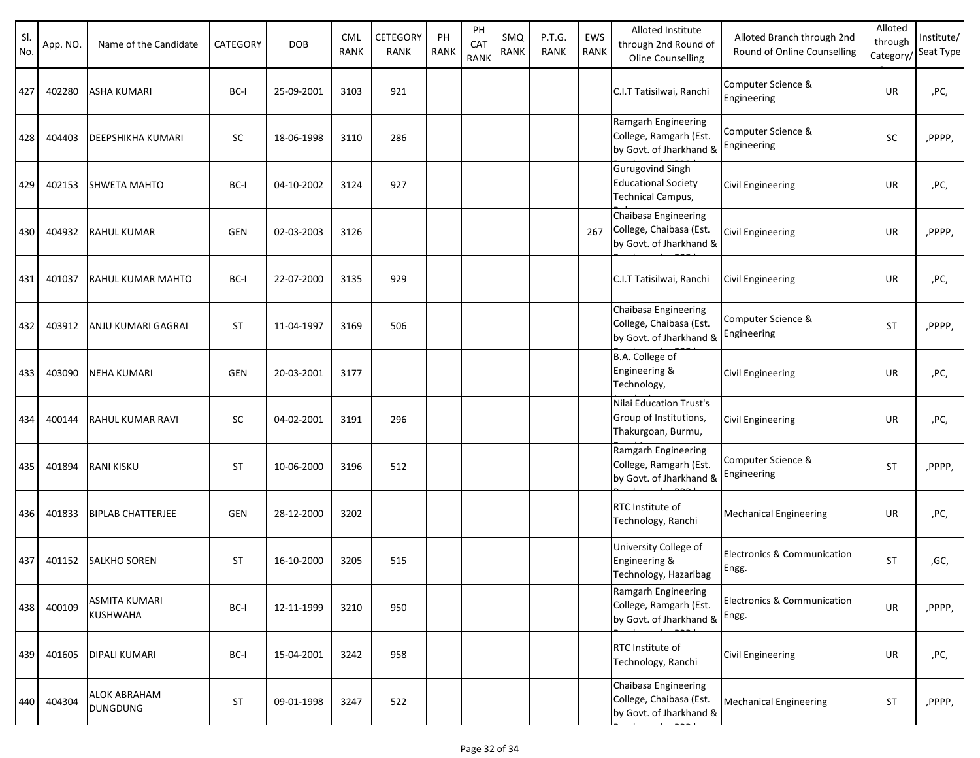| SI.<br>No. | App. NO. | Name of the Candidate                   | CATEGORY   | <b>DOB</b> | <b>CML</b><br>RANK | CETEGORY<br><b>RANK</b> | PH<br><b>RANK</b> | PH<br>CAT<br><b>RANK</b> | SMQ<br><b>RANK</b> | P.T.G.<br><b>RANK</b> | EWS<br><b>RANK</b> | Alloted Institute<br>through 2nd Round of<br>Oline Counselling                    | Alloted Branch through 2nd<br>Round of Online Counselling | Alloted<br>through<br>Category/ | Institute/<br>Seat Type |
|------------|----------|-----------------------------------------|------------|------------|--------------------|-------------------------|-------------------|--------------------------|--------------------|-----------------------|--------------------|-----------------------------------------------------------------------------------|-----------------------------------------------------------|---------------------------------|-------------------------|
| 427        | 402280   | <b>ASHA KUMARI</b>                      | BC-I       | 25-09-2001 | 3103               | 921                     |                   |                          |                    |                       |                    | C.I.T Tatisilwai, Ranchi                                                          | Computer Science &<br>Engineering                         | <b>UR</b>                       | ,PC,                    |
| 428        | 404403   | <b>DEEPSHIKHA KUMARI</b>                | SC         | 18-06-1998 | 3110               | 286                     |                   |                          |                    |                       |                    | Ramgarh Engineering<br>College, Ramgarh (Est.<br>by Govt. of Jharkhand &          | Computer Science &<br>Engineering                         | SC                              | ,PPPP,                  |
| 429        | 402153   | <b>SHWETA MAHTO</b>                     | BC-I       | 04-10-2002 | 3124               | 927                     |                   |                          |                    |                       |                    | <b>Gurugovind Singh</b><br><b>Educational Society</b><br><b>Technical Campus,</b> | <b>Civil Engineering</b>                                  | UR                              | ,PC,                    |
| 430        | 404932   | <b>RAHUL KUMAR</b>                      | <b>GEN</b> | 02-03-2003 | 3126               |                         |                   |                          |                    |                       | 267                | Chaibasa Engineering<br>College, Chaibasa (Est.<br>by Govt. of Jharkhand &        | <b>Civil Engineering</b>                                  | UR                              | ,PPPP,                  |
| 431        | 401037   | RAHUL KUMAR MAHTO                       | BC-I       | 22-07-2000 | 3135               | 929                     |                   |                          |                    |                       |                    | C.I.T Tatisilwai, Ranchi                                                          | <b>Civil Engineering</b>                                  | UR                              | ,PC,                    |
| 432        | 403912   | ANJU KUMARI GAGRAI                      | <b>ST</b>  | 11-04-1997 | 3169               | 506                     |                   |                          |                    |                       |                    | Chaibasa Engineering<br>College, Chaibasa (Est.<br>by Govt. of Jharkhand &        | Computer Science &<br>Engineering                         | <b>ST</b>                       | ,PPPP,                  |
| 433        | 403090   | <b>NEHA KUMARI</b>                      | <b>GEN</b> | 20-03-2001 | 3177               |                         |                   |                          |                    |                       |                    | B.A. College of<br>Engineering &<br>Technology,                                   | <b>Civil Engineering</b>                                  | UR                              | ,PC,                    |
| 434        | 400144   | <b>RAHUL KUMAR RAVI</b>                 | <b>SC</b>  | 04-02-2001 | 3191               | 296                     |                   |                          |                    |                       |                    | Nilai Education Trust's<br>Group of Institutions,<br>Thakurgoan, Burmu,           | <b>Civil Engineering</b>                                  | UR                              | ,PC,                    |
| 435        | 401894   | <b>RANI KISKU</b>                       | <b>ST</b>  | 10-06-2000 | 3196               | 512                     |                   |                          |                    |                       |                    | Ramgarh Engineering<br>College, Ramgarh (Est.<br>by Govt. of Jharkhand &          | Computer Science &<br>Engineering                         | <b>ST</b>                       | ,PPPP,                  |
| 436        | 401833   | <b>BIPLAB CHATTERJEE</b>                | <b>GEN</b> | 28-12-2000 | 3202               |                         |                   |                          |                    |                       |                    | RTC Institute of<br>Technology, Ranchi                                            | <b>Mechanical Engineering</b>                             | UR                              | ,PC,                    |
| 437        | 401152   | <b>SALKHO SOREN</b>                     | <b>ST</b>  | 16-10-2000 | 3205               | 515                     |                   |                          |                    |                       |                    | University College of<br>Engineering &<br>Technology, Hazaribag                   | Electronics & Communication<br>Engg.                      | <b>ST</b>                       | ,GC,                    |
| 438        | 400109   | <b>ASMITA KUMARI</b><br><b>KUSHWAHA</b> | BC-I       | 12-11-1999 | 3210               | 950                     |                   |                          |                    |                       |                    | Ramgarh Engineering<br>College, Ramgarh (Est.<br>by Govt. of Jharkhand &          | Electronics & Communication<br>Engg.                      | UR                              | ,PPPP,                  |
| 439        | 401605   | <b>DIPALI KUMARI</b>                    | BC-I       | 15-04-2001 | 3242               | 958                     |                   |                          |                    |                       |                    | RTC Institute of<br>Technology, Ranchi                                            | <b>Civil Engineering</b>                                  | UR                              | ,PC,                    |
| 440        | 404304   | <b>ALOK ABRAHAM</b><br><b>DUNGDUNG</b>  | <b>ST</b>  | 09-01-1998 | 3247               | 522                     |                   |                          |                    |                       |                    | Chaibasa Engineering<br>College, Chaibasa (Est.<br>by Govt. of Jharkhand &        | <b>Mechanical Engineering</b>                             | <b>ST</b>                       | ,PPPP,                  |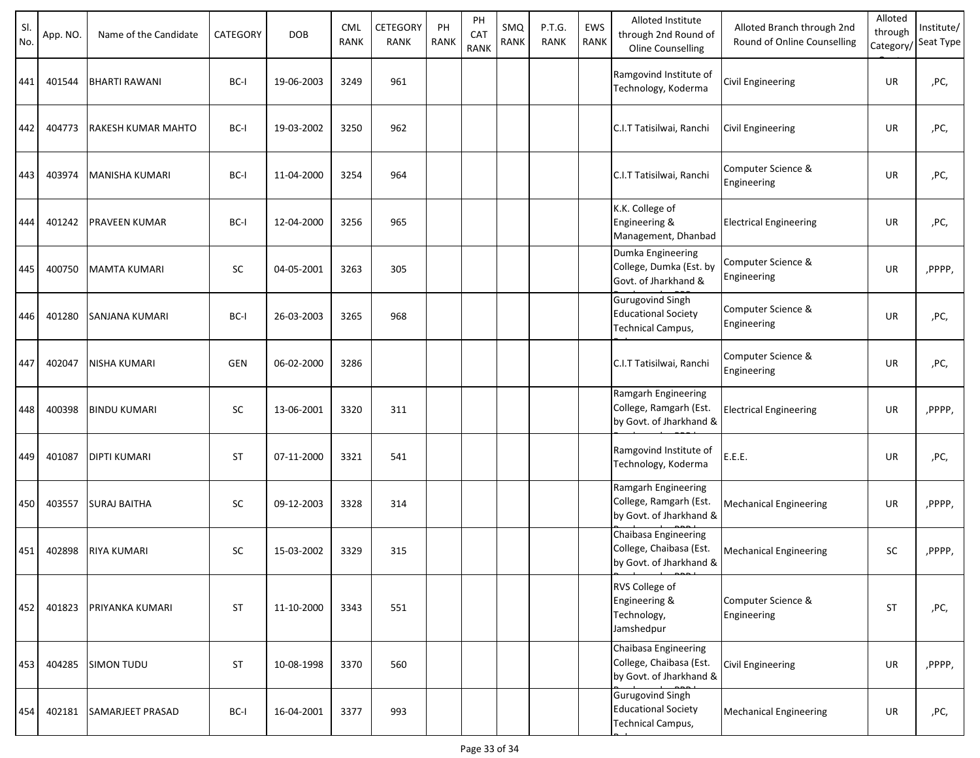| SI.<br>No. | App. NO. | Name of the Candidate | <b>CATEGORY</b> | <b>DOB</b> | <b>CML</b><br><b>RANK</b> | CETEGORY<br>RANK | PH<br><b>RANK</b> | PH<br>CAT<br><b>RANK</b> | SMQ<br>RANK | P.T.G.<br><b>RANK</b> | EWS<br>RANK | Alloted Institute<br>through 2nd Round of<br>Oline Counselling             | Alloted Branch through 2nd<br>Round of Online Counselling | Alloted<br>through<br>Category, | Institute/<br>Seat Type |
|------------|----------|-----------------------|-----------------|------------|---------------------------|------------------|-------------------|--------------------------|-------------|-----------------------|-------------|----------------------------------------------------------------------------|-----------------------------------------------------------|---------------------------------|-------------------------|
| 441        | 401544   | <b>BHARTI RAWANI</b>  | BC-I            | 19-06-2003 | 3249                      | 961              |                   |                          |             |                       |             | Ramgovind Institute of<br>Technology, Koderma                              | Civil Engineering                                         | UR                              | ,PC,                    |
| 442        | 404773   | RAKESH KUMAR MAHTO    | BC-I            | 19-03-2002 | 3250                      | 962              |                   |                          |             |                       |             | C.I.T Tatisilwai, Ranchi                                                   | <b>Civil Engineering</b>                                  | UR                              | ,PC,                    |
| 443        | 403974   | <b>MANISHA KUMARI</b> | BC-I            | 11-04-2000 | 3254                      | 964              |                   |                          |             |                       |             | C.I.T Tatisilwai, Ranchi                                                   | Computer Science &<br>Engineering                         | UR                              | ,PC,                    |
| 444        | 401242   | <b>PRAVEEN KUMAR</b>  | BC-I            | 12-04-2000 | 3256                      | 965              |                   |                          |             |                       |             | K.K. College of<br>Engineering &<br>Management, Dhanbad                    | <b>Electrical Engineering</b>                             | UR                              | ,PC,                    |
| 445        | 400750   | <b>MAMTA KUMARI</b>   | SC              | 04-05-2001 | 3263                      | 305              |                   |                          |             |                       |             | Dumka Engineering<br>College, Dumka (Est. by<br>Govt. of Jharkhand &       | Computer Science &<br>Engineering                         | UR                              | ,PPPP,                  |
| 446        | 401280   | SANJANA KUMARI        | BC-I            | 26-03-2003 | 3265                      | 968              |                   |                          |             |                       |             | <b>Gurugovind Singh</b><br><b>Educational Society</b><br>Technical Campus, | Computer Science &<br>Engineering                         | UR                              | ,PC,                    |
| 447        | 402047   | <b>NISHA KUMARI</b>   | <b>GEN</b>      | 06-02-2000 | 3286                      |                  |                   |                          |             |                       |             | C.I.T Tatisilwai, Ranchi                                                   | Computer Science &<br>Engineering                         | UR                              | ,PC,                    |
| 448        | 400398   | <b>BINDU KUMARI</b>   | <b>SC</b>       | 13-06-2001 | 3320                      | 311              |                   |                          |             |                       |             | Ramgarh Engineering<br>College, Ramgarh (Est.<br>by Govt. of Jharkhand &   | <b>Electrical Engineering</b>                             | UR                              | ,PPPP,                  |
| 449        | 401087   | <b>DIPTI KUMARI</b>   | <b>ST</b>       | 07-11-2000 | 3321                      | 541              |                   |                          |             |                       |             | Ramgovind Institute of<br>Technology, Koderma                              | E.E.E.                                                    | UR                              | ,PC,                    |
| 450        | 403557   | <b>SURAJ BAITHA</b>   | SC              | 09-12-2003 | 3328                      | 314              |                   |                          |             |                       |             | Ramgarh Engineering<br>College, Ramgarh (Est.<br>by Govt. of Jharkhand &   | <b>Mechanical Engineering</b>                             | UR                              | ,PPPP,                  |
| 451        | 402898   | <b>RIYA KUMARI</b>    | SC              | 15-03-2002 | 3329                      | 315              |                   |                          |             |                       |             | Chaibasa Engineering<br>College, Chaibasa (Est.<br>by Govt. of Jharkhand & | <b>Mechanical Engineering</b>                             | SC                              | ,PPPP,                  |
| 452        | 401823   | PRIYANKA KUMARI       | <b>ST</b>       | 11-10-2000 | 3343                      | 551              |                   |                          |             |                       |             | RVS College of<br>Engineering &<br>Technology,<br>Jamshedpur               | Computer Science &<br>Engineering                         | <b>ST</b>                       | ,PC,                    |
| 453        | 404285   | <b>SIMON TUDU</b>     | <b>ST</b>       | 10-08-1998 | 3370                      | 560              |                   |                          |             |                       |             | Chaibasa Engineering<br>College, Chaibasa (Est.<br>by Govt. of Jharkhand & | <b>Civil Engineering</b>                                  | UR                              | ,PPPP,                  |
| 454        | 402181   | SAMARJEET PRASAD      | BC-I            | 16-04-2001 | 3377                      | 993              |                   |                          |             |                       |             | Gurugovind Singh<br><b>Educational Society</b><br>Technical Campus,        | <b>Mechanical Engineering</b>                             | UR                              | ,PC,                    |